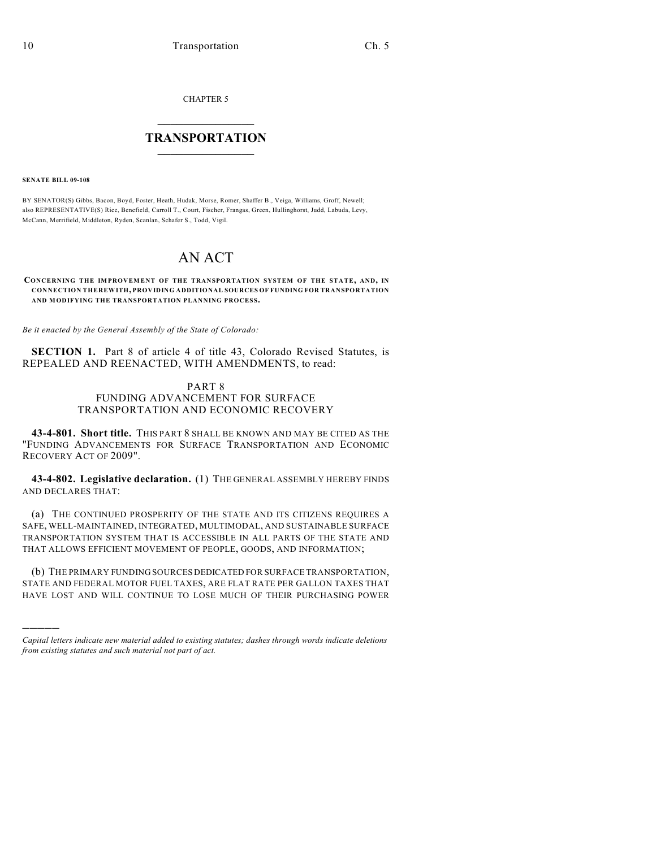CHAPTER 5

## $\mathcal{L}_\text{max}$  . The set of the set of the set of the set of the set of the set of the set of the set of the set of the set of the set of the set of the set of the set of the set of the set of the set of the set of the set **TRANSPORTATION**  $\_$   $\_$   $\_$   $\_$   $\_$   $\_$   $\_$   $\_$   $\_$

**SENATE BILL 09-108**

)))))

BY SENATOR(S) Gibbs, Bacon, Boyd, Foster, Heath, Hudak, Morse, Romer, Shaffer B., Veiga, Williams, Groff, Newell; also REPRESENTATIVE(S) Rice, Benefield, Carroll T., Court, Fischer, Frangas, Green, Hullinghorst, Judd, Labuda, Levy, McCann, Merrifield, Middleton, Ryden, Scanlan, Schafer S., Todd, Vigil.

# AN ACT

#### **CONCERNING THE IMPROVEMENT OF THE TRANSPORTATION SYSTEM OF THE STATE, AND, IN CONNECTION THEREWITH, PROVIDING ADDITIONAL SOURCES OF FUNDING FOR TRANSPORTATION AND MODIFYING THE TRANSPORTATION PLANNING PROCESS.**

*Be it enacted by the General Assembly of the State of Colorado:*

**SECTION 1.** Part 8 of article 4 of title 43, Colorado Revised Statutes, is REPEALED AND REENACTED, WITH AMENDMENTS, to read:

## PART 8 FUNDING ADVANCEMENT FOR SURFACE TRANSPORTATION AND ECONOMIC RECOVERY

**43-4-801. Short title.** THIS PART 8 SHALL BE KNOWN AND MAY BE CITED AS THE "FUNDING ADVANCEMENTS FOR SURFACE TRANSPORTATION AND ECONOMIC RECOVERY ACT OF 2009".

**43-4-802. Legislative declaration.** (1) THE GENERAL ASSEMBLY HEREBY FINDS AND DECLARES THAT:

(a) THE CONTINUED PROSPERITY OF THE STATE AND ITS CITIZENS REQUIRES A SAFE, WELL-MAINTAINED, INTEGRATED, MULTIMODAL, AND SUSTAINABLE SURFACE TRANSPORTATION SYSTEM THAT IS ACCESSIBLE IN ALL PARTS OF THE STATE AND THAT ALLOWS EFFICIENT MOVEMENT OF PEOPLE, GOODS, AND INFORMATION;

(b) THE PRIMARY FUNDING SOURCES DEDICATED FOR SURFACE TRANSPORTATION, STATE AND FEDERAL MOTOR FUEL TAXES, ARE FLAT RATE PER GALLON TAXES THAT HAVE LOST AND WILL CONTINUE TO LOSE MUCH OF THEIR PURCHASING POWER

*Capital letters indicate new material added to existing statutes; dashes through words indicate deletions from existing statutes and such material not part of act.*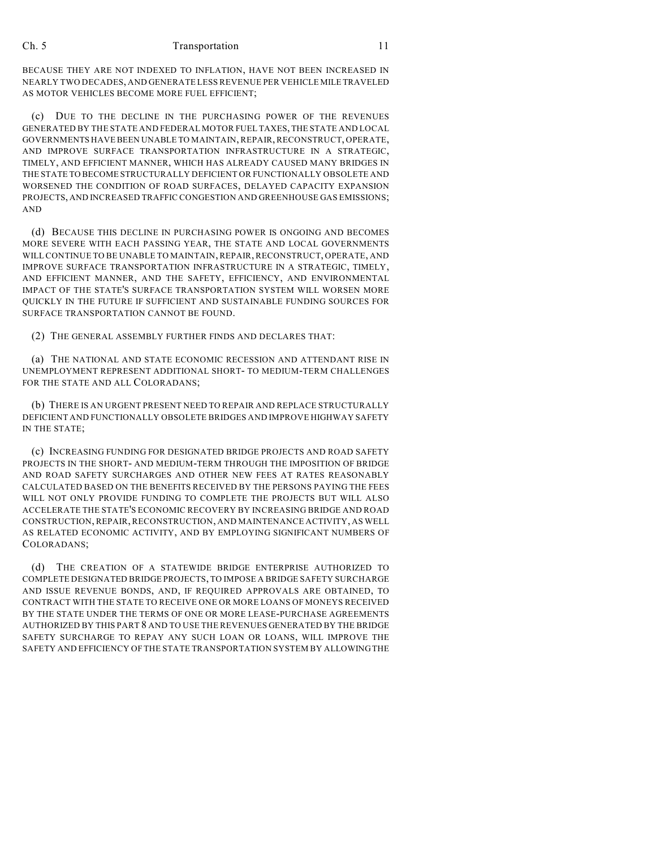BECAUSE THEY ARE NOT INDEXED TO INFLATION, HAVE NOT BEEN INCREASED IN NEARLY TWO DECADES, AND GENERATE LESS REVENUE PER VEHICLE MILE TRAVELED AS MOTOR VEHICLES BECOME MORE FUEL EFFICIENT;

(c) DUE TO THE DECLINE IN THE PURCHASING POWER OF THE REVENUES GENERATED BY THE STATE AND FEDERAL MOTOR FUEL TAXES, THE STATE AND LOCAL GOVERNMENTS HAVE BEEN UNABLE TO MAINTAIN, REPAIR, RECONSTRUCT, OPERATE, AND IMPROVE SURFACE TRANSPORTATION INFRASTRUCTURE IN A STRATEGIC, TIMELY, AND EFFICIENT MANNER, WHICH HAS ALREADY CAUSED MANY BRIDGES IN THE STATE TO BECOME STRUCTURALLY DEFICIENT OR FUNCTIONALLY OBSOLETE AND WORSENED THE CONDITION OF ROAD SURFACES, DELAYED CAPACITY EXPANSION PROJECTS, AND INCREASED TRAFFIC CONGESTION AND GREENHOUSE GAS EMISSIONS; AND

(d) BECAUSE THIS DECLINE IN PURCHASING POWER IS ONGOING AND BECOMES MORE SEVERE WITH EACH PASSING YEAR, THE STATE AND LOCAL GOVERNMENTS WILL CONTINUE TO BE UNABLE TO MAINTAIN, REPAIR, RECONSTRUCT, OPERATE, AND IMPROVE SURFACE TRANSPORTATION INFRASTRUCTURE IN A STRATEGIC, TIMELY, AND EFFICIENT MANNER, AND THE SAFETY, EFFICIENCY, AND ENVIRONMENTAL IMPACT OF THE STATE'S SURFACE TRANSPORTATION SYSTEM WILL WORSEN MORE QUICKLY IN THE FUTURE IF SUFFICIENT AND SUSTAINABLE FUNDING SOURCES FOR SURFACE TRANSPORTATION CANNOT BE FOUND.

(2) THE GENERAL ASSEMBLY FURTHER FINDS AND DECLARES THAT:

(a) THE NATIONAL AND STATE ECONOMIC RECESSION AND ATTENDANT RISE IN UNEMPLOYMENT REPRESENT ADDITIONAL SHORT- TO MEDIUM-TERM CHALLENGES FOR THE STATE AND ALL COLORADANS;

(b) THERE IS AN URGENT PRESENT NEED TO REPAIR AND REPLACE STRUCTURALLY DEFICIENT AND FUNCTIONALLY OBSOLETE BRIDGES AND IMPROVE HIGHWAY SAFETY IN THE STATE;

(c) INCREASING FUNDING FOR DESIGNATED BRIDGE PROJECTS AND ROAD SAFETY PROJECTS IN THE SHORT- AND MEDIUM-TERM THROUGH THE IMPOSITION OF BRIDGE AND ROAD SAFETY SURCHARGES AND OTHER NEW FEES AT RATES REASONABLY CALCULATED BASED ON THE BENEFITS RECEIVED BY THE PERSONS PAYING THE FEES WILL NOT ONLY PROVIDE FUNDING TO COMPLETE THE PROJECTS BUT WILL ALSO ACCELERATE THE STATE'S ECONOMIC RECOVERY BY INCREASING BRIDGE AND ROAD CONSTRUCTION, REPAIR, RECONSTRUCTION, AND MAINTENANCE ACTIVITY, AS WELL AS RELATED ECONOMIC ACTIVITY, AND BY EMPLOYING SIGNIFICANT NUMBERS OF COLORADANS;

(d) THE CREATION OF A STATEWIDE BRIDGE ENTERPRISE AUTHORIZED TO COMPLETE DESIGNATED BRIDGE PROJECTS, TO IMPOSE A BRIDGE SAFETY SURCHARGE AND ISSUE REVENUE BONDS, AND, IF REQUIRED APPROVALS ARE OBTAINED, TO CONTRACT WITH THE STATE TO RECEIVE ONE OR MORE LOANS OF MONEYS RECEIVED BY THE STATE UNDER THE TERMS OF ONE OR MORE LEASE-PURCHASE AGREEMENTS AUTHORIZED BY THIS PART 8 AND TO USE THE REVENUES GENERATED BY THE BRIDGE SAFETY SURCHARGE TO REPAY ANY SUCH LOAN OR LOANS, WILL IMPROVE THE SAFETY AND EFFICIENCY OF THE STATE TRANSPORTATION SYSTEM BY ALLOWING THE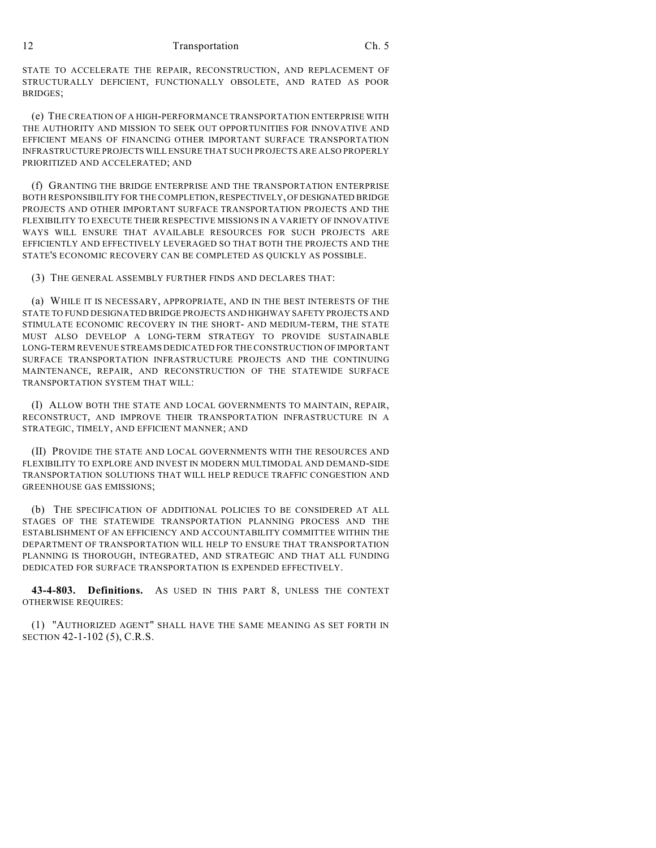STATE TO ACCELERATE THE REPAIR, RECONSTRUCTION, AND REPLACEMENT OF STRUCTURALLY DEFICIENT, FUNCTIONALLY OBSOLETE, AND RATED AS POOR BRIDGES;

(e) THE CREATION OF A HIGH-PERFORMANCE TRANSPORTATION ENTERPRISE WITH THE AUTHORITY AND MISSION TO SEEK OUT OPPORTUNITIES FOR INNOVATIVE AND EFFICIENT MEANS OF FINANCING OTHER IMPORTANT SURFACE TRANSPORTATION INFRASTRUCTURE PROJECTS WILL ENSURE THAT SUCH PROJECTS ARE ALSO PROPERLY PRIORITIZED AND ACCELERATED; AND

(f) GRANTING THE BRIDGE ENTERPRISE AND THE TRANSPORTATION ENTERPRISE BOTH RESPONSIBILITY FOR THE COMPLETION, RESPECTIVELY, OF DESIGNATED BRIDGE PROJECTS AND OTHER IMPORTANT SURFACE TRANSPORTATION PROJECTS AND THE FLEXIBILITY TO EXECUTE THEIR RESPECTIVE MISSIONS IN A VARIETY OF INNOVATIVE WAYS WILL ENSURE THAT AVAILABLE RESOURCES FOR SUCH PROJECTS ARE EFFICIENTLY AND EFFECTIVELY LEVERAGED SO THAT BOTH THE PROJECTS AND THE STATE'S ECONOMIC RECOVERY CAN BE COMPLETED AS QUICKLY AS POSSIBLE.

(3) THE GENERAL ASSEMBLY FURTHER FINDS AND DECLARES THAT:

(a) WHILE IT IS NECESSARY, APPROPRIATE, AND IN THE BEST INTERESTS OF THE STATE TO FUND DESIGNATED BRIDGE PROJECTS AND HIGHWAY SAFETY PROJECTS AND STIMULATE ECONOMIC RECOVERY IN THE SHORT- AND MEDIUM-TERM, THE STATE MUST ALSO DEVELOP A LONG-TERM STRATEGY TO PROVIDE SUSTAINABLE LONG-TERM REVENUE STREAMS DEDICATED FOR THE CONSTRUCTION OF IMPORTANT SURFACE TRANSPORTATION INFRASTRUCTURE PROJECTS AND THE CONTINUING MAINTENANCE, REPAIR, AND RECONSTRUCTION OF THE STATEWIDE SURFACE TRANSPORTATION SYSTEM THAT WILL:

(I) ALLOW BOTH THE STATE AND LOCAL GOVERNMENTS TO MAINTAIN, REPAIR, RECONSTRUCT, AND IMPROVE THEIR TRANSPORTATION INFRASTRUCTURE IN A STRATEGIC, TIMELY, AND EFFICIENT MANNER; AND

(II) PROVIDE THE STATE AND LOCAL GOVERNMENTS WITH THE RESOURCES AND FLEXIBILITY TO EXPLORE AND INVEST IN MODERN MULTIMODAL AND DEMAND-SIDE TRANSPORTATION SOLUTIONS THAT WILL HELP REDUCE TRAFFIC CONGESTION AND GREENHOUSE GAS EMISSIONS;

(b) THE SPECIFICATION OF ADDITIONAL POLICIES TO BE CONSIDERED AT ALL STAGES OF THE STATEWIDE TRANSPORTATION PLANNING PROCESS AND THE ESTABLISHMENT OF AN EFFICIENCY AND ACCOUNTABILITY COMMITTEE WITHIN THE DEPARTMENT OF TRANSPORTATION WILL HELP TO ENSURE THAT TRANSPORTATION PLANNING IS THOROUGH, INTEGRATED, AND STRATEGIC AND THAT ALL FUNDING DEDICATED FOR SURFACE TRANSPORTATION IS EXPENDED EFFECTIVELY.

**43-4-803. Definitions.** AS USED IN THIS PART 8, UNLESS THE CONTEXT OTHERWISE REQUIRES:

(1) "AUTHORIZED AGENT" SHALL HAVE THE SAME MEANING AS SET FORTH IN SECTION 42-1-102 (5), C.R.S.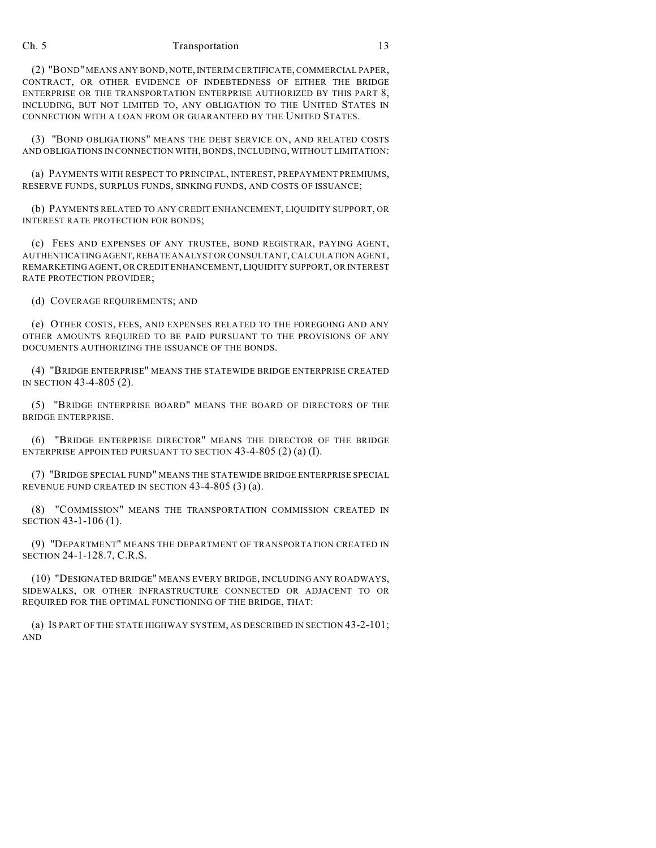(2) "BOND" MEANS ANY BOND, NOTE, INTERIM CERTIFICATE, COMMERCIAL PAPER,

CONTRACT, OR OTHER EVIDENCE OF INDEBTEDNESS OF EITHER THE BRIDGE ENTERPRISE OR THE TRANSPORTATION ENTERPRISE AUTHORIZED BY THIS PART 8, INCLUDING, BUT NOT LIMITED TO, ANY OBLIGATION TO THE UNITED STATES IN CONNECTION WITH A LOAN FROM OR GUARANTEED BY THE UNITED STATES.

(3) "BOND OBLIGATIONS" MEANS THE DEBT SERVICE ON, AND RELATED COSTS AND OBLIGATIONS IN CONNECTION WITH, BONDS, INCLUDING, WITHOUT LIMITATION:

(a) PAYMENTS WITH RESPECT TO PRINCIPAL, INTEREST, PREPAYMENT PREMIUMS, RESERVE FUNDS, SURPLUS FUNDS, SINKING FUNDS, AND COSTS OF ISSUANCE;

(b) PAYMENTS RELATED TO ANY CREDIT ENHANCEMENT, LIQUIDITY SUPPORT, OR INTEREST RATE PROTECTION FOR BONDS;

(c) FEES AND EXPENSES OF ANY TRUSTEE, BOND REGISTRAR, PAYING AGENT, AUTHENTICATING AGENT, REBATE ANALYST OR CONSULTANT, CALCULATION AGENT, REMARKETING AGENT, OR CREDIT ENHANCEMENT, LIQUIDITY SUPPORT, OR INTEREST RATE PROTECTION PROVIDER;

(d) COVERAGE REQUIREMENTS; AND

(e) OTHER COSTS, FEES, AND EXPENSES RELATED TO THE FOREGOING AND ANY OTHER AMOUNTS REQUIRED TO BE PAID PURSUANT TO THE PROVISIONS OF ANY DOCUMENTS AUTHORIZING THE ISSUANCE OF THE BONDS.

(4) "BRIDGE ENTERPRISE" MEANS THE STATEWIDE BRIDGE ENTERPRISE CREATED IN SECTION 43-4-805 (2).

(5) "BRIDGE ENTERPRISE BOARD" MEANS THE BOARD OF DIRECTORS OF THE BRIDGE ENTERPRISE.

(6) "BRIDGE ENTERPRISE DIRECTOR" MEANS THE DIRECTOR OF THE BRIDGE ENTERPRISE APPOINTED PURSUANT TO SECTION 43-4-805 (2) (a) (I).

(7) "BRIDGE SPECIAL FUND" MEANS THE STATEWIDE BRIDGE ENTERPRISE SPECIAL REVENUE FUND CREATED IN SECTION 43-4-805 (3) (a).

(8) "COMMISSION" MEANS THE TRANSPORTATION COMMISSION CREATED IN SECTION 43-1-106 (1).

(9) "DEPARTMENT" MEANS THE DEPARTMENT OF TRANSPORTATION CREATED IN SECTION 24-1-128.7, C.R.S.

(10) "DESIGNATED BRIDGE" MEANS EVERY BRIDGE, INCLUDING ANY ROADWAYS, SIDEWALKS, OR OTHER INFRASTRUCTURE CONNECTED OR ADJACENT TO OR REQUIRED FOR THE OPTIMAL FUNCTIONING OF THE BRIDGE, THAT:

(a) IS PART OF THE STATE HIGHWAY SYSTEM, AS DESCRIBED IN SECTION 43-2-101; AND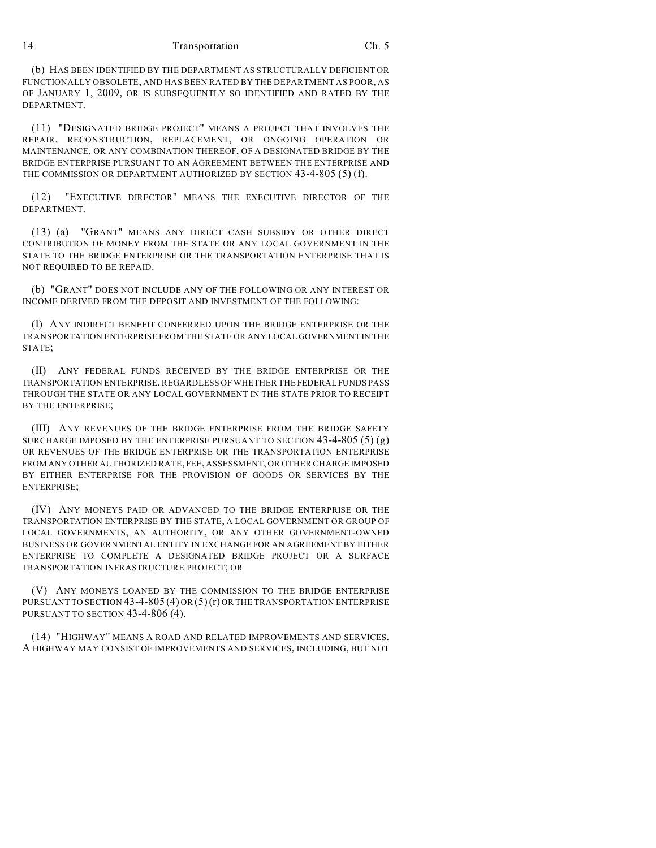(b) HAS BEEN IDENTIFIED BY THE DEPARTMENT AS STRUCTURALLY DEFICIENT OR FUNCTIONALLY OBSOLETE, AND HAS BEEN RATED BY THE DEPARTMENT AS POOR, AS OF JANUARY 1, 2009, OR IS SUBSEQUENTLY SO IDENTIFIED AND RATED BY THE DEPARTMENT.

(11) "DESIGNATED BRIDGE PROJECT" MEANS A PROJECT THAT INVOLVES THE REPAIR, RECONSTRUCTION, REPLACEMENT, OR ONGOING OPERATION OR MAINTENANCE, OR ANY COMBINATION THEREOF, OF A DESIGNATED BRIDGE BY THE BRIDGE ENTERPRISE PURSUANT TO AN AGREEMENT BETWEEN THE ENTERPRISE AND THE COMMISSION OR DEPARTMENT AUTHORIZED BY SECTION 43-4-805 (5) (f).

(12) "EXECUTIVE DIRECTOR" MEANS THE EXECUTIVE DIRECTOR OF THE DEPARTMENT.

(13) (a) "GRANT" MEANS ANY DIRECT CASH SUBSIDY OR OTHER DIRECT CONTRIBUTION OF MONEY FROM THE STATE OR ANY LOCAL GOVERNMENT IN THE STATE TO THE BRIDGE ENTERPRISE OR THE TRANSPORTATION ENTERPRISE THAT IS NOT REQUIRED TO BE REPAID.

(b) "GRANT" DOES NOT INCLUDE ANY OF THE FOLLOWING OR ANY INTEREST OR INCOME DERIVED FROM THE DEPOSIT AND INVESTMENT OF THE FOLLOWING:

(I) ANY INDIRECT BENEFIT CONFERRED UPON THE BRIDGE ENTERPRISE OR THE TRANSPORTATION ENTERPRISE FROM THE STATE OR ANY LOCAL GOVERNMENT IN THE STATE;

(II) ANY FEDERAL FUNDS RECEIVED BY THE BRIDGE ENTERPRISE OR THE TRANSPORTATION ENTERPRISE, REGARDLESS OF WHETHER THE FEDERAL FUNDS PASS THROUGH THE STATE OR ANY LOCAL GOVERNMENT IN THE STATE PRIOR TO RECEIPT BY THE ENTERPRISE;

(III) ANY REVENUES OF THE BRIDGE ENTERPRISE FROM THE BRIDGE SAFETY SURCHARGE IMPOSED BY THE ENTERPRISE PURSUANT TO SECTION  $43-4-805(5)(g)$ OR REVENUES OF THE BRIDGE ENTERPRISE OR THE TRANSPORTATION ENTERPRISE FROM ANY OTHER AUTHORIZED RATE, FEE, ASSESSMENT, OR OTHER CHARGE IMPOSED BY EITHER ENTERPRISE FOR THE PROVISION OF GOODS OR SERVICES BY THE ENTERPRISE;

(IV) ANY MONEYS PAID OR ADVANCED TO THE BRIDGE ENTERPRISE OR THE TRANSPORTATION ENTERPRISE BY THE STATE, A LOCAL GOVERNMENT OR GROUP OF LOCAL GOVERNMENTS, AN AUTHORITY, OR ANY OTHER GOVERNMENT-OWNED BUSINESS OR GOVERNMENTAL ENTITY IN EXCHANGE FOR AN AGREEMENT BY EITHER ENTERPRISE TO COMPLETE A DESIGNATED BRIDGE PROJECT OR A SURFACE TRANSPORTATION INFRASTRUCTURE PROJECT; OR

(V) ANY MONEYS LOANED BY THE COMMISSION TO THE BRIDGE ENTERPRISE PURSUANT TO SECTION  $43-4-805(4)$  OR  $(5)(r)$  OR THE TRANSPORTATION ENTERPRISE PURSUANT TO SECTION 43-4-806 (4).

(14) "HIGHWAY" MEANS A ROAD AND RELATED IMPROVEMENTS AND SERVICES. A HIGHWAY MAY CONSIST OF IMPROVEMENTS AND SERVICES, INCLUDING, BUT NOT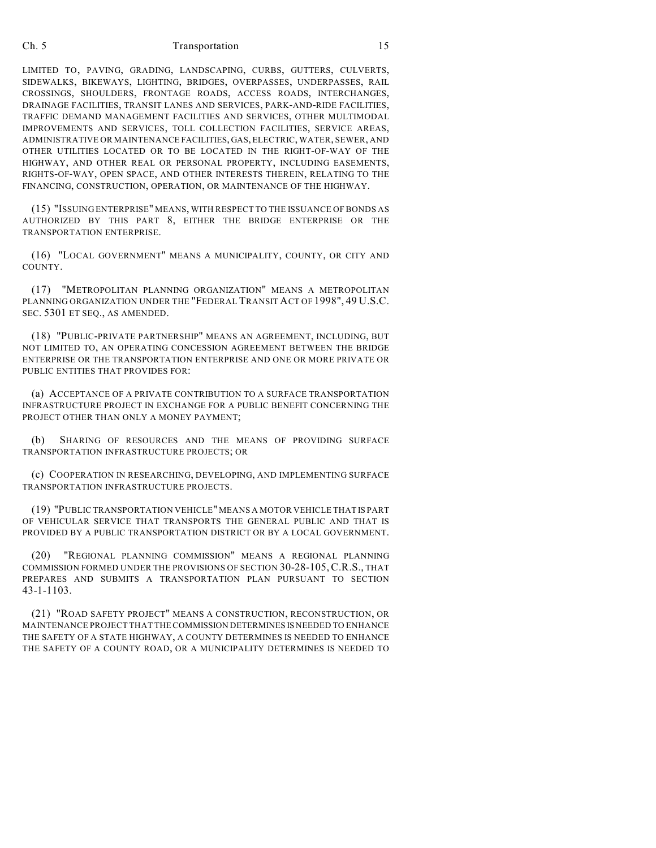LIMITED TO, PAVING, GRADING, LANDSCAPING, CURBS, GUTTERS, CULVERTS, SIDEWALKS, BIKEWAYS, LIGHTING, BRIDGES, OVERPASSES, UNDERPASSES, RAIL CROSSINGS, SHOULDERS, FRONTAGE ROADS, ACCESS ROADS, INTERCHANGES, DRAINAGE FACILITIES, TRANSIT LANES AND SERVICES, PARK-AND-RIDE FACILITIES, TRAFFIC DEMAND MANAGEMENT FACILITIES AND SERVICES, OTHER MULTIMODAL IMPROVEMENTS AND SERVICES, TOLL COLLECTION FACILITIES, SERVICE AREAS, ADMINISTRATIVE OR MAINTENANCE FACILITIES, GAS, ELECTRIC, WATER, SEWER, AND OTHER UTILITIES LOCATED OR TO BE LOCATED IN THE RIGHT-OF-WAY OF THE HIGHWAY, AND OTHER REAL OR PERSONAL PROPERTY, INCLUDING EASEMENTS, RIGHTS-OF-WAY, OPEN SPACE, AND OTHER INTERESTS THEREIN, RELATING TO THE FINANCING, CONSTRUCTION, OPERATION, OR MAINTENANCE OF THE HIGHWAY.

(15) "ISSUING ENTERPRISE" MEANS, WITH RESPECT TO THE ISSUANCE OF BONDS AS AUTHORIZED BY THIS PART 8, EITHER THE BRIDGE ENTERPRISE OR THE TRANSPORTATION ENTERPRISE.

(16) "LOCAL GOVERNMENT" MEANS A MUNICIPALITY, COUNTY, OR CITY AND COUNTY.

(17) "METROPOLITAN PLANNING ORGANIZATION" MEANS A METROPOLITAN PLANNING ORGANIZATION UNDER THE "FEDERAL TRANSIT ACT OF 1998", 49 U.S.C. SEC. 5301 ET SEQ., AS AMENDED.

(18) "PUBLIC-PRIVATE PARTNERSHIP" MEANS AN AGREEMENT, INCLUDING, BUT NOT LIMITED TO, AN OPERATING CONCESSION AGREEMENT BETWEEN THE BRIDGE ENTERPRISE OR THE TRANSPORTATION ENTERPRISE AND ONE OR MORE PRIVATE OR PUBLIC ENTITIES THAT PROVIDES FOR:

(a) ACCEPTANCE OF A PRIVATE CONTRIBUTION TO A SURFACE TRANSPORTATION INFRASTRUCTURE PROJECT IN EXCHANGE FOR A PUBLIC BENEFIT CONCERNING THE PROJECT OTHER THAN ONLY A MONEY PAYMENT;

(b) SHARING OF RESOURCES AND THE MEANS OF PROVIDING SURFACE TRANSPORTATION INFRASTRUCTURE PROJECTS; OR

(c) COOPERATION IN RESEARCHING, DEVELOPING, AND IMPLEMENTING SURFACE TRANSPORTATION INFRASTRUCTURE PROJECTS.

(19) "PUBLIC TRANSPORTATION VEHICLE" MEANS A MOTOR VEHICLE THAT IS PART OF VEHICULAR SERVICE THAT TRANSPORTS THE GENERAL PUBLIC AND THAT IS PROVIDED BY A PUBLIC TRANSPORTATION DISTRICT OR BY A LOCAL GOVERNMENT.

(20) "REGIONAL PLANNING COMMISSION" MEANS A REGIONAL PLANNING COMMISSION FORMED UNDER THE PROVISIONS OF SECTION 30-28-105, C.R.S., THAT PREPARES AND SUBMITS A TRANSPORTATION PLAN PURSUANT TO SECTION 43-1-1103.

(21) "ROAD SAFETY PROJECT" MEANS A CONSTRUCTION, RECONSTRUCTION, OR MAINTENANCE PROJECT THAT THE COMMISSION DETERMINES IS NEEDED TO ENHANCE THE SAFETY OF A STATE HIGHWAY, A COUNTY DETERMINES IS NEEDED TO ENHANCE THE SAFETY OF A COUNTY ROAD, OR A MUNICIPALITY DETERMINES IS NEEDED TO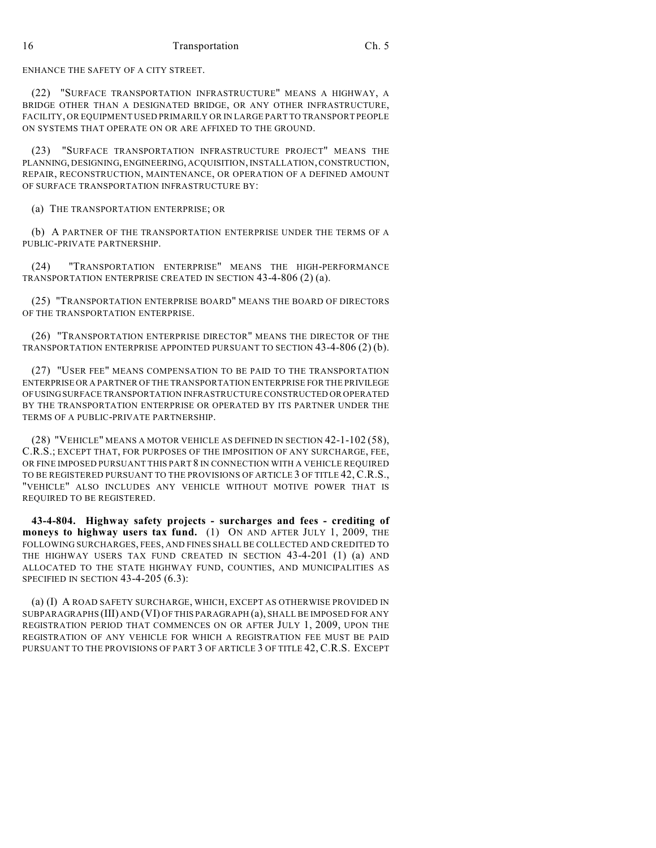ENHANCE THE SAFETY OF A CITY STREET.

(22) "SURFACE TRANSPORTATION INFRASTRUCTURE" MEANS A HIGHWAY, A BRIDGE OTHER THAN A DESIGNATED BRIDGE, OR ANY OTHER INFRASTRUCTURE, FACILITY, OR EQUIPMENT USED PRIMARILY OR IN LARGE PART TO TRANSPORT PEOPLE ON SYSTEMS THAT OPERATE ON OR ARE AFFIXED TO THE GROUND.

(23) "SURFACE TRANSPORTATION INFRASTRUCTURE PROJECT" MEANS THE PLANNING, DESIGNING, ENGINEERING, ACQUISITION, INSTALLATION, CONSTRUCTION, REPAIR, RECONSTRUCTION, MAINTENANCE, OR OPERATION OF A DEFINED AMOUNT OF SURFACE TRANSPORTATION INFRASTRUCTURE BY:

(a) THE TRANSPORTATION ENTERPRISE; OR

(b) A PARTNER OF THE TRANSPORTATION ENTERPRISE UNDER THE TERMS OF A PUBLIC-PRIVATE PARTNERSHIP.

(24) "TRANSPORTATION ENTERPRISE" MEANS THE HIGH-PERFORMANCE TRANSPORTATION ENTERPRISE CREATED IN SECTION 43-4-806 (2) (a).

(25) "TRANSPORTATION ENTERPRISE BOARD" MEANS THE BOARD OF DIRECTORS OF THE TRANSPORTATION ENTERPRISE.

(26) "TRANSPORTATION ENTERPRISE DIRECTOR" MEANS THE DIRECTOR OF THE TRANSPORTATION ENTERPRISE APPOINTED PURSUANT TO SECTION 43-4-806 (2) (b).

(27) "USER FEE" MEANS COMPENSATION TO BE PAID TO THE TRANSPORTATION ENTERPRISE OR A PARTNER OF THE TRANSPORTATION ENTERPRISE FOR THE PRIVILEGE OF USING SURFACE TRANSPORTATION INFRASTRUCTURE CONSTRUCTED OR OPERATED BY THE TRANSPORTATION ENTERPRISE OR OPERATED BY ITS PARTNER UNDER THE TERMS OF A PUBLIC-PRIVATE PARTNERSHIP.

(28) "VEHICLE" MEANS A MOTOR VEHICLE AS DEFINED IN SECTION 42-1-102 (58), C.R.S.; EXCEPT THAT, FOR PURPOSES OF THE IMPOSITION OF ANY SURCHARGE, FEE, OR FINE IMPOSED PURSUANT THIS PART 8 IN CONNECTION WITH A VEHICLE REQUIRED TO BE REGISTERED PURSUANT TO THE PROVISIONS OF ARTICLE 3 OF TITLE 42, C.R.S., "VEHICLE" ALSO INCLUDES ANY VEHICLE WITHOUT MOTIVE POWER THAT IS REQUIRED TO BE REGISTERED.

**43-4-804. Highway safety projects - surcharges and fees - crediting of moneys to highway users tax fund.** (1) ON AND AFTER JULY 1, 2009, THE FOLLOWING SURCHARGES, FEES, AND FINES SHALL BE COLLECTED AND CREDITED TO THE HIGHWAY USERS TAX FUND CREATED IN SECTION 43-4-201 (1) (a) AND ALLOCATED TO THE STATE HIGHWAY FUND, COUNTIES, AND MUNICIPALITIES AS SPECIFIED IN SECTION 43-4-205 (6.3):

(a) (I) A ROAD SAFETY SURCHARGE, WHICH, EXCEPT AS OTHERWISE PROVIDED IN SUBPARAGRAPHS (III) AND (VI) OF THIS PARAGRAPH (a), SHALL BE IMPOSED FOR ANY REGISTRATION PERIOD THAT COMMENCES ON OR AFTER JULY 1, 2009, UPON THE REGISTRATION OF ANY VEHICLE FOR WHICH A REGISTRATION FEE MUST BE PAID PURSUANT TO THE PROVISIONS OF PART 3 OF ARTICLE 3 OF TITLE 42, C.R.S. EXCEPT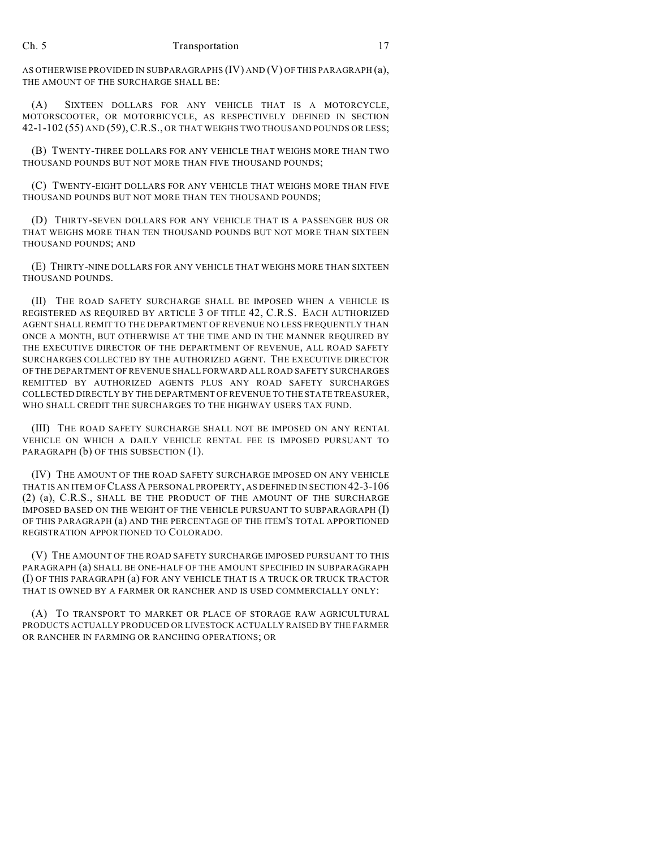AS OTHERWISE PROVIDED IN SUBPARAGRAPHS (IV) AND (V) OF THIS PARAGRAPH (a), THE AMOUNT OF THE SURCHARGE SHALL BE:

(A) SIXTEEN DOLLARS FOR ANY VEHICLE THAT IS A MOTORCYCLE, MOTORSCOOTER, OR MOTORBICYCLE, AS RESPECTIVELY DEFINED IN SECTION 42-1-102 (55) AND (59), C.R.S., OR THAT WEIGHS TWO THOUSAND POUNDS OR LESS;

(B) TWENTY-THREE DOLLARS FOR ANY VEHICLE THAT WEIGHS MORE THAN TWO THOUSAND POUNDS BUT NOT MORE THAN FIVE THOUSAND POUNDS;

(C) TWENTY-EIGHT DOLLARS FOR ANY VEHICLE THAT WEIGHS MORE THAN FIVE THOUSAND POUNDS BUT NOT MORE THAN TEN THOUSAND POUNDS;

(D) THIRTY-SEVEN DOLLARS FOR ANY VEHICLE THAT IS A PASSENGER BUS OR THAT WEIGHS MORE THAN TEN THOUSAND POUNDS BUT NOT MORE THAN SIXTEEN THOUSAND POUNDS; AND

(E) THIRTY-NINE DOLLARS FOR ANY VEHICLE THAT WEIGHS MORE THAN SIXTEEN THOUSAND POUNDS.

(II) THE ROAD SAFETY SURCHARGE SHALL BE IMPOSED WHEN A VEHICLE IS REGISTERED AS REQUIRED BY ARTICLE 3 OF TITLE 42, C.R.S. EACH AUTHORIZED AGENT SHALL REMIT TO THE DEPARTMENT OF REVENUE NO LESS FREQUENTLY THAN ONCE A MONTH, BUT OTHERWISE AT THE TIME AND IN THE MANNER REQUIRED BY THE EXECUTIVE DIRECTOR OF THE DEPARTMENT OF REVENUE, ALL ROAD SAFETY SURCHARGES COLLECTED BY THE AUTHORIZED AGENT. THE EXECUTIVE DIRECTOR OF THE DEPARTMENT OF REVENUE SHALL FORWARD ALL ROAD SAFETY SURCHARGES REMITTED BY AUTHORIZED AGENTS PLUS ANY ROAD SAFETY SURCHARGES COLLECTED DIRECTLY BY THE DEPARTMENT OF REVENUE TO THE STATE TREASURER, WHO SHALL CREDIT THE SURCHARGES TO THE HIGHWAY USERS TAX FUND.

(III) THE ROAD SAFETY SURCHARGE SHALL NOT BE IMPOSED ON ANY RENTAL VEHICLE ON WHICH A DAILY VEHICLE RENTAL FEE IS IMPOSED PURSUANT TO PARAGRAPH (b) OF THIS SUBSECTION (1).

(IV) THE AMOUNT OF THE ROAD SAFETY SURCHARGE IMPOSED ON ANY VEHICLE THAT IS AN ITEM OF CLASS A PERSONAL PROPERTY, AS DEFINED IN SECTION 42-3-106 (2) (a), C.R.S., SHALL BE THE PRODUCT OF THE AMOUNT OF THE SURCHARGE IMPOSED BASED ON THE WEIGHT OF THE VEHICLE PURSUANT TO SUBPARAGRAPH (I) OF THIS PARAGRAPH (a) AND THE PERCENTAGE OF THE ITEM'S TOTAL APPORTIONED REGISTRATION APPORTIONED TO COLORADO.

(V) THE AMOUNT OF THE ROAD SAFETY SURCHARGE IMPOSED PURSUANT TO THIS PARAGRAPH (a) SHALL BE ONE-HALF OF THE AMOUNT SPECIFIED IN SUBPARAGRAPH (I) OF THIS PARAGRAPH (a) FOR ANY VEHICLE THAT IS A TRUCK OR TRUCK TRACTOR THAT IS OWNED BY A FARMER OR RANCHER AND IS USED COMMERCIALLY ONLY:

(A) TO TRANSPORT TO MARKET OR PLACE OF STORAGE RAW AGRICULTURAL PRODUCTS ACTUALLY PRODUCED OR LIVESTOCK ACTUALLY RAISED BY THE FARMER OR RANCHER IN FARMING OR RANCHING OPERATIONS; OR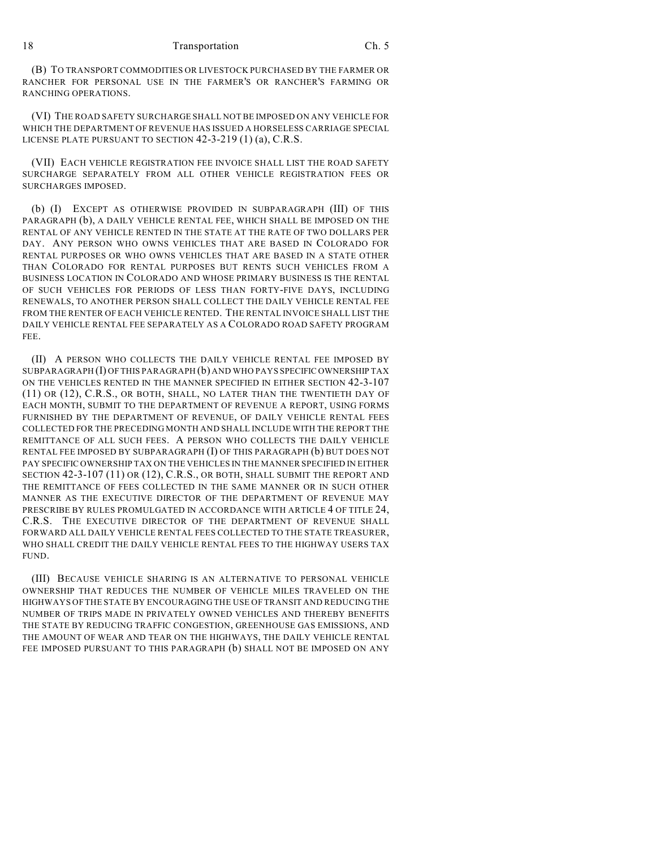(B) TO TRANSPORT COMMODITIES OR LIVESTOCK PURCHASED BY THE FARMER OR RANCHER FOR PERSONAL USE IN THE FARMER'S OR RANCHER'S FARMING OR RANCHING OPERATIONS.

(VI) THE ROAD SAFETY SURCHARGE SHALL NOT BE IMPOSED ON ANY VEHICLE FOR WHICH THE DEPARTMENT OF REVENUE HAS ISSUED A HORSELESS CARRIAGE SPECIAL LICENSE PLATE PURSUANT TO SECTION 42-3-219 (1) (a), C.R.S.

(VII) EACH VEHICLE REGISTRATION FEE INVOICE SHALL LIST THE ROAD SAFETY SURCHARGE SEPARATELY FROM ALL OTHER VEHICLE REGISTRATION FEES OR SURCHARGES IMPOSED.

(b) (I) EXCEPT AS OTHERWISE PROVIDED IN SUBPARAGRAPH (III) OF THIS PARAGRAPH (b), A DAILY VEHICLE RENTAL FEE, WHICH SHALL BE IMPOSED ON THE RENTAL OF ANY VEHICLE RENTED IN THE STATE AT THE RATE OF TWO DOLLARS PER DAY. ANY PERSON WHO OWNS VEHICLES THAT ARE BASED IN COLORADO FOR RENTAL PURPOSES OR WHO OWNS VEHICLES THAT ARE BASED IN A STATE OTHER THAN COLORADO FOR RENTAL PURPOSES BUT RENTS SUCH VEHICLES FROM A BUSINESS LOCATION IN COLORADO AND WHOSE PRIMARY BUSINESS IS THE RENTAL OF SUCH VEHICLES FOR PERIODS OF LESS THAN FORTY-FIVE DAYS, INCLUDING RENEWALS, TO ANOTHER PERSON SHALL COLLECT THE DAILY VEHICLE RENTAL FEE FROM THE RENTER OF EACH VEHICLE RENTED. THE RENTAL INVOICE SHALL LIST THE DAILY VEHICLE RENTAL FEE SEPARATELY AS A COLORADO ROAD SAFETY PROGRAM FEE.

(II) A PERSON WHO COLLECTS THE DAILY VEHICLE RENTAL FEE IMPOSED BY SUBPARAGRAPH (I) OF THIS PARAGRAPH (b) AND WHO PAYS SPECIFIC OWNERSHIP TAX ON THE VEHICLES RENTED IN THE MANNER SPECIFIED IN EITHER SECTION 42-3-107 (11) OR (12), C.R.S., OR BOTH, SHALL, NO LATER THAN THE TWENTIETH DAY OF EACH MONTH, SUBMIT TO THE DEPARTMENT OF REVENUE A REPORT, USING FORMS FURNISHED BY THE DEPARTMENT OF REVENUE, OF DAILY VEHICLE RENTAL FEES COLLECTED FOR THE PRECEDING MONTH AND SHALL INCLUDE WITH THE REPORT THE REMITTANCE OF ALL SUCH FEES. A PERSON WHO COLLECTS THE DAILY VEHICLE RENTAL FEE IMPOSED BY SUBPARAGRAPH (I) OF THIS PARAGRAPH (b) BUT DOES NOT PAY SPECIFIC OWNERSHIP TAX ON THE VEHICLES IN THE MANNER SPECIFIED IN EITHER SECTION 42-3-107 (11) OR (12), C.R.S., OR BOTH, SHALL SUBMIT THE REPORT AND THE REMITTANCE OF FEES COLLECTED IN THE SAME MANNER OR IN SUCH OTHER MANNER AS THE EXECUTIVE DIRECTOR OF THE DEPARTMENT OF REVENUE MAY PRESCRIBE BY RULES PROMULGATED IN ACCORDANCE WITH ARTICLE 4 OF TITLE 24, C.R.S. THE EXECUTIVE DIRECTOR OF THE DEPARTMENT OF REVENUE SHALL FORWARD ALL DAILY VEHICLE RENTAL FEES COLLECTED TO THE STATE TREASURER, WHO SHALL CREDIT THE DAILY VEHICLE RENTAL FEES TO THE HIGHWAY USERS TAX FUND.

(III) BECAUSE VEHICLE SHARING IS AN ALTERNATIVE TO PERSONAL VEHICLE OWNERSHIP THAT REDUCES THE NUMBER OF VEHICLE MILES TRAVELED ON THE HIGHWAYS OFTHE STATE BY ENCOURAGING THE USE OF TRANSIT AND REDUCING THE NUMBER OF TRIPS MADE IN PRIVATELY OWNED VEHICLES AND THEREBY BENEFITS THE STATE BY REDUCING TRAFFIC CONGESTION, GREENHOUSE GAS EMISSIONS, AND THE AMOUNT OF WEAR AND TEAR ON THE HIGHWAYS, THE DAILY VEHICLE RENTAL FEE IMPOSED PURSUANT TO THIS PARAGRAPH (b) SHALL NOT BE IMPOSED ON ANY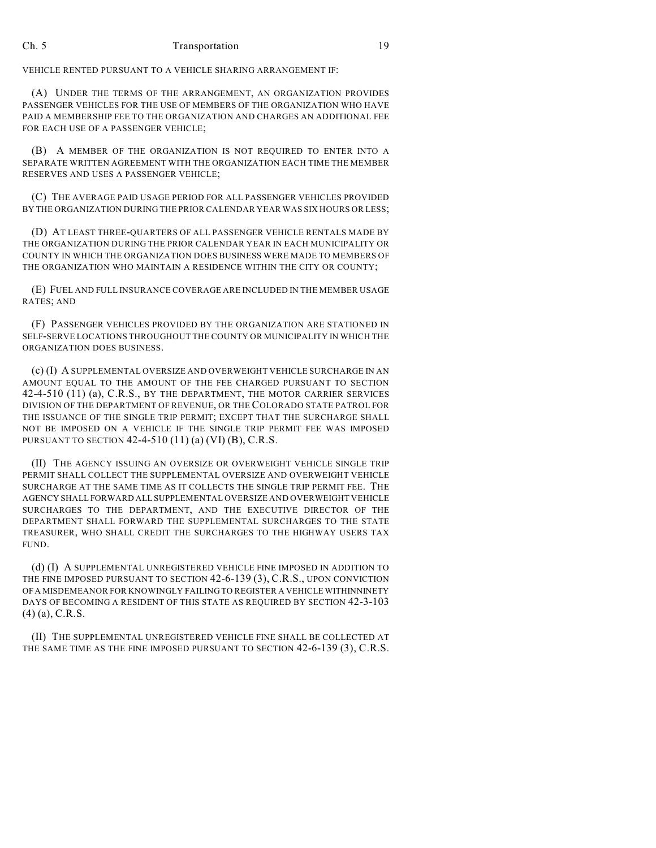VEHICLE RENTED PURSUANT TO A VEHICLE SHARING ARRANGEMENT IF:

(A) UNDER THE TERMS OF THE ARRANGEMENT, AN ORGANIZATION PROVIDES PASSENGER VEHICLES FOR THE USE OF MEMBERS OF THE ORGANIZATION WHO HAVE PAID A MEMBERSHIP FEE TO THE ORGANIZATION AND CHARGES AN ADDITIONAL FEE FOR EACH USE OF A PASSENGER VEHICLE;

(B) A MEMBER OF THE ORGANIZATION IS NOT REQUIRED TO ENTER INTO A SEPARATE WRITTEN AGREEMENT WITH THE ORGANIZATION EACH TIME THE MEMBER RESERVES AND USES A PASSENGER VEHICLE;

(C) THE AVERAGE PAID USAGE PERIOD FOR ALL PASSENGER VEHICLES PROVIDED BY THE ORGANIZATION DURING THE PRIOR CALENDAR YEAR WAS SIX HOURS OR LESS;

(D) AT LEAST THREE-QUARTERS OF ALL PASSENGER VEHICLE RENTALS MADE BY THE ORGANIZATION DURING THE PRIOR CALENDAR YEAR IN EACH MUNICIPALITY OR COUNTY IN WHICH THE ORGANIZATION DOES BUSINESS WERE MADE TO MEMBERS OF THE ORGANIZATION WHO MAINTAIN A RESIDENCE WITHIN THE CITY OR COUNTY;

(E) FUEL AND FULL INSURANCE COVERAGE ARE INCLUDED IN THE MEMBER USAGE RATES; AND

(F) PASSENGER VEHICLES PROVIDED BY THE ORGANIZATION ARE STATIONED IN SELF-SERVE LOCATIONS THROUGHOUT THE COUNTY OR MUNICIPALITY IN WHICH THE ORGANIZATION DOES BUSINESS.

(c) (I) A SUPPLEMENTAL OVERSIZE AND OVERWEIGHT VEHICLE SURCHARGE IN AN AMOUNT EQUAL TO THE AMOUNT OF THE FEE CHARGED PURSUANT TO SECTION 42-4-510 (11) (a), C.R.S., BY THE DEPARTMENT, THE MOTOR CARRIER SERVICES DIVISION OF THE DEPARTMENT OF REVENUE, OR THE COLORADO STATE PATROL FOR THE ISSUANCE OF THE SINGLE TRIP PERMIT; EXCEPT THAT THE SURCHARGE SHALL NOT BE IMPOSED ON A VEHICLE IF THE SINGLE TRIP PERMIT FEE WAS IMPOSED PURSUANT TO SECTION 42-4-510 (11) (a) (VI) (B), C.R.S.

(II) THE AGENCY ISSUING AN OVERSIZE OR OVERWEIGHT VEHICLE SINGLE TRIP PERMIT SHALL COLLECT THE SUPPLEMENTAL OVERSIZE AND OVERWEIGHT VEHICLE SURCHARGE AT THE SAME TIME AS IT COLLECTS THE SINGLE TRIP PERMIT FEE. THE AGENCY SHALL FORWARD ALL SUPPLEMENTAL OVERSIZE AND OVERWEIGHT VEHICLE SURCHARGES TO THE DEPARTMENT, AND THE EXECUTIVE DIRECTOR OF THE DEPARTMENT SHALL FORWARD THE SUPPLEMENTAL SURCHARGES TO THE STATE TREASURER, WHO SHALL CREDIT THE SURCHARGES TO THE HIGHWAY USERS TAX FUND.

(d) (I) A SUPPLEMENTAL UNREGISTERED VEHICLE FINE IMPOSED IN ADDITION TO THE FINE IMPOSED PURSUANT TO SECTION 42-6-139 (3), C.R.S., UPON CONVICTION OF A MISDEMEANOR FOR KNOWINGLY FAILING TO REGISTER A VEHICLE WITHINNINETY DAYS OF BECOMING A RESIDENT OF THIS STATE AS REQUIRED BY SECTION 42-3-103 (4) (a), C.R.S.

(II) THE SUPPLEMENTAL UNREGISTERED VEHICLE FINE SHALL BE COLLECTED AT THE SAME TIME AS THE FINE IMPOSED PURSUANT TO SECTION 42-6-139 (3), C.R.S.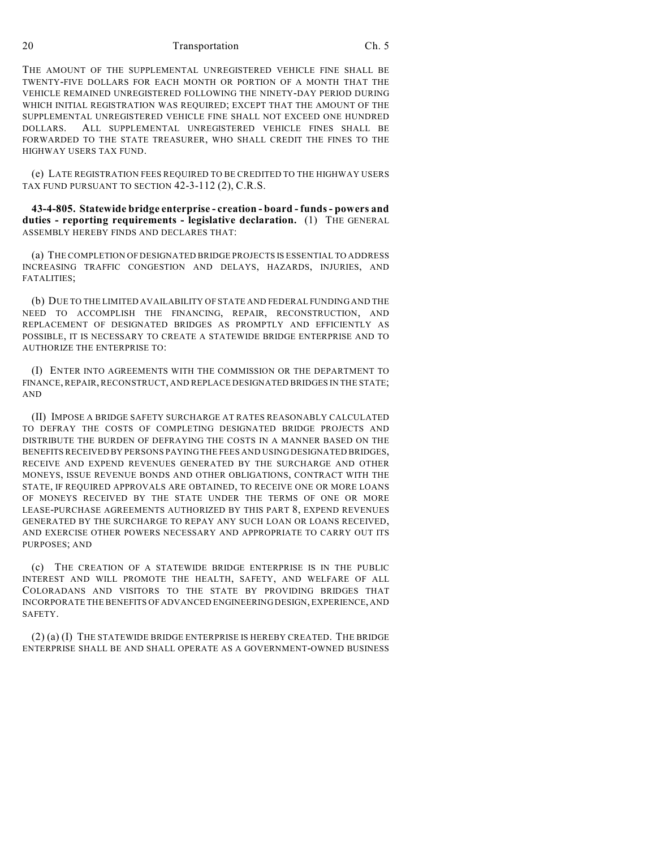THE AMOUNT OF THE SUPPLEMENTAL UNREGISTERED VEHICLE FINE SHALL BE TWENTY-FIVE DOLLARS FOR EACH MONTH OR PORTION OF A MONTH THAT THE VEHICLE REMAINED UNREGISTERED FOLLOWING THE NINETY-DAY PERIOD DURING WHICH INITIAL REGISTRATION WAS REQUIRED; EXCEPT THAT THE AMOUNT OF THE SUPPLEMENTAL UNREGISTERED VEHICLE FINE SHALL NOT EXCEED ONE HUNDRED DOLLARS. ALL SUPPLEMENTAL UNREGISTERED VEHICLE FINES SHALL BE FORWARDED TO THE STATE TREASURER, WHO SHALL CREDIT THE FINES TO THE HIGHWAY USERS TAX FUND.

(e) LATE REGISTRATION FEES REQUIRED TO BE CREDITED TO THE HIGHWAY USERS TAX FUND PURSUANT TO SECTION 42-3-112 (2), C.R.S.

**43-4-805. Statewide bridge enterprise - creation - board - funds - powers and duties - reporting requirements - legislative declaration.** (1) THE GENERAL ASSEMBLY HEREBY FINDS AND DECLARES THAT:

(a) THE COMPLETION OF DESIGNATED BRIDGE PROJECTS IS ESSENTIAL TO ADDRESS INCREASING TRAFFIC CONGESTION AND DELAYS, HAZARDS, INJURIES, AND FATALITIES;

(b) DUE TO THE LIMITED AVAILABILITY OF STATE AND FEDERAL FUNDING AND THE NEED TO ACCOMPLISH THE FINANCING, REPAIR, RECONSTRUCTION, AND REPLACEMENT OF DESIGNATED BRIDGES AS PROMPTLY AND EFFICIENTLY AS POSSIBLE, IT IS NECESSARY TO CREATE A STATEWIDE BRIDGE ENTERPRISE AND TO AUTHORIZE THE ENTERPRISE TO:

(I) ENTER INTO AGREEMENTS WITH THE COMMISSION OR THE DEPARTMENT TO FINANCE, REPAIR, RECONSTRUCT, AND REPLACE DESIGNATED BRIDGES IN THE STATE; AND

(II) IMPOSE A BRIDGE SAFETY SURCHARGE AT RATES REASONABLY CALCULATED TO DEFRAY THE COSTS OF COMPLETING DESIGNATED BRIDGE PROJECTS AND DISTRIBUTE THE BURDEN OF DEFRAYING THE COSTS IN A MANNER BASED ON THE BENEFITS RECEIVED BY PERSONS PAYING THE FEES AND USING DESIGNATED BRIDGES, RECEIVE AND EXPEND REVENUES GENERATED BY THE SURCHARGE AND OTHER MONEYS, ISSUE REVENUE BONDS AND OTHER OBLIGATIONS, CONTRACT WITH THE STATE, IF REQUIRED APPROVALS ARE OBTAINED, TO RECEIVE ONE OR MORE LOANS OF MONEYS RECEIVED BY THE STATE UNDER THE TERMS OF ONE OR MORE LEASE-PURCHASE AGREEMENTS AUTHORIZED BY THIS PART 8, EXPEND REVENUES GENERATED BY THE SURCHARGE TO REPAY ANY SUCH LOAN OR LOANS RECEIVED, AND EXERCISE OTHER POWERS NECESSARY AND APPROPRIATE TO CARRY OUT ITS PURPOSES; AND

(c) THE CREATION OF A STATEWIDE BRIDGE ENTERPRISE IS IN THE PUBLIC INTEREST AND WILL PROMOTE THE HEALTH, SAFETY, AND WELFARE OF ALL COLORADANS AND VISITORS TO THE STATE BY PROVIDING BRIDGES THAT INCORPORATE THE BENEFITS OF ADVANCED ENGINEERING DESIGN, EXPERIENCE, AND SAFETY.

(2) (a) (I) THE STATEWIDE BRIDGE ENTERPRISE IS HEREBY CREATED. THE BRIDGE ENTERPRISE SHALL BE AND SHALL OPERATE AS A GOVERNMENT-OWNED BUSINESS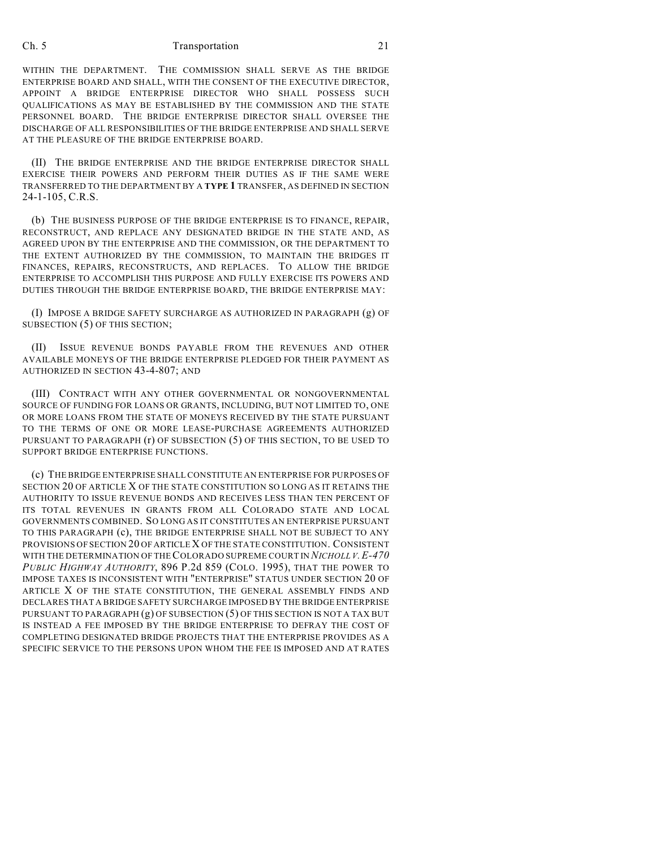WITHIN THE DEPARTMENT. THE COMMISSION SHALL SERVE AS THE BRIDGE ENTERPRISE BOARD AND SHALL, WITH THE CONSENT OF THE EXECUTIVE DIRECTOR, APPOINT A BRIDGE ENTERPRISE DIRECTOR WHO SHALL POSSESS SUCH QUALIFICATIONS AS MAY BE ESTABLISHED BY THE COMMISSION AND THE STATE PERSONNEL BOARD. THE BRIDGE ENTERPRISE DIRECTOR SHALL OVERSEE THE DISCHARGE OF ALL RESPONSIBILITIES OF THE BRIDGE ENTERPRISE AND SHALL SERVE AT THE PLEASURE OF THE BRIDGE ENTERPRISE BOARD.

(II) THE BRIDGE ENTERPRISE AND THE BRIDGE ENTERPRISE DIRECTOR SHALL EXERCISE THEIR POWERS AND PERFORM THEIR DUTIES AS IF THE SAME WERE TRANSFERRED TO THE DEPARTMENT BY A **TYPE 1** TRANSFER, AS DEFINED IN SECTION 24-1-105, C.R.S.

(b) THE BUSINESS PURPOSE OF THE BRIDGE ENTERPRISE IS TO FINANCE, REPAIR, RECONSTRUCT, AND REPLACE ANY DESIGNATED BRIDGE IN THE STATE AND, AS AGREED UPON BY THE ENTERPRISE AND THE COMMISSION, OR THE DEPARTMENT TO THE EXTENT AUTHORIZED BY THE COMMISSION, TO MAINTAIN THE BRIDGES IT FINANCES, REPAIRS, RECONSTRUCTS, AND REPLACES. TO ALLOW THE BRIDGE ENTERPRISE TO ACCOMPLISH THIS PURPOSE AND FULLY EXERCISE ITS POWERS AND DUTIES THROUGH THE BRIDGE ENTERPRISE BOARD, THE BRIDGE ENTERPRISE MAY:

(I) IMPOSE A BRIDGE SAFETY SURCHARGE AS AUTHORIZED IN PARAGRAPH (g) OF SUBSECTION (5) OF THIS SECTION;

(II) ISSUE REVENUE BONDS PAYABLE FROM THE REVENUES AND OTHER AVAILABLE MONEYS OF THE BRIDGE ENTERPRISE PLEDGED FOR THEIR PAYMENT AS AUTHORIZED IN SECTION 43-4-807; AND

(III) CONTRACT WITH ANY OTHER GOVERNMENTAL OR NONGOVERNMENTAL SOURCE OF FUNDING FOR LOANS OR GRANTS, INCLUDING, BUT NOT LIMITED TO, ONE OR MORE LOANS FROM THE STATE OF MONEYS RECEIVED BY THE STATE PURSUANT TO THE TERMS OF ONE OR MORE LEASE-PURCHASE AGREEMENTS AUTHORIZED PURSUANT TO PARAGRAPH (r) OF SUBSECTION (5) OF THIS SECTION, TO BE USED TO SUPPORT BRIDGE ENTERPRISE FUNCTIONS.

(c) THE BRIDGE ENTERPRISE SHALL CONSTITUTE AN ENTERPRISE FOR PURPOSES OF SECTION 20 OF ARTICLE X OF THE STATE CONSTITUTION SO LONG AS IT RETAINS THE AUTHORITY TO ISSUE REVENUE BONDS AND RECEIVES LESS THAN TEN PERCENT OF ITS TOTAL REVENUES IN GRANTS FROM ALL COLORADO STATE AND LOCAL GOVERNMENTS COMBINED. SO LONG AS IT CONSTITUTES AN ENTERPRISE PURSUANT TO THIS PARAGRAPH (c), THE BRIDGE ENTERPRISE SHALL NOT BE SUBJECT TO ANY PROVISIONS OF SECTION 20 OF ARTICLE X OF THE STATE CONSTITUTION. CONSISTENT WITH THE DETERMINATION OF THE COLORADO SUPREME COURT IN *NICHOLL V.E-470 PUBLIC HIGHWAY AUTHORITY*, 896 P.2d 859 (COLO. 1995), THAT THE POWER TO IMPOSE TAXES IS INCONSISTENT WITH "ENTERPRISE" STATUS UNDER SECTION 20 OF ARTICLE X OF THE STATE CONSTITUTION, THE GENERAL ASSEMBLY FINDS AND DECLARES THAT A BRIDGE SAFETY SURCHARGE IMPOSED BY THE BRIDGE ENTERPRISE PURSUANT TO PARAGRAPH (g) OF SUBSECTION (5) OF THIS SECTION IS NOT A TAX BUT IS INSTEAD A FEE IMPOSED BY THE BRIDGE ENTERPRISE TO DEFRAY THE COST OF COMPLETING DESIGNATED BRIDGE PROJECTS THAT THE ENTERPRISE PROVIDES AS A SPECIFIC SERVICE TO THE PERSONS UPON WHOM THE FEE IS IMPOSED AND AT RATES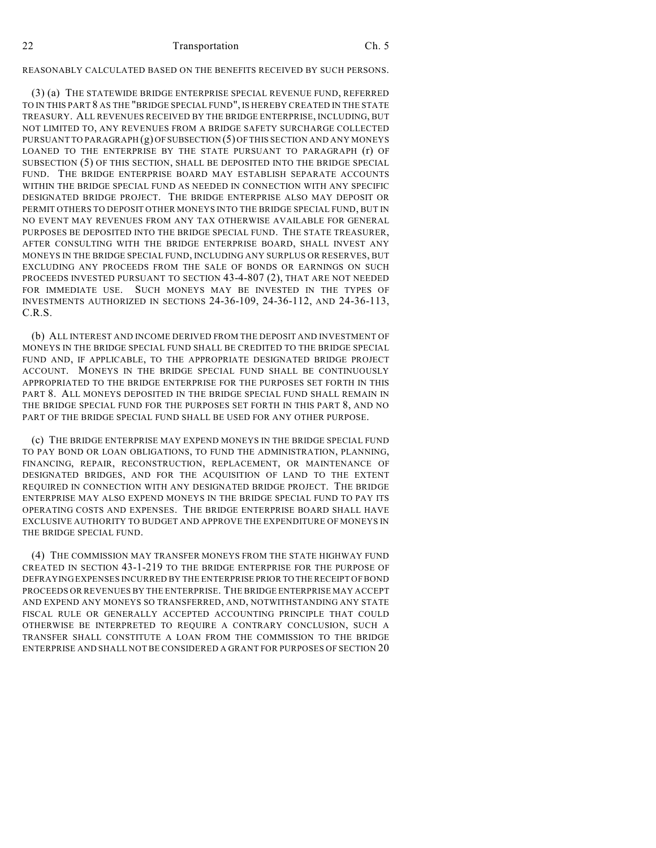## REASONABLY CALCULATED BASED ON THE BENEFITS RECEIVED BY SUCH PERSONS.

(3) (a) THE STATEWIDE BRIDGE ENTERPRISE SPECIAL REVENUE FUND, REFERRED TO IN THIS PART 8 AS THE "BRIDGE SPECIAL FUND", IS HEREBY CREATED IN THE STATE TREASURY. ALL REVENUES RECEIVED BY THE BRIDGE ENTERPRISE, INCLUDING, BUT NOT LIMITED TO, ANY REVENUES FROM A BRIDGE SAFETY SURCHARGE COLLECTED PURSUANT TO PARAGRAPH (g) OF SUBSECTION (5) OF THIS SECTION AND ANY MONEYS LOANED TO THE ENTERPRISE BY THE STATE PURSUANT TO PARAGRAPH (r) OF SUBSECTION (5) OF THIS SECTION, SHALL BE DEPOSITED INTO THE BRIDGE SPECIAL FUND. THE BRIDGE ENTERPRISE BOARD MAY ESTABLISH SEPARATE ACCOUNTS WITHIN THE BRIDGE SPECIAL FUND AS NEEDED IN CONNECTION WITH ANY SPECIFIC DESIGNATED BRIDGE PROJECT. THE BRIDGE ENTERPRISE ALSO MAY DEPOSIT OR PERMIT OTHERS TO DEPOSIT OTHER MONEYS INTO THE BRIDGE SPECIAL FUND, BUT IN NO EVENT MAY REVENUES FROM ANY TAX OTHERWISE AVAILABLE FOR GENERAL PURPOSES BE DEPOSITED INTO THE BRIDGE SPECIAL FUND. THE STATE TREASURER, AFTER CONSULTING WITH THE BRIDGE ENTERPRISE BOARD, SHALL INVEST ANY MONEYS IN THE BRIDGE SPECIAL FUND, INCLUDING ANY SURPLUS OR RESERVES, BUT EXCLUDING ANY PROCEEDS FROM THE SALE OF BONDS OR EARNINGS ON SUCH PROCEEDS INVESTED PURSUANT TO SECTION 43-4-807 (2), THAT ARE NOT NEEDED FOR IMMEDIATE USE. SUCH MONEYS MAY BE INVESTED IN THE TYPES OF INVESTMENTS AUTHORIZED IN SECTIONS 24-36-109, 24-36-112, AND 24-36-113, C.R.S.

(b) ALL INTEREST AND INCOME DERIVED FROM THE DEPOSIT AND INVESTMENT OF MONEYS IN THE BRIDGE SPECIAL FUND SHALL BE CREDITED TO THE BRIDGE SPECIAL FUND AND, IF APPLICABLE, TO THE APPROPRIATE DESIGNATED BRIDGE PROJECT ACCOUNT. MONEYS IN THE BRIDGE SPECIAL FUND SHALL BE CONTINUOUSLY APPROPRIATED TO THE BRIDGE ENTERPRISE FOR THE PURPOSES SET FORTH IN THIS PART 8. ALL MONEYS DEPOSITED IN THE BRIDGE SPECIAL FUND SHALL REMAIN IN THE BRIDGE SPECIAL FUND FOR THE PURPOSES SET FORTH IN THIS PART 8, AND NO PART OF THE BRIDGE SPECIAL FUND SHALL BE USED FOR ANY OTHER PURPOSE.

(c) THE BRIDGE ENTERPRISE MAY EXPEND MONEYS IN THE BRIDGE SPECIAL FUND TO PAY BOND OR LOAN OBLIGATIONS, TO FUND THE ADMINISTRATION, PLANNING, FINANCING, REPAIR, RECONSTRUCTION, REPLACEMENT, OR MAINTENANCE OF DESIGNATED BRIDGES, AND FOR THE ACQUISITION OF LAND TO THE EXTENT REQUIRED IN CONNECTION WITH ANY DESIGNATED BRIDGE PROJECT. THE BRIDGE ENTERPRISE MAY ALSO EXPEND MONEYS IN THE BRIDGE SPECIAL FUND TO PAY ITS OPERATING COSTS AND EXPENSES. THE BRIDGE ENTERPRISE BOARD SHALL HAVE EXCLUSIVE AUTHORITY TO BUDGET AND APPROVE THE EXPENDITURE OF MONEYS IN THE BRIDGE SPECIAL FUND.

(4) THE COMMISSION MAY TRANSFER MONEYS FROM THE STATE HIGHWAY FUND CREATED IN SECTION 43-1-219 TO THE BRIDGE ENTERPRISE FOR THE PURPOSE OF DEFRAYING EXPENSES INCURRED BY THE ENTERPRISE PRIOR TO THE RECEIPT OF BOND PROCEEDS OR REVENUES BY THE ENTERPRISE. THE BRIDGE ENTERPRISE MAY ACCEPT AND EXPEND ANY MONEYS SO TRANSFERRED, AND, NOTWITHSTANDING ANY STATE FISCAL RULE OR GENERALLY ACCEPTED ACCOUNTING PRINCIPLE THAT COULD OTHERWISE BE INTERPRETED TO REQUIRE A CONTRARY CONCLUSION, SUCH A TRANSFER SHALL CONSTITUTE A LOAN FROM THE COMMISSION TO THE BRIDGE ENTERPRISE AND SHALL NOT BE CONSIDERED A GRANT FOR PURPOSES OF SECTION 20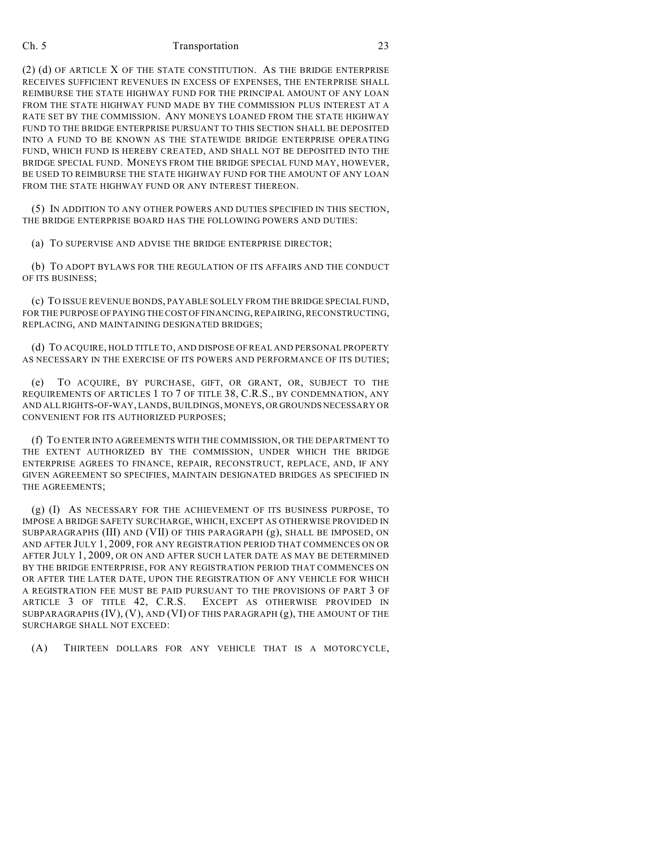(2) (d) OF ARTICLE X OF THE STATE CONSTITUTION. AS THE BRIDGE ENTERPRISE RECEIVES SUFFICIENT REVENUES IN EXCESS OF EXPENSES, THE ENTERPRISE SHALL REIMBURSE THE STATE HIGHWAY FUND FOR THE PRINCIPAL AMOUNT OF ANY LOAN FROM THE STATE HIGHWAY FUND MADE BY THE COMMISSION PLUS INTEREST AT A RATE SET BY THE COMMISSION. ANY MONEYS LOANED FROM THE STATE HIGHWAY FUND TO THE BRIDGE ENTERPRISE PURSUANT TO THIS SECTION SHALL BE DEPOSITED INTO A FUND TO BE KNOWN AS THE STATEWIDE BRIDGE ENTERPRISE OPERATING FUND, WHICH FUND IS HEREBY CREATED, AND SHALL NOT BE DEPOSITED INTO THE BRIDGE SPECIAL FUND. MONEYS FROM THE BRIDGE SPECIAL FUND MAY, HOWEVER, BE USED TO REIMBURSE THE STATE HIGHWAY FUND FOR THE AMOUNT OF ANY LOAN FROM THE STATE HIGHWAY FUND OR ANY INTEREST THEREON.

(5) IN ADDITION TO ANY OTHER POWERS AND DUTIES SPECIFIED IN THIS SECTION, THE BRIDGE ENTERPRISE BOARD HAS THE FOLLOWING POWERS AND DUTIES:

(a) TO SUPERVISE AND ADVISE THE BRIDGE ENTERPRISE DIRECTOR;

(b) TO ADOPT BYLAWS FOR THE REGULATION OF ITS AFFAIRS AND THE CONDUCT OF ITS BUSINESS;

(c) TO ISSUE REVENUE BONDS, PAYABLE SOLELY FROM THE BRIDGE SPECIAL FUND, FOR THE PURPOSE OF PAYING THE COST OF FINANCING, REPAIRING, RECONSTRUCTING, REPLACING, AND MAINTAINING DESIGNATED BRIDGES;

(d) TO ACQUIRE, HOLD TITLE TO, AND DISPOSE OFREAL AND PERSONAL PROPERTY AS NECESSARY IN THE EXERCISE OF ITS POWERS AND PERFORMANCE OF ITS DUTIES;

(e) TO ACQUIRE, BY PURCHASE, GIFT, OR GRANT, OR, SUBJECT TO THE REQUIREMENTS OF ARTICLES 1 TO 7 OF TITLE 38, C.R.S., BY CONDEMNATION, ANY AND ALL RIGHTS-OF-WAY, LANDS, BUILDINGS, MONEYS, OR GROUNDS NECESSARY OR CONVENIENT FOR ITS AUTHORIZED PURPOSES;

(f) TO ENTER INTO AGREEMENTS WITH THE COMMISSION, OR THE DEPARTMENT TO THE EXTENT AUTHORIZED BY THE COMMISSION, UNDER WHICH THE BRIDGE ENTERPRISE AGREES TO FINANCE, REPAIR, RECONSTRUCT, REPLACE, AND, IF ANY GIVEN AGREEMENT SO SPECIFIES, MAINTAIN DESIGNATED BRIDGES AS SPECIFIED IN THE AGREEMENTS;

(g) (I) AS NECESSARY FOR THE ACHIEVEMENT OF ITS BUSINESS PURPOSE, TO IMPOSE A BRIDGE SAFETY SURCHARGE, WHICH, EXCEPT AS OTHERWISE PROVIDED IN SUBPARAGRAPHS (III) AND (VII) OF THIS PARAGRAPH (g), SHALL BE IMPOSED, ON AND AFTER JULY 1, 2009, FOR ANY REGISTRATION PERIOD THAT COMMENCES ON OR AFTER JULY 1, 2009, OR ON AND AFTER SUCH LATER DATE AS MAY BE DETERMINED BY THE BRIDGE ENTERPRISE, FOR ANY REGISTRATION PERIOD THAT COMMENCES ON OR AFTER THE LATER DATE, UPON THE REGISTRATION OF ANY VEHICLE FOR WHICH A REGISTRATION FEE MUST BE PAID PURSUANT TO THE PROVISIONS OF PART 3 OF ARTICLE 3 OF TITLE 42, C.R.S. EXCEPT AS OTHERWISE PROVIDED IN SUBPARAGRAPHS (IV), (V), AND (VI) OF THIS PARAGRAPH (g), THE AMOUNT OF THE SURCHARGE SHALL NOT EXCEED:

(A) THIRTEEN DOLLARS FOR ANY VEHICLE THAT IS A MOTORCYCLE,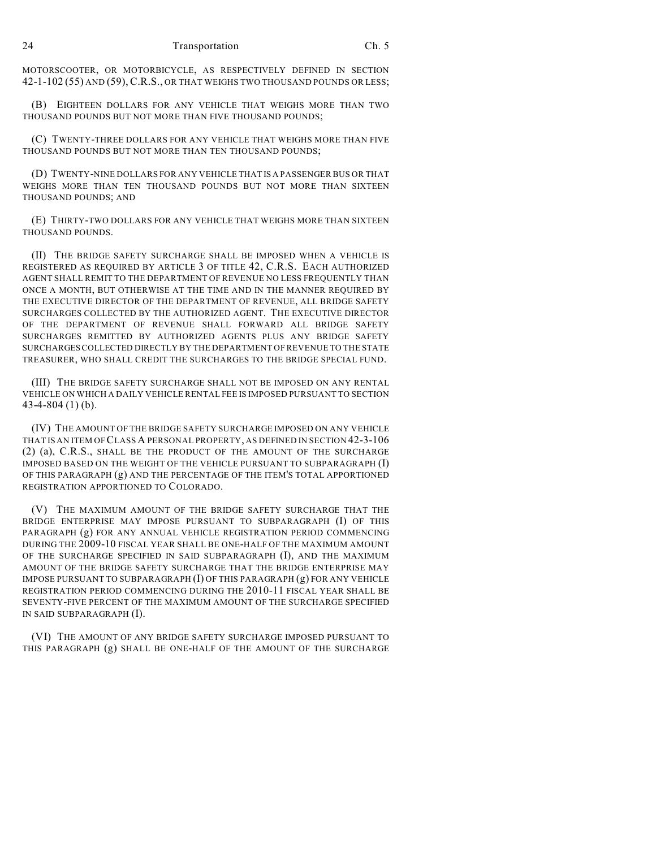MOTORSCOOTER, OR MOTORBICYCLE, AS RESPECTIVELY DEFINED IN SECTION 42-1-102 (55) AND (59), C.R.S., OR THAT WEIGHS TWO THOUSAND POUNDS OR LESS;

(B) EIGHTEEN DOLLARS FOR ANY VEHICLE THAT WEIGHS MORE THAN TWO THOUSAND POUNDS BUT NOT MORE THAN FIVE THOUSAND POUNDS;

(C) TWENTY-THREE DOLLARS FOR ANY VEHICLE THAT WEIGHS MORE THAN FIVE THOUSAND POUNDS BUT NOT MORE THAN TEN THOUSAND POUNDS;

(D) TWENTY-NINE DOLLARS FOR ANY VEHICLE THAT IS A PASSENGER BUS OR THAT WEIGHS MORE THAN TEN THOUSAND POUNDS BUT NOT MORE THAN SIXTEEN THOUSAND POUNDS; AND

(E) THIRTY-TWO DOLLARS FOR ANY VEHICLE THAT WEIGHS MORE THAN SIXTEEN THOUSAND POUNDS.

(II) THE BRIDGE SAFETY SURCHARGE SHALL BE IMPOSED WHEN A VEHICLE IS REGISTERED AS REQUIRED BY ARTICLE 3 OF TITLE 42, C.R.S. EACH AUTHORIZED AGENT SHALL REMIT TO THE DEPARTMENT OF REVENUE NO LESS FREQUENTLY THAN ONCE A MONTH, BUT OTHERWISE AT THE TIME AND IN THE MANNER REQUIRED BY THE EXECUTIVE DIRECTOR OF THE DEPARTMENT OF REVENUE, ALL BRIDGE SAFETY SURCHARGES COLLECTED BY THE AUTHORIZED AGENT. THE EXECUTIVE DIRECTOR OF THE DEPARTMENT OF REVENUE SHALL FORWARD ALL BRIDGE SAFETY SURCHARGES REMITTED BY AUTHORIZED AGENTS PLUS ANY BRIDGE SAFETY SURCHARGES COLLECTED DIRECTLY BY THE DEPARTMENT OF REVENUE TO THE STATE TREASURER, WHO SHALL CREDIT THE SURCHARGES TO THE BRIDGE SPECIAL FUND.

(III) THE BRIDGE SAFETY SURCHARGE SHALL NOT BE IMPOSED ON ANY RENTAL VEHICLE ON WHICH A DAILY VEHICLE RENTAL FEE IS IMPOSED PURSUANT TO SECTION 43-4-804 (1) (b).

(IV) THE AMOUNT OF THE BRIDGE SAFETY SURCHARGE IMPOSED ON ANY VEHICLE THAT IS AN ITEM OF CLASS A PERSONAL PROPERTY, AS DEFINED IN SECTION 42-3-106 (2) (a), C.R.S., SHALL BE THE PRODUCT OF THE AMOUNT OF THE SURCHARGE IMPOSED BASED ON THE WEIGHT OF THE VEHICLE PURSUANT TO SUBPARAGRAPH (I) OF THIS PARAGRAPH (g) AND THE PERCENTAGE OF THE ITEM'S TOTAL APPORTIONED REGISTRATION APPORTIONED TO COLORADO.

(V) THE MAXIMUM AMOUNT OF THE BRIDGE SAFETY SURCHARGE THAT THE BRIDGE ENTERPRISE MAY IMPOSE PURSUANT TO SUBPARAGRAPH (I) OF THIS PARAGRAPH (g) FOR ANY ANNUAL VEHICLE REGISTRATION PERIOD COMMENCING DURING THE 2009-10 FISCAL YEAR SHALL BE ONE-HALF OF THE MAXIMUM AMOUNT OF THE SURCHARGE SPECIFIED IN SAID SUBPARAGRAPH (I), AND THE MAXIMUM AMOUNT OF THE BRIDGE SAFETY SURCHARGE THAT THE BRIDGE ENTERPRISE MAY IMPOSE PURSUANT TO SUBPARAGRAPH (I) OF THIS PARAGRAPH (g) FOR ANY VEHICLE REGISTRATION PERIOD COMMENCING DURING THE 2010-11 FISCAL YEAR SHALL BE SEVENTY-FIVE PERCENT OF THE MAXIMUM AMOUNT OF THE SURCHARGE SPECIFIED IN SAID SUBPARAGRAPH (I).

(VI) THE AMOUNT OF ANY BRIDGE SAFETY SURCHARGE IMPOSED PURSUANT TO THIS PARAGRAPH (g) SHALL BE ONE-HALF OF THE AMOUNT OF THE SURCHARGE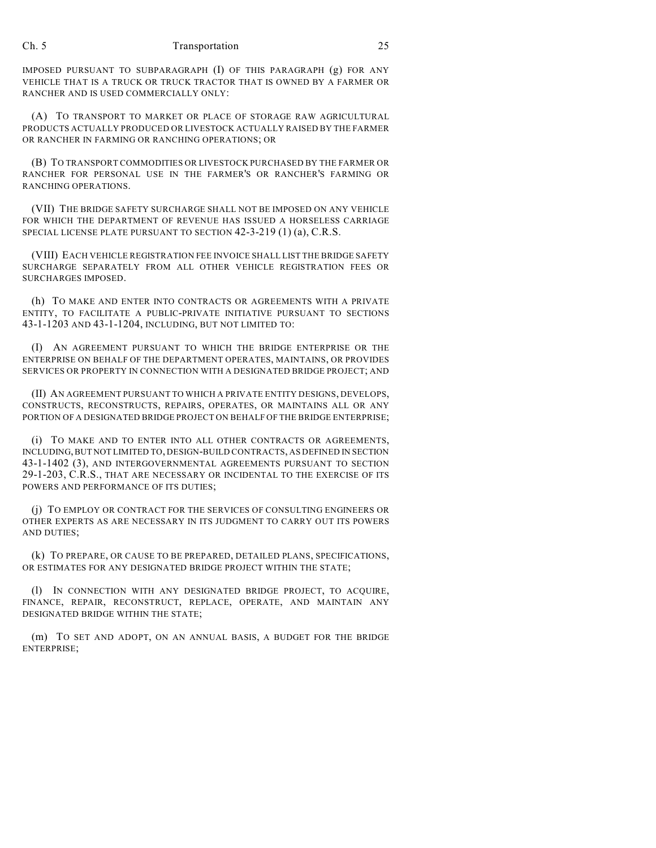IMPOSED PURSUANT TO SUBPARAGRAPH (I) OF THIS PARAGRAPH (g) FOR ANY VEHICLE THAT IS A TRUCK OR TRUCK TRACTOR THAT IS OWNED BY A FARMER OR RANCHER AND IS USED COMMERCIALLY ONLY:

(A) TO TRANSPORT TO MARKET OR PLACE OF STORAGE RAW AGRICULTURAL PRODUCTS ACTUALLY PRODUCED OR LIVESTOCK ACTUALLY RAISED BY THE FARMER OR RANCHER IN FARMING OR RANCHING OPERATIONS; OR

(B) TO TRANSPORT COMMODITIES OR LIVESTOCK PURCHASED BY THE FARMER OR RANCHER FOR PERSONAL USE IN THE FARMER'S OR RANCHER'S FARMING OR RANCHING OPERATIONS.

(VII) THE BRIDGE SAFETY SURCHARGE SHALL NOT BE IMPOSED ON ANY VEHICLE FOR WHICH THE DEPARTMENT OF REVENUE HAS ISSUED A HORSELESS CARRIAGE SPECIAL LICENSE PLATE PURSUANT TO SECTION 42-3-219 (1) (a), C.R.S.

(VIII) EACH VEHICLE REGISTRATION FEE INVOICE SHALL LIST THE BRIDGE SAFETY SURCHARGE SEPARATELY FROM ALL OTHER VEHICLE REGISTRATION FEES OR SURCHARGES IMPOSED.

(h) TO MAKE AND ENTER INTO CONTRACTS OR AGREEMENTS WITH A PRIVATE ENTITY, TO FACILITATE A PUBLIC-PRIVATE INITIATIVE PURSUANT TO SECTIONS 43-1-1203 AND 43-1-1204, INCLUDING, BUT NOT LIMITED TO:

(I) AN AGREEMENT PURSUANT TO WHICH THE BRIDGE ENTERPRISE OR THE ENTERPRISE ON BEHALF OF THE DEPARTMENT OPERATES, MAINTAINS, OR PROVIDES SERVICES OR PROPERTY IN CONNECTION WITH A DESIGNATED BRIDGE PROJECT; AND

(II) AN AGREEMENT PURSUANT TO WHICH A PRIVATE ENTITY DESIGNS, DEVELOPS, CONSTRUCTS, RECONSTRUCTS, REPAIRS, OPERATES, OR MAINTAINS ALL OR ANY PORTION OF A DESIGNATED BRIDGE PROJECT ON BEHALF OF THE BRIDGE ENTERPRISE;

(i) TO MAKE AND TO ENTER INTO ALL OTHER CONTRACTS OR AGREEMENTS, INCLUDING, BUT NOT LIMITED TO, DESIGN-BUILD CONTRACTS, AS DEFINED IN SECTION 43-1-1402 (3), AND INTERGOVERNMENTAL AGREEMENTS PURSUANT TO SECTION 29-1-203, C.R.S., THAT ARE NECESSARY OR INCIDENTAL TO THE EXERCISE OF ITS POWERS AND PERFORMANCE OF ITS DUTIES;

(j) TO EMPLOY OR CONTRACT FOR THE SERVICES OF CONSULTING ENGINEERS OR OTHER EXPERTS AS ARE NECESSARY IN ITS JUDGMENT TO CARRY OUT ITS POWERS AND DUTIES;

(k) TO PREPARE, OR CAUSE TO BE PREPARED, DETAILED PLANS, SPECIFICATIONS, OR ESTIMATES FOR ANY DESIGNATED BRIDGE PROJECT WITHIN THE STATE;

(l) IN CONNECTION WITH ANY DESIGNATED BRIDGE PROJECT, TO ACQUIRE, FINANCE, REPAIR, RECONSTRUCT, REPLACE, OPERATE, AND MAINTAIN ANY DESIGNATED BRIDGE WITHIN THE STATE;

(m) TO SET AND ADOPT, ON AN ANNUAL BASIS, A BUDGET FOR THE BRIDGE ENTERPRISE;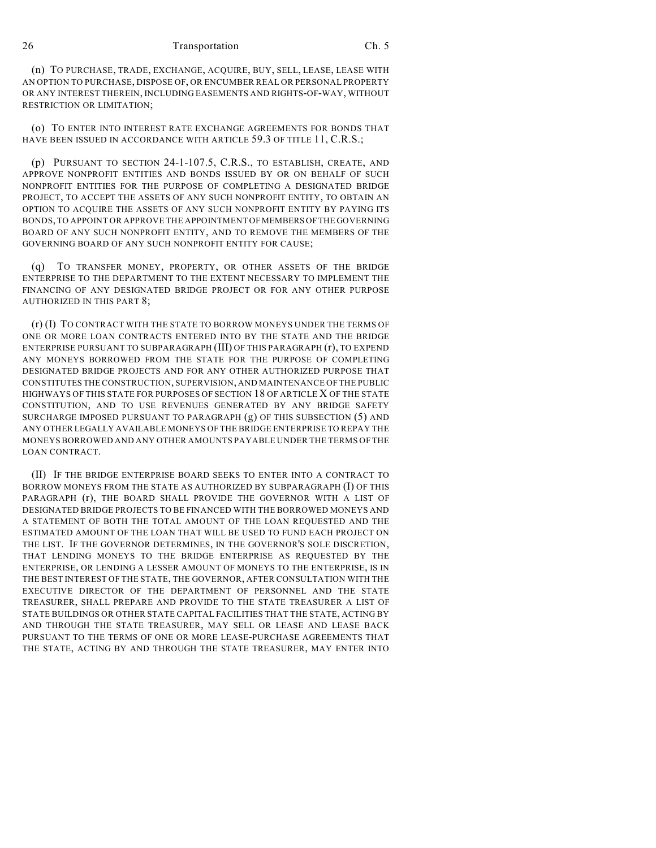(n) TO PURCHASE, TRADE, EXCHANGE, ACQUIRE, BUY, SELL, LEASE, LEASE WITH AN OPTION TO PURCHASE, DISPOSE OF, OR ENCUMBER REAL OR PERSONAL PROPERTY OR ANY INTEREST THEREIN, INCLUDING EASEMENTS AND RIGHTS-OF-WAY, WITHOUT RESTRICTION OR LIMITATION;

(o) TO ENTER INTO INTEREST RATE EXCHANGE AGREEMENTS FOR BONDS THAT HAVE BEEN ISSUED IN ACCORDANCE WITH ARTICLE 59.3 OF TITLE 11, C.R.S.;

(p) PURSUANT TO SECTION 24-1-107.5, C.R.S., TO ESTABLISH, CREATE, AND APPROVE NONPROFIT ENTITIES AND BONDS ISSUED BY OR ON BEHALF OF SUCH NONPROFIT ENTITIES FOR THE PURPOSE OF COMPLETING A DESIGNATED BRIDGE PROJECT, TO ACCEPT THE ASSETS OF ANY SUCH NONPROFIT ENTITY, TO OBTAIN AN OPTION TO ACQUIRE THE ASSETS OF ANY SUCH NONPROFIT ENTITY BY PAYING ITS BONDS, TO APPOINT OR APPROVE THE APPOINTMENT OF MEMBERS OF THE GOVERNING BOARD OF ANY SUCH NONPROFIT ENTITY, AND TO REMOVE THE MEMBERS OF THE GOVERNING BOARD OF ANY SUCH NONPROFIT ENTITY FOR CAUSE;

(q) TO TRANSFER MONEY, PROPERTY, OR OTHER ASSETS OF THE BRIDGE ENTERPRISE TO THE DEPARTMENT TO THE EXTENT NECESSARY TO IMPLEMENT THE FINANCING OF ANY DESIGNATED BRIDGE PROJECT OR FOR ANY OTHER PURPOSE AUTHORIZED IN THIS PART 8;

(r) (I) TO CONTRACT WITH THE STATE TO BORROW MONEYS UNDER THE TERMS OF ONE OR MORE LOAN CONTRACTS ENTERED INTO BY THE STATE AND THE BRIDGE ENTERPRISE PURSUANT TO SUBPARAGRAPH (III) OF THIS PARAGRAPH (r), TO EXPEND ANY MONEYS BORROWED FROM THE STATE FOR THE PURPOSE OF COMPLETING DESIGNATED BRIDGE PROJECTS AND FOR ANY OTHER AUTHORIZED PURPOSE THAT CONSTITUTES THE CONSTRUCTION, SUPERVISION, AND MAINTENANCE OF THE PUBLIC HIGHWAYS OF THIS STATE FOR PURPOSES OF SECTION 18 OF ARTICLE X OF THE STATE CONSTITUTION, AND TO USE REVENUES GENERATED BY ANY BRIDGE SAFETY SURCHARGE IMPOSED PURSUANT TO PARAGRAPH (g) OF THIS SUBSECTION (5) AND ANY OTHER LEGALLY AVAILABLE MONEYS OF THE BRIDGE ENTERPRISE TO REPAY THE MONEYS BORROWED AND ANY OTHER AMOUNTS PAYABLE UNDER THE TERMS OF THE LOAN CONTRACT.

(II) IF THE BRIDGE ENTERPRISE BOARD SEEKS TO ENTER INTO A CONTRACT TO BORROW MONEYS FROM THE STATE AS AUTHORIZED BY SUBPARAGRAPH (I) OF THIS PARAGRAPH (r), THE BOARD SHALL PROVIDE THE GOVERNOR WITH A LIST OF DESIGNATED BRIDGE PROJECTS TO BE FINANCED WITH THE BORROWED MONEYS AND A STATEMENT OF BOTH THE TOTAL AMOUNT OF THE LOAN REQUESTED AND THE ESTIMATED AMOUNT OF THE LOAN THAT WILL BE USED TO FUND EACH PROJECT ON THE LIST. IF THE GOVERNOR DETERMINES, IN THE GOVERNOR'S SOLE DISCRETION, THAT LENDING MONEYS TO THE BRIDGE ENTERPRISE AS REQUESTED BY THE ENTERPRISE, OR LENDING A LESSER AMOUNT OF MONEYS TO THE ENTERPRISE, IS IN THE BEST INTEREST OF THE STATE, THE GOVERNOR, AFTER CONSULTATION WITH THE EXECUTIVE DIRECTOR OF THE DEPARTMENT OF PERSONNEL AND THE STATE TREASURER, SHALL PREPARE AND PROVIDE TO THE STATE TREASURER A LIST OF STATE BUILDINGS OR OTHER STATE CAPITAL FACILITIES THAT THE STATE, ACTING BY AND THROUGH THE STATE TREASURER, MAY SELL OR LEASE AND LEASE BACK PURSUANT TO THE TERMS OF ONE OR MORE LEASE-PURCHASE AGREEMENTS THAT THE STATE, ACTING BY AND THROUGH THE STATE TREASURER, MAY ENTER INTO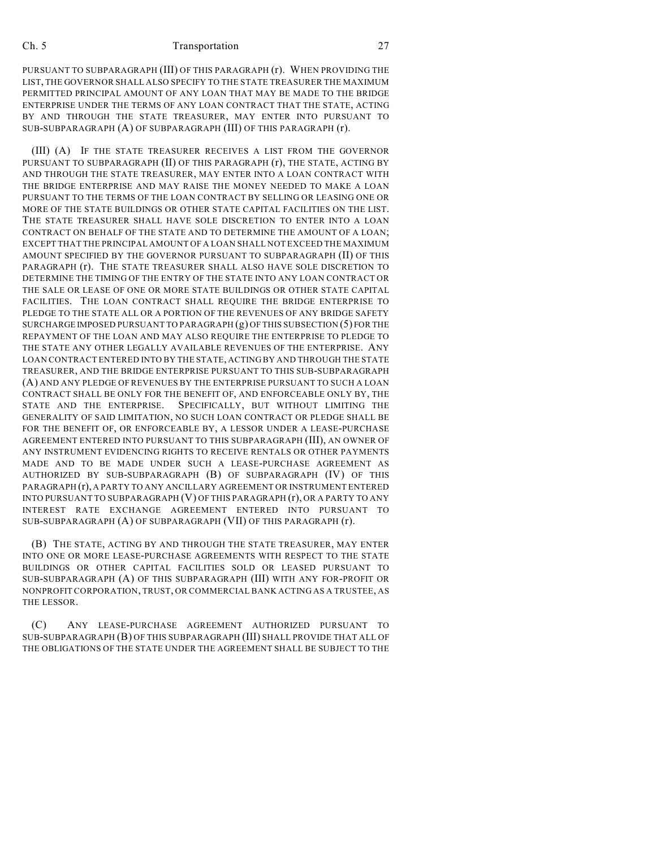PURSUANT TO SUBPARAGRAPH (III) OF THIS PARAGRAPH (r). WHEN PROVIDING THE LIST, THE GOVERNOR SHALL ALSO SPECIFY TO THE STATE TREASURER THE MAXIMUM PERMITTED PRINCIPAL AMOUNT OF ANY LOAN THAT MAY BE MADE TO THE BRIDGE ENTERPRISE UNDER THE TERMS OF ANY LOAN CONTRACT THAT THE STATE, ACTING BY AND THROUGH THE STATE TREASURER, MAY ENTER INTO PURSUANT TO SUB-SUBPARAGRAPH (A) OF SUBPARAGRAPH (III) OF THIS PARAGRAPH (r).

(III) (A) IF THE STATE TREASURER RECEIVES A LIST FROM THE GOVERNOR PURSUANT TO SUBPARAGRAPH (II) OF THIS PARAGRAPH (r), THE STATE, ACTING BY AND THROUGH THE STATE TREASURER, MAY ENTER INTO A LOAN CONTRACT WITH THE BRIDGE ENTERPRISE AND MAY RAISE THE MONEY NEEDED TO MAKE A LOAN PURSUANT TO THE TERMS OF THE LOAN CONTRACT BY SELLING OR LEASING ONE OR MORE OF THE STATE BUILDINGS OR OTHER STATE CAPITAL FACILITIES ON THE LIST. THE STATE TREASURER SHALL HAVE SOLE DISCRETION TO ENTER INTO A LOAN CONTRACT ON BEHALF OF THE STATE AND TO DETERMINE THE AMOUNT OF A LOAN; EXCEPT THAT THE PRINCIPAL AMOUNT OF A LOAN SHALL NOT EXCEED THE MAXIMUM AMOUNT SPECIFIED BY THE GOVERNOR PURSUANT TO SUBPARAGRAPH (II) OF THIS PARAGRAPH (r). THE STATE TREASURER SHALL ALSO HAVE SOLE DISCRETION TO DETERMINE THE TIMING OF THE ENTRY OF THE STATE INTO ANY LOAN CONTRACT OR THE SALE OR LEASE OF ONE OR MORE STATE BUILDINGS OR OTHER STATE CAPITAL FACILITIES. THE LOAN CONTRACT SHALL REQUIRE THE BRIDGE ENTERPRISE TO PLEDGE TO THE STATE ALL OR A PORTION OF THE REVENUES OF ANY BRIDGE SAFETY SURCHARGE IMPOSED PURSUANT TO PARAGRAPH (g) OF THIS SUBSECTION (5) FOR THE REPAYMENT OF THE LOAN AND MAY ALSO REQUIRE THE ENTERPRISE TO PLEDGE TO THE STATE ANY OTHER LEGALLY AVAILABLE REVENUES OF THE ENTERPRISE. ANY LOAN CONTRACT ENTERED INTO BY THE STATE, ACTING BY AND THROUGH THE STATE TREASURER, AND THE BRIDGE ENTERPRISE PURSUANT TO THIS SUB-SUBPARAGRAPH (A) AND ANY PLEDGE OF REVENUES BY THE ENTERPRISE PURSUANT TO SUCH A LOAN CONTRACT SHALL BE ONLY FOR THE BENEFIT OF, AND ENFORCEABLE ONLY BY, THE STATE AND THE ENTERPRISE. SPECIFICALLY, BUT WITHOUT LIMITING THE GENERALITY OF SAID LIMITATION, NO SUCH LOAN CONTRACT OR PLEDGE SHALL BE FOR THE BENEFIT OF, OR ENFORCEABLE BY, A LESSOR UNDER A LEASE-PURCHASE AGREEMENT ENTERED INTO PURSUANT TO THIS SUBPARAGRAPH (III), AN OWNER OF ANY INSTRUMENT EVIDENCING RIGHTS TO RECEIVE RENTALS OR OTHER PAYMENTS MADE AND TO BE MADE UNDER SUCH A LEASE-PURCHASE AGREEMENT AS AUTHORIZED BY SUB-SUBPARAGRAPH (B) OF SUBPARAGRAPH (IV) OF THIS PARAGRAPH (r), A PARTY TO ANY ANCILLARY AGREEMENT OR INSTRUMENT ENTERED INTO PURSUANT TO SUBPARAGRAPH (V) OF THIS PARAGRAPH (r), OR A PARTY TO ANY INTEREST RATE EXCHANGE AGREEMENT ENTERED INTO PURSUANT TO SUB-SUBPARAGRAPH (A) OF SUBPARAGRAPH (VII) OF THIS PARAGRAPH (r).

(B) THE STATE, ACTING BY AND THROUGH THE STATE TREASURER, MAY ENTER INTO ONE OR MORE LEASE-PURCHASE AGREEMENTS WITH RESPECT TO THE STATE BUILDINGS OR OTHER CAPITAL FACILITIES SOLD OR LEASED PURSUANT TO SUB-SUBPARAGRAPH (A) OF THIS SUBPARAGRAPH (III) WITH ANY FOR-PROFIT OR NONPROFIT CORPORATION, TRUST, OR COMMERCIAL BANK ACTING AS A TRUSTEE, AS THE LESSOR.

(C) ANY LEASE-PURCHASE AGREEMENT AUTHORIZED PURSUANT TO SUB-SUBPARAGRAPH (B) OF THIS SUBPARAGRAPH (III) SHALL PROVIDE THAT ALL OF THE OBLIGATIONS OF THE STATE UNDER THE AGREEMENT SHALL BE SUBJECT TO THE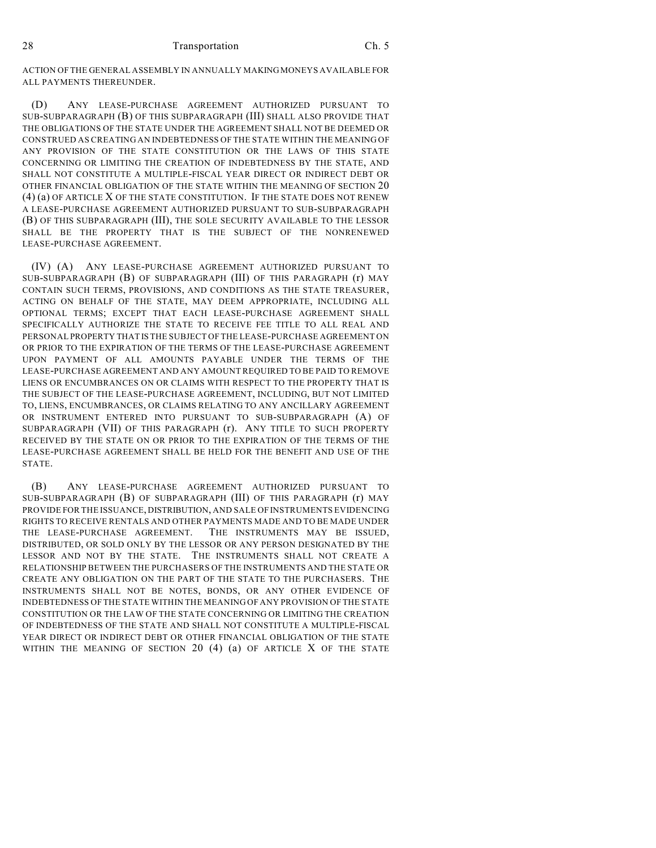ACTION OF THE GENERAL ASSEMBLY IN ANNUALLY MAKING MONEYS AVAILABLE FOR ALL PAYMENTS THEREUNDER.

(D) ANY LEASE-PURCHASE AGREEMENT AUTHORIZED PURSUANT TO SUB-SUBPARAGRAPH (B) OF THIS SUBPARAGRAPH (III) SHALL ALSO PROVIDE THAT THE OBLIGATIONS OF THE STATE UNDER THE AGREEMENT SHALL NOT BE DEEMED OR CONSTRUED AS CREATING AN INDEBTEDNESS OF THE STATE WITHIN THE MEANING OF ANY PROVISION OF THE STATE CONSTITUTION OR THE LAWS OF THIS STATE CONCERNING OR LIMITING THE CREATION OF INDEBTEDNESS BY THE STATE, AND SHALL NOT CONSTITUTE A MULTIPLE-FISCAL YEAR DIRECT OR INDIRECT DEBT OR OTHER FINANCIAL OBLIGATION OF THE STATE WITHIN THE MEANING OF SECTION 20 (4) (a) OF ARTICLE X OF THE STATE CONSTITUTION. IF THE STATE DOES NOT RENEW A LEASE-PURCHASE AGREEMENT AUTHORIZED PURSUANT TO SUB-SUBPARAGRAPH (B) OF THIS SUBPARAGRAPH (III), THE SOLE SECURITY AVAILABLE TO THE LESSOR SHALL BE THE PROPERTY THAT IS THE SUBJECT OF THE NONRENEWED LEASE-PURCHASE AGREEMENT.

(IV) (A) ANY LEASE-PURCHASE AGREEMENT AUTHORIZED PURSUANT TO SUB-SUBPARAGRAPH (B) OF SUBPARAGRAPH (III) OF THIS PARAGRAPH (r) MAY CONTAIN SUCH TERMS, PROVISIONS, AND CONDITIONS AS THE STATE TREASURER, ACTING ON BEHALF OF THE STATE, MAY DEEM APPROPRIATE, INCLUDING ALL OPTIONAL TERMS; EXCEPT THAT EACH LEASE-PURCHASE AGREEMENT SHALL SPECIFICALLY AUTHORIZE THE STATE TO RECEIVE FEE TITLE TO ALL REAL AND PERSONAL PROPERTY THAT IS THE SUBJECT OF THE LEASE-PURCHASE AGREEMENT ON OR PRIOR TO THE EXPIRATION OF THE TERMS OF THE LEASE-PURCHASE AGREEMENT UPON PAYMENT OF ALL AMOUNTS PAYABLE UNDER THE TERMS OF THE LEASE-PURCHASE AGREEMENT AND ANY AMOUNT REQUIRED TO BE PAID TO REMOVE LIENS OR ENCUMBRANCES ON OR CLAIMS WITH RESPECT TO THE PROPERTY THAT IS THE SUBJECT OF THE LEASE-PURCHASE AGREEMENT, INCLUDING, BUT NOT LIMITED TO, LIENS, ENCUMBRANCES, OR CLAIMS RELATING TO ANY ANCILLARY AGREEMENT OR INSTRUMENT ENTERED INTO PURSUANT TO SUB-SUBPARAGRAPH (A) OF SUBPARAGRAPH (VII) OF THIS PARAGRAPH (r). ANY TITLE TO SUCH PROPERTY RECEIVED BY THE STATE ON OR PRIOR TO THE EXPIRATION OF THE TERMS OF THE LEASE-PURCHASE AGREEMENT SHALL BE HELD FOR THE BENEFIT AND USE OF THE STATE.

(B) ANY LEASE-PURCHASE AGREEMENT AUTHORIZED PURSUANT TO SUB-SUBPARAGRAPH (B) OF SUBPARAGRAPH (III) OF THIS PARAGRAPH (r) MAY PROVIDE FOR THE ISSUANCE, DISTRIBUTION, AND SALE OF INSTRUMENTS EVIDENCING RIGHTS TO RECEIVE RENTALS AND OTHER PAYMENTS MADE AND TO BE MADE UNDER THE LEASE-PURCHASE AGREEMENT. THE INSTRUMENTS MAY BE ISSUED, DISTRIBUTED, OR SOLD ONLY BY THE LESSOR OR ANY PERSON DESIGNATED BY THE LESSOR AND NOT BY THE STATE. THE INSTRUMENTS SHALL NOT CREATE A RELATIONSHIP BETWEEN THE PURCHASERS OF THE INSTRUMENTS AND THE STATE OR CREATE ANY OBLIGATION ON THE PART OF THE STATE TO THE PURCHASERS. THE INSTRUMENTS SHALL NOT BE NOTES, BONDS, OR ANY OTHER EVIDENCE OF INDEBTEDNESS OFTHE STATE WITHIN THE MEANING OF ANY PROVISION OFTHE STATE CONSTITUTION OR THE LAW OF THE STATE CONCERNING OR LIMITING THE CREATION OF INDEBTEDNESS OF THE STATE AND SHALL NOT CONSTITUTE A MULTIPLE-FISCAL YEAR DIRECT OR INDIRECT DEBT OR OTHER FINANCIAL OBLIGATION OF THE STATE WITHIN THE MEANING OF SECTION 20 (4) (a) OF ARTICLE X OF THE STATE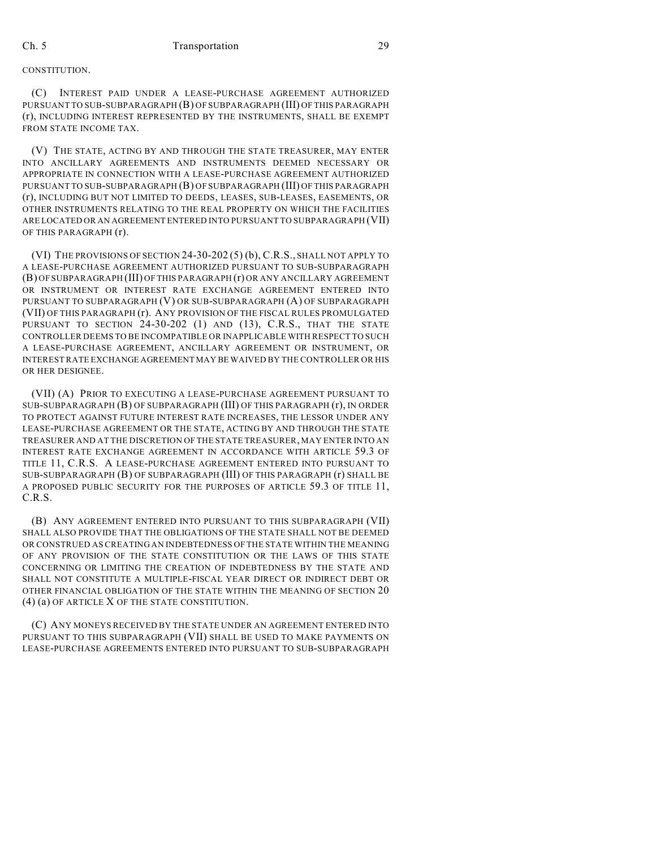## **CONSTITUTION**

(C) INTEREST PAID UNDER A LEASE-PURCHASE AGREEMENT AUTHORIZED PURSUANT TO SUB-SUBPARAGRAPH (B) OF SUBPARAGRAPH (III) OF THIS PARAGRAPH (r), INCLUDING INTEREST REPRESENTED BY THE INSTRUMENTS, SHALL BE EXEMPT FROM STATE INCOME TAX.

(V) THE STATE, ACTING BY AND THROUGH THE STATE TREASURER, MAY ENTER INTO ANCILLARY AGREEMENTS AND INSTRUMENTS DEEMED NECESSARY OR APPROPRIATE IN CONNECTION WITH A LEASE-PURCHASE AGREEMENT AUTHORIZED PURSUANT TO SUB-SUBPARAGRAPH (B) OF SUBPARAGRAPH (III) OF THIS PARAGRAPH (r), INCLUDING BUT NOT LIMITED TO DEEDS, LEASES, SUB-LEASES, EASEMENTS, OR OTHER INSTRUMENTS RELATING TO THE REAL PROPERTY ON WHICH THE FACILITIES ARE LOCATED OR AN AGREEMENT ENTERED INTO PURSUANT TO SUBPARAGRAPH (VII) OF THIS PARAGRAPH (r).

(VI) THE PROVISIONS OF SECTION 24-30-202 (5) (b), C.R.S., SHALL NOT APPLY TO A LEASE-PURCHASE AGREEMENT AUTHORIZED PURSUANT TO SUB-SUBPARAGRAPH (B) OF SUBPARAGRAPH (III) OF THIS PARAGRAPH (r) OR ANY ANCILLARY AGREEMENT OR INSTRUMENT OR INTEREST RATE EXCHANGE AGREEMENT ENTERED INTO PURSUANT TO SUBPARAGRAPH (V) OR SUB-SUBPARAGRAPH (A) OF SUBPARAGRAPH (VII) OF THIS PARAGRAPH (r). ANY PROVISION OF THE FISCAL RULES PROMULGATED PURSUANT TO SECTION 24-30-202 (1) AND (13), C.R.S., THAT THE STATE CONTROLLER DEEMS TO BE INCOMPATIBLE OR INAPPLICABLE WITH RESPECT TO SUCH A LEASE-PURCHASE AGREEMENT, ANCILLARY AGREEMENT OR INSTRUMENT, OR INTEREST RATE EXCHANGE AGREEMENT MAY BE WAIVED BY THE CONTROLLER OR HIS OR HER DESIGNEE.

(VII) (A) PRIOR TO EXECUTING A LEASE-PURCHASE AGREEMENT PURSUANT TO SUB-SUBPARAGRAPH (B) OF SUBPARAGRAPH (III) OF THIS PARAGRAPH (r), IN ORDER TO PROTECT AGAINST FUTURE INTEREST RATE INCREASES, THE LESSOR UNDER ANY LEASE-PURCHASE AGREEMENT OR THE STATE, ACTING BY AND THROUGH THE STATE TREASURER AND AT THE DISCRETION OF THE STATE TREASURER, MAY ENTER INTO AN INTEREST RATE EXCHANGE AGREEMENT IN ACCORDANCE WITH ARTICLE 59.3 OF TITLE 11, C.R.S. A LEASE-PURCHASE AGREEMENT ENTERED INTO PURSUANT TO SUB-SUBPARAGRAPH (B) OF SUBPARAGRAPH (III) OF THIS PARAGRAPH (r) SHALL BE A PROPOSED PUBLIC SECURITY FOR THE PURPOSES OF ARTICLE 59.3 OF TITLE 11, C.R.S.

(B) ANY AGREEMENT ENTERED INTO PURSUANT TO THIS SUBPARAGRAPH (VII) SHALL ALSO PROVIDE THAT THE OBLIGATIONS OF THE STATE SHALL NOT BE DEEMED OR CONSTRUED AS CREATING AN INDEBTEDNESS OFTHE STATE WITHIN THE MEANING OF ANY PROVISION OF THE STATE CONSTITUTION OR THE LAWS OF THIS STATE CONCERNING OR LIMITING THE CREATION OF INDEBTEDNESS BY THE STATE AND SHALL NOT CONSTITUTE A MULTIPLE-FISCAL YEAR DIRECT OR INDIRECT DEBT OR OTHER FINANCIAL OBLIGATION OF THE STATE WITHIN THE MEANING OF SECTION 20 (4) (a) OF ARTICLE X OF THE STATE CONSTITUTION.

(C) ANY MONEYS RECEIVED BY THE STATE UNDER AN AGREEMENT ENTERED INTO PURSUANT TO THIS SUBPARAGRAPH (VII) SHALL BE USED TO MAKE PAYMENTS ON LEASE-PURCHASE AGREEMENTS ENTERED INTO PURSUANT TO SUB-SUBPARAGRAPH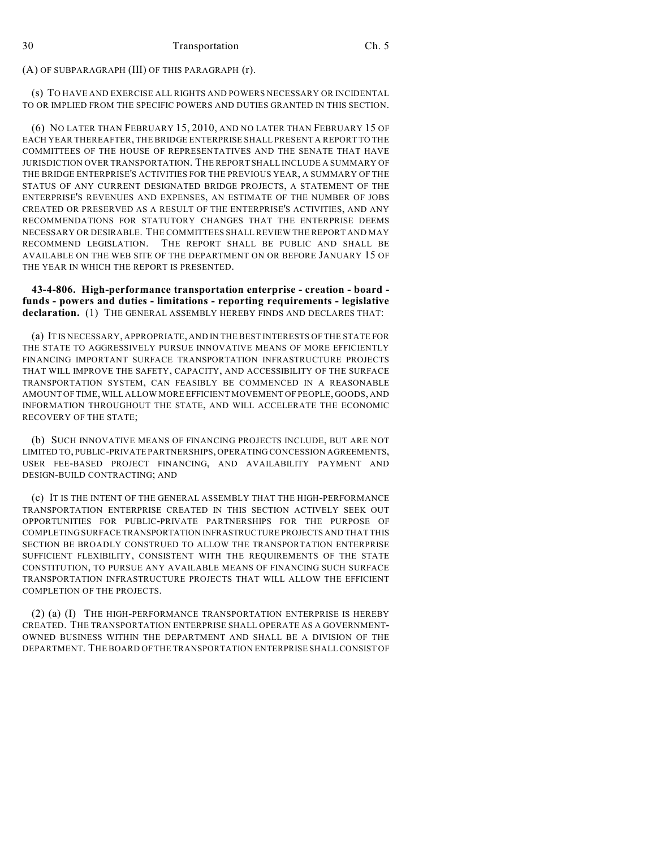(A) OF SUBPARAGRAPH (III) OF THIS PARAGRAPH (r).

(s) TO HAVE AND EXERCISE ALL RIGHTS AND POWERS NECESSARY OR INCIDENTAL TO OR IMPLIED FROM THE SPECIFIC POWERS AND DUTIES GRANTED IN THIS SECTION.

(6) NO LATER THAN FEBRUARY 15, 2010, AND NO LATER THAN FEBRUARY 15 OF EACH YEAR THEREAFTER, THE BRIDGE ENTERPRISE SHALL PRESENT A REPORT TO THE COMMITTEES OF THE HOUSE OF REPRESENTATIVES AND THE SENATE THAT HAVE JURISDICTION OVER TRANSPORTATION. THE REPORT SHALL INCLUDE A SUMMARY OF THE BRIDGE ENTERPRISE'S ACTIVITIES FOR THE PREVIOUS YEAR, A SUMMARY OF THE STATUS OF ANY CURRENT DESIGNATED BRIDGE PROJECTS, A STATEMENT OF THE ENTERPRISE'S REVENUES AND EXPENSES, AN ESTIMATE OF THE NUMBER OF JOBS CREATED OR PRESERVED AS A RESULT OF THE ENTERPRISE'S ACTIVITIES, AND ANY RECOMMENDATIONS FOR STATUTORY CHANGES THAT THE ENTERPRISE DEEMS NECESSARY OR DESIRABLE. THE COMMITTEES SHALL REVIEW THE REPORT AND MAY RECOMMEND LEGISLATION. THE REPORT SHALL BE PUBLIC AND SHALL BE AVAILABLE ON THE WEB SITE OF THE DEPARTMENT ON OR BEFORE JANUARY 15 OF THE YEAR IN WHICH THE REPORT IS PRESENTED.

**43-4-806. High-performance transportation enterprise - creation - board funds - powers and duties - limitations - reporting requirements - legislative declaration.** (1) THE GENERAL ASSEMBLY HEREBY FINDS AND DECLARES THAT:

(a) IT IS NECESSARY, APPROPRIATE, AND IN THE BEST INTERESTS OF THE STATE FOR THE STATE TO AGGRESSIVELY PURSUE INNOVATIVE MEANS OF MORE EFFICIENTLY FINANCING IMPORTANT SURFACE TRANSPORTATION INFRASTRUCTURE PROJECTS THAT WILL IMPROVE THE SAFETY, CAPACITY, AND ACCESSIBILITY OF THE SURFACE TRANSPORTATION SYSTEM, CAN FEASIBLY BE COMMENCED IN A REASONABLE AMOUNT OF TIME, WILL ALLOW MORE EFFICIENT MOVEMENT OF PEOPLE, GOODS, AND INFORMATION THROUGHOUT THE STATE, AND WILL ACCELERATE THE ECONOMIC RECOVERY OF THE STATE;

(b) SUCH INNOVATIVE MEANS OF FINANCING PROJECTS INCLUDE, BUT ARE NOT LIMITED TO, PUBLIC-PRIVATE PARTNERSHIPS, OPERATING CONCESSION AGREEMENTS, USER FEE-BASED PROJECT FINANCING, AND AVAILABILITY PAYMENT AND DESIGN-BUILD CONTRACTING; AND

(c) IT IS THE INTENT OF THE GENERAL ASSEMBLY THAT THE HIGH-PERFORMANCE TRANSPORTATION ENTERPRISE CREATED IN THIS SECTION ACTIVELY SEEK OUT OPPORTUNITIES FOR PUBLIC-PRIVATE PARTNERSHIPS FOR THE PURPOSE OF COMPLETING SURFACE TRANSPORTATION INFRASTRUCTURE PROJECTS AND THAT THIS SECTION BE BROADLY CONSTRUED TO ALLOW THE TRANSPORTATION ENTERPRISE SUFFICIENT FLEXIBILITY, CONSISTENT WITH THE REQUIREMENTS OF THE STATE CONSTITUTION, TO PURSUE ANY AVAILABLE MEANS OF FINANCING SUCH SURFACE TRANSPORTATION INFRASTRUCTURE PROJECTS THAT WILL ALLOW THE EFFICIENT COMPLETION OF THE PROJECTS.

(2) (a) (I) THE HIGH-PERFORMANCE TRANSPORTATION ENTERPRISE IS HEREBY CREATED. THE TRANSPORTATION ENTERPRISE SHALL OPERATE AS A GOVERNMENT-OWNED BUSINESS WITHIN THE DEPARTMENT AND SHALL BE A DIVISION OF THE DEPARTMENT. THE BOARD OF THE TRANSPORTATION ENTERPRISE SHALL CONSIST OF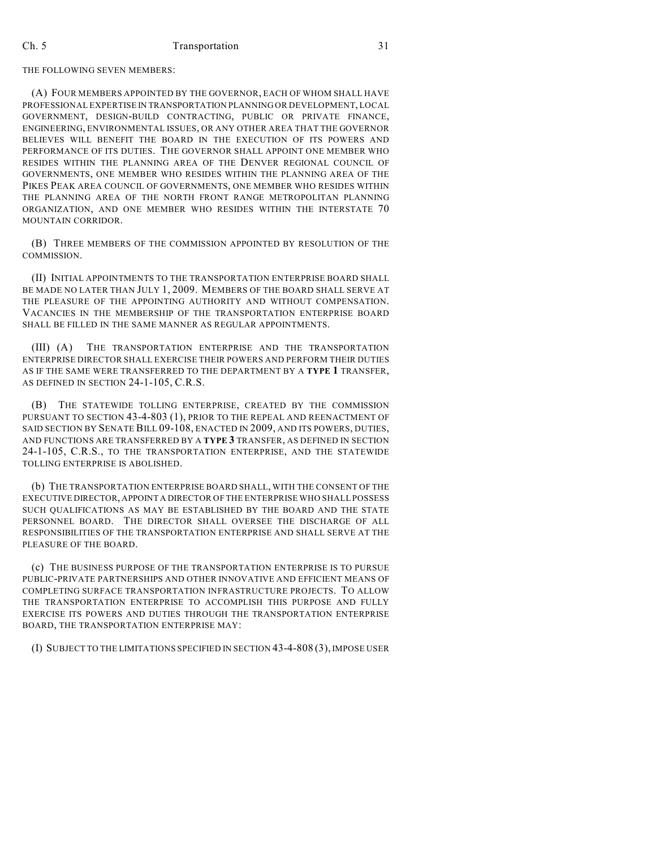THE FOLLOWING SEVEN MEMBERS:

(A) FOUR MEMBERS APPOINTED BY THE GOVERNOR, EACH OF WHOM SHALL HAVE PROFESSIONAL EXPERTISE IN TRANSPORTATION PLANNING OR DEVELOPMENT, LOCAL GOVERNMENT, DESIGN-BUILD CONTRACTING, PUBLIC OR PRIVATE FINANCE, ENGINEERING, ENVIRONMENTAL ISSUES, OR ANY OTHER AREA THAT THE GOVERNOR BELIEVES WILL BENEFIT THE BOARD IN THE EXECUTION OF ITS POWERS AND PERFORMANCE OF ITS DUTIES. THE GOVERNOR SHALL APPOINT ONE MEMBER WHO RESIDES WITHIN THE PLANNING AREA OF THE DENVER REGIONAL COUNCIL OF GOVERNMENTS, ONE MEMBER WHO RESIDES WITHIN THE PLANNING AREA OF THE PIKES PEAK AREA COUNCIL OF GOVERNMENTS, ONE MEMBER WHO RESIDES WITHIN THE PLANNING AREA OF THE NORTH FRONT RANGE METROPOLITAN PLANNING ORGANIZATION, AND ONE MEMBER WHO RESIDES WITHIN THE INTERSTATE 70 MOUNTAIN CORRIDOR.

(B) THREE MEMBERS OF THE COMMISSION APPOINTED BY RESOLUTION OF THE COMMISSION.

(II) INITIAL APPOINTMENTS TO THE TRANSPORTATION ENTERPRISE BOARD SHALL BE MADE NO LATER THAN JULY 1, 2009. MEMBERS OF THE BOARD SHALL SERVE AT THE PLEASURE OF THE APPOINTING AUTHORITY AND WITHOUT COMPENSATION. VACANCIES IN THE MEMBERSHIP OF THE TRANSPORTATION ENTERPRISE BOARD SHALL BE FILLED IN THE SAME MANNER AS REGULAR APPOINTMENTS.

(III) (A) THE TRANSPORTATION ENTERPRISE AND THE TRANSPORTATION ENTERPRISE DIRECTOR SHALL EXERCISE THEIR POWERS AND PERFORM THEIR DUTIES AS IF THE SAME WERE TRANSFERRED TO THE DEPARTMENT BY A **TYPE 1** TRANSFER, AS DEFINED IN SECTION 24-1-105, C.R.S.

(B) THE STATEWIDE TOLLING ENTERPRISE, CREATED BY THE COMMISSION PURSUANT TO SECTION 43-4-803 (1), PRIOR TO THE REPEAL AND REENACTMENT OF SAID SECTION BY SENATE BILL 09-108, ENACTED IN 2009, AND ITS POWERS, DUTIES, AND FUNCTIONS ARE TRANSFERRED BY A **TYPE 3** TRANSFER, AS DEFINED IN SECTION 24-1-105, C.R.S., TO THE TRANSPORTATION ENTERPRISE, AND THE STATEWIDE TOLLING ENTERPRISE IS ABOLISHED.

(b) THE TRANSPORTATION ENTERPRISE BOARD SHALL, WITH THE CONSENT OF THE EXECUTIVE DIRECTOR, APPOINT A DIRECTOR OF THE ENTERPRISE WHO SHALL POSSESS SUCH QUALIFICATIONS AS MAY BE ESTABLISHED BY THE BOARD AND THE STATE PERSONNEL BOARD. THE DIRECTOR SHALL OVERSEE THE DISCHARGE OF ALL RESPONSIBILITIES OF THE TRANSPORTATION ENTERPRISE AND SHALL SERVE AT THE PLEASURE OF THE BOARD.

(c) THE BUSINESS PURPOSE OF THE TRANSPORTATION ENTERPRISE IS TO PURSUE PUBLIC-PRIVATE PARTNERSHIPS AND OTHER INNOVATIVE AND EFFICIENT MEANS OF COMPLETING SURFACE TRANSPORTATION INFRASTRUCTURE PROJECTS. TO ALLOW THE TRANSPORTATION ENTERPRISE TO ACCOMPLISH THIS PURPOSE AND FULLY EXERCISE ITS POWERS AND DUTIES THROUGH THE TRANSPORTATION ENTERPRISE BOARD, THE TRANSPORTATION ENTERPRISE MAY:

(I) SUBJECT TO THE LIMITATIONS SPECIFIED IN SECTION 43-4-808 (3), IMPOSE USER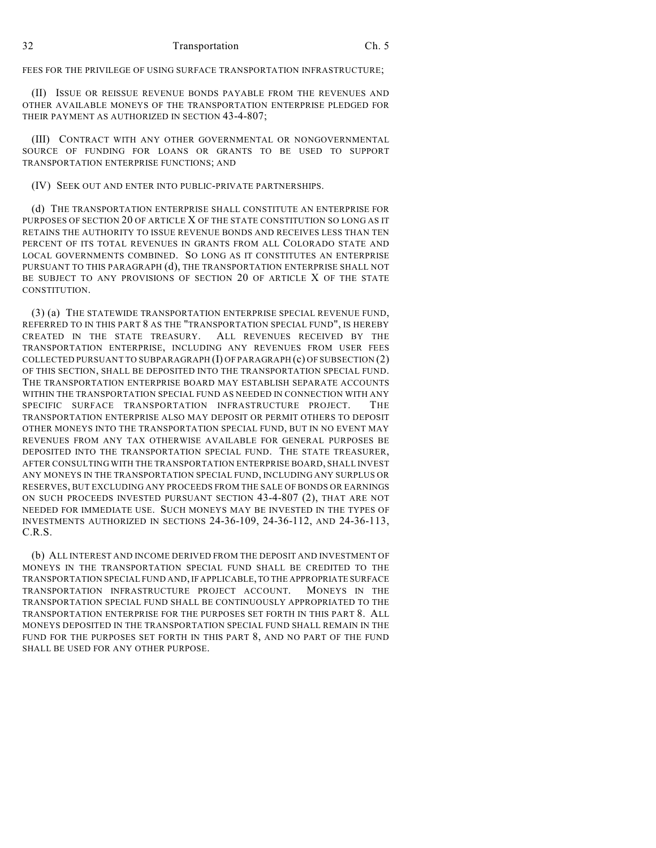FEES FOR THE PRIVILEGE OF USING SURFACE TRANSPORTATION INFRASTRUCTURE;

(II) ISSUE OR REISSUE REVENUE BONDS PAYABLE FROM THE REVENUES AND OTHER AVAILABLE MONEYS OF THE TRANSPORTATION ENTERPRISE PLEDGED FOR THEIR PAYMENT AS AUTHORIZED IN SECTION 43-4-807;

(III) CONTRACT WITH ANY OTHER GOVERNMENTAL OR NONGOVERNMENTAL SOURCE OF FUNDING FOR LOANS OR GRANTS TO BE USED TO SUPPORT TRANSPORTATION ENTERPRISE FUNCTIONS; AND

(IV) SEEK OUT AND ENTER INTO PUBLIC-PRIVATE PARTNERSHIPS.

(d) THE TRANSPORTATION ENTERPRISE SHALL CONSTITUTE AN ENTERPRISE FOR PURPOSES OF SECTION 20 OF ARTICLE X OF THE STATE CONSTITUTION SO LONG AS IT RETAINS THE AUTHORITY TO ISSUE REVENUE BONDS AND RECEIVES LESS THAN TEN PERCENT OF ITS TOTAL REVENUES IN GRANTS FROM ALL COLORADO STATE AND LOCAL GOVERNMENTS COMBINED. SO LONG AS IT CONSTITUTES AN ENTERPRISE PURSUANT TO THIS PARAGRAPH (d), THE TRANSPORTATION ENTERPRISE SHALL NOT BE SUBJECT TO ANY PROVISIONS OF SECTION 20 OF ARTICLE X OF THE STATE CONSTITUTION.

(3) (a) THE STATEWIDE TRANSPORTATION ENTERPRISE SPECIAL REVENUE FUND, REFERRED TO IN THIS PART 8 AS THE "TRANSPORTATION SPECIAL FUND", IS HEREBY CREATED IN THE STATE TREASURY. ALL REVENUES RECEIVED BY THE TRANSPORTATION ENTERPRISE, INCLUDING ANY REVENUES FROM USER FEES COLLECTED PURSUANT TO SUBPARAGRAPH (I) OF PARAGRAPH (c) OF SUBSECTION (2) OF THIS SECTION, SHALL BE DEPOSITED INTO THE TRANSPORTATION SPECIAL FUND. THE TRANSPORTATION ENTERPRISE BOARD MAY ESTABLISH SEPARATE ACCOUNTS WITHIN THE TRANSPORTATION SPECIAL FUND AS NEEDED IN CONNECTION WITH ANY SPECIFIC SURFACE TRANSPORTATION INFRASTRUCTURE PROJECT. THE TRANSPORTATION ENTERPRISE ALSO MAY DEPOSIT OR PERMIT OTHERS TO DEPOSIT OTHER MONEYS INTO THE TRANSPORTATION SPECIAL FUND, BUT IN NO EVENT MAY REVENUES FROM ANY TAX OTHERWISE AVAILABLE FOR GENERAL PURPOSES BE DEPOSITED INTO THE TRANSPORTATION SPECIAL FUND. THE STATE TREASURER, AFTER CONSULTING WITH THE TRANSPORTATION ENTERPRISE BOARD, SHALL INVEST ANY MONEYS IN THE TRANSPORTATION SPECIAL FUND, INCLUDING ANY SURPLUS OR RESERVES, BUT EXCLUDING ANY PROCEEDS FROM THE SALE OF BONDS OR EARNINGS ON SUCH PROCEEDS INVESTED PURSUANT SECTION 43-4-807 (2), THAT ARE NOT NEEDED FOR IMMEDIATE USE. SUCH MONEYS MAY BE INVESTED IN THE TYPES OF INVESTMENTS AUTHORIZED IN SECTIONS 24-36-109, 24-36-112, AND 24-36-113, C.R.S.

(b) ALL INTEREST AND INCOME DERIVED FROM THE DEPOSIT AND INVESTMENT OF MONEYS IN THE TRANSPORTATION SPECIAL FUND SHALL BE CREDITED TO THE TRANSPORTATION SPECIAL FUND AND, IF APPLICABLE, TO THE APPROPRIATE SURFACE TRANSPORTATION INFRASTRUCTURE PROJECT ACCOUNT. MONEYS IN THE TRANSPORTATION SPECIAL FUND SHALL BE CONTINUOUSLY APPROPRIATED TO THE TRANSPORTATION ENTERPRISE FOR THE PURPOSES SET FORTH IN THIS PART 8. ALL MONEYS DEPOSITED IN THE TRANSPORTATION SPECIAL FUND SHALL REMAIN IN THE FUND FOR THE PURPOSES SET FORTH IN THIS PART 8, AND NO PART OF THE FUND SHALL BE USED FOR ANY OTHER PURPOSE.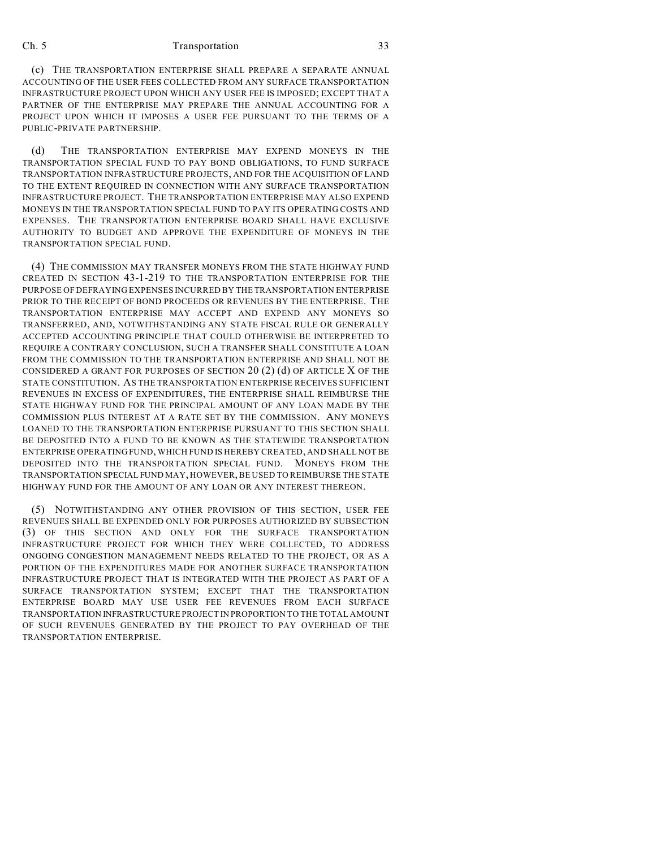(c) THE TRANSPORTATION ENTERPRISE SHALL PREPARE A SEPARATE ANNUAL ACCOUNTING OF THE USER FEES COLLECTED FROM ANY SURFACE TRANSPORTATION INFRASTRUCTURE PROJECT UPON WHICH ANY USER FEE IS IMPOSED; EXCEPT THAT A PARTNER OF THE ENTERPRISE MAY PREPARE THE ANNUAL ACCOUNTING FOR A PROJECT UPON WHICH IT IMPOSES A USER FEE PURSUANT TO THE TERMS OF A PUBLIC-PRIVATE PARTNERSHIP.

(d) THE TRANSPORTATION ENTERPRISE MAY EXPEND MONEYS IN THE TRANSPORTATION SPECIAL FUND TO PAY BOND OBLIGATIONS, TO FUND SURFACE TRANSPORTATION INFRASTRUCTURE PROJECTS, AND FOR THE ACQUISITION OF LAND TO THE EXTENT REQUIRED IN CONNECTION WITH ANY SURFACE TRANSPORTATION INFRASTRUCTURE PROJECT. THE TRANSPORTATION ENTERPRISE MAY ALSO EXPEND MONEYS IN THE TRANSPORTATION SPECIAL FUND TO PAY ITS OPERATING COSTS AND EXPENSES. THE TRANSPORTATION ENTERPRISE BOARD SHALL HAVE EXCLUSIVE AUTHORITY TO BUDGET AND APPROVE THE EXPENDITURE OF MONEYS IN THE TRANSPORTATION SPECIAL FUND.

(4) THE COMMISSION MAY TRANSFER MONEYS FROM THE STATE HIGHWAY FUND CREATED IN SECTION 43-1-219 TO THE TRANSPORTATION ENTERPRISE FOR THE PURPOSE OF DEFRAYING EXPENSES INCURRED BY THE TRANSPORTATION ENTERPRISE PRIOR TO THE RECEIPT OF BOND PROCEEDS OR REVENUES BY THE ENTERPRISE. THE TRANSPORTATION ENTERPRISE MAY ACCEPT AND EXPEND ANY MONEYS SO TRANSFERRED, AND, NOTWITHSTANDING ANY STATE FISCAL RULE OR GENERALLY ACCEPTED ACCOUNTING PRINCIPLE THAT COULD OTHERWISE BE INTERPRETED TO REQUIRE A CONTRARY CONCLUSION, SUCH A TRANSFER SHALL CONSTITUTE A LOAN FROM THE COMMISSION TO THE TRANSPORTATION ENTERPRISE AND SHALL NOT BE CONSIDERED A GRANT FOR PURPOSES OF SECTION 20 (2) (d) OF ARTICLE X OF THE STATE CONSTITUTION. AS THE TRANSPORTATION ENTERPRISE RECEIVES SUFFICIENT REVENUES IN EXCESS OF EXPENDITURES, THE ENTERPRISE SHALL REIMBURSE THE STATE HIGHWAY FUND FOR THE PRINCIPAL AMOUNT OF ANY LOAN MADE BY THE COMMISSION PLUS INTEREST AT A RATE SET BY THE COMMISSION. ANY MONEYS LOANED TO THE TRANSPORTATION ENTERPRISE PURSUANT TO THIS SECTION SHALL BE DEPOSITED INTO A FUND TO BE KNOWN AS THE STATEWIDE TRANSPORTATION ENTERPRISE OPERATING FUND, WHICH FUND IS HEREBY CREATED, AND SHALL NOT BE DEPOSITED INTO THE TRANSPORTATION SPECIAL FUND. MONEYS FROM THE TRANSPORTATION SPECIAL FUND MAY, HOWEVER, BE USED TO REIMBURSE THE STATE HIGHWAY FUND FOR THE AMOUNT OF ANY LOAN OR ANY INTEREST THEREON.

(5) NOTWITHSTANDING ANY OTHER PROVISION OF THIS SECTION, USER FEE REVENUES SHALL BE EXPENDED ONLY FOR PURPOSES AUTHORIZED BY SUBSECTION (3) OF THIS SECTION AND ONLY FOR THE SURFACE TRANSPORTATION INFRASTRUCTURE PROJECT FOR WHICH THEY WERE COLLECTED, TO ADDRESS ONGOING CONGESTION MANAGEMENT NEEDS RELATED TO THE PROJECT, OR AS A PORTION OF THE EXPENDITURES MADE FOR ANOTHER SURFACE TRANSPORTATION INFRASTRUCTURE PROJECT THAT IS INTEGRATED WITH THE PROJECT AS PART OF A SURFACE TRANSPORTATION SYSTEM; EXCEPT THAT THE TRANSPORTATION ENTERPRISE BOARD MAY USE USER FEE REVENUES FROM EACH SURFACE TRANSPORTATION INFRASTRUCTURE PROJECT IN PROPORTION TO THE TOTAL AMOUNT OF SUCH REVENUES GENERATED BY THE PROJECT TO PAY OVERHEAD OF THE TRANSPORTATION ENTERPRISE.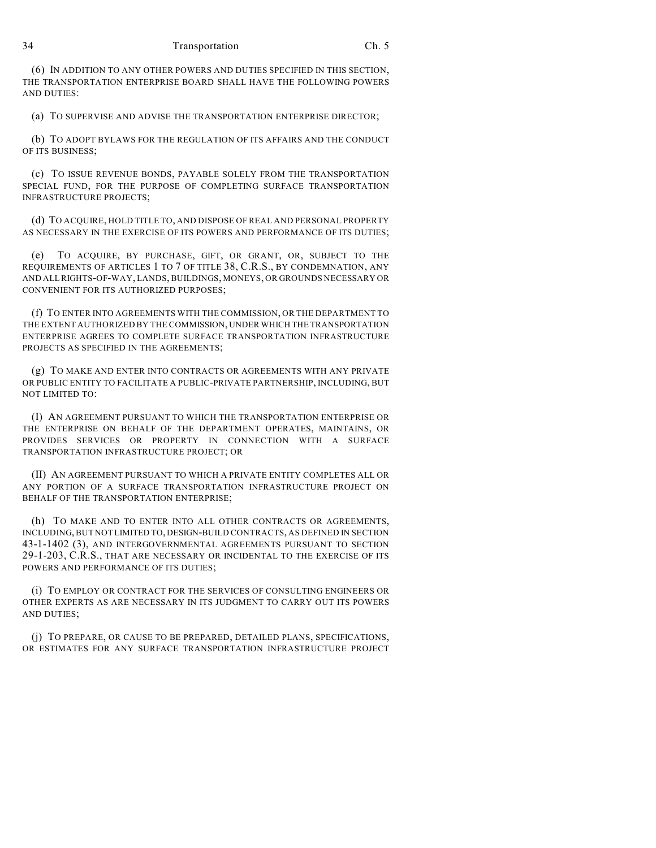(6) IN ADDITION TO ANY OTHER POWERS AND DUTIES SPECIFIED IN THIS SECTION, THE TRANSPORTATION ENTERPRISE BOARD SHALL HAVE THE FOLLOWING POWERS AND DUTIES:

(a) TO SUPERVISE AND ADVISE THE TRANSPORTATION ENTERPRISE DIRECTOR;

(b) TO ADOPT BYLAWS FOR THE REGULATION OF ITS AFFAIRS AND THE CONDUCT OF ITS BUSINESS;

(c) TO ISSUE REVENUE BONDS, PAYABLE SOLELY FROM THE TRANSPORTATION SPECIAL FUND, FOR THE PURPOSE OF COMPLETING SURFACE TRANSPORTATION INFRASTRUCTURE PROJECTS;

(d) TO ACQUIRE, HOLD TITLE TO, AND DISPOSE OF REAL AND PERSONAL PROPERTY AS NECESSARY IN THE EXERCISE OF ITS POWERS AND PERFORMANCE OF ITS DUTIES;

(e) TO ACQUIRE, BY PURCHASE, GIFT, OR GRANT, OR, SUBJECT TO THE REQUIREMENTS OF ARTICLES 1 TO 7 OF TITLE 38, C.R.S., BY CONDEMNATION, ANY AND ALL RIGHTS-OF-WAY, LANDS, BUILDINGS, MONEYS, OR GROUNDS NECESSARY OR CONVENIENT FOR ITS AUTHORIZED PURPOSES;

(f) TO ENTER INTO AGREEMENTS WITH THE COMMISSION, OR THE DEPARTMENT TO THE EXTENT AUTHORIZED BY THE COMMISSION, UNDER WHICH THE TRANSPORTATION ENTERPRISE AGREES TO COMPLETE SURFACE TRANSPORTATION INFRASTRUCTURE PROJECTS AS SPECIFIED IN THE AGREEMENTS;

(g) TO MAKE AND ENTER INTO CONTRACTS OR AGREEMENTS WITH ANY PRIVATE OR PUBLIC ENTITY TO FACILITATE A PUBLIC-PRIVATE PARTNERSHIP, INCLUDING, BUT NOT LIMITED TO:

(I) AN AGREEMENT PURSUANT TO WHICH THE TRANSPORTATION ENTERPRISE OR THE ENTERPRISE ON BEHALF OF THE DEPARTMENT OPERATES, MAINTAINS, OR PROVIDES SERVICES OR PROPERTY IN CONNECTION WITH A SURFACE TRANSPORTATION INFRASTRUCTURE PROJECT; OR

(II) AN AGREEMENT PURSUANT TO WHICH A PRIVATE ENTITY COMPLETES ALL OR ANY PORTION OF A SURFACE TRANSPORTATION INFRASTRUCTURE PROJECT ON BEHALF OF THE TRANSPORTATION ENTERPRISE;

(h) TO MAKE AND TO ENTER INTO ALL OTHER CONTRACTS OR AGREEMENTS, INCLUDING, BUT NOT LIMITED TO, DESIGN-BUILD CONTRACTS, AS DEFINED IN SECTION 43-1-1402 (3), AND INTERGOVERNMENTAL AGREEMENTS PURSUANT TO SECTION 29-1-203, C.R.S., THAT ARE NECESSARY OR INCIDENTAL TO THE EXERCISE OF ITS POWERS AND PERFORMANCE OF ITS DUTIES;

(i) TO EMPLOY OR CONTRACT FOR THE SERVICES OF CONSULTING ENGINEERS OR OTHER EXPERTS AS ARE NECESSARY IN ITS JUDGMENT TO CARRY OUT ITS POWERS AND DUTIES;

(j) TO PREPARE, OR CAUSE TO BE PREPARED, DETAILED PLANS, SPECIFICATIONS, OR ESTIMATES FOR ANY SURFACE TRANSPORTATION INFRASTRUCTURE PROJECT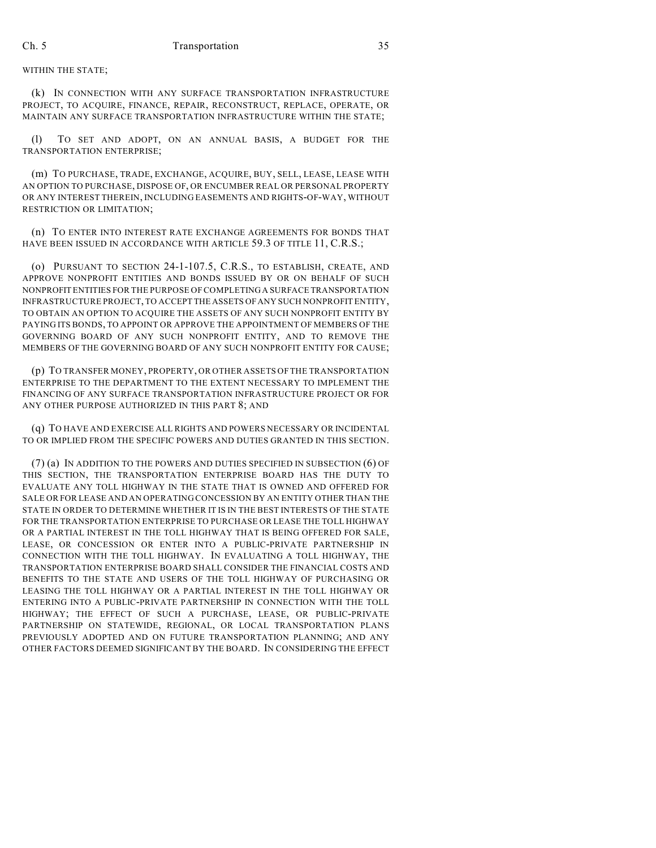## WITHIN THE STATE;

(k) IN CONNECTION WITH ANY SURFACE TRANSPORTATION INFRASTRUCTURE PROJECT, TO ACQUIRE, FINANCE, REPAIR, RECONSTRUCT, REPLACE, OPERATE, OR MAINTAIN ANY SURFACE TRANSPORTATION INFRASTRUCTURE WITHIN THE STATE;

(l) TO SET AND ADOPT, ON AN ANNUAL BASIS, A BUDGET FOR THE TRANSPORTATION ENTERPRISE;

(m) TO PURCHASE, TRADE, EXCHANGE, ACQUIRE, BUY, SELL, LEASE, LEASE WITH AN OPTION TO PURCHASE, DISPOSE OF, OR ENCUMBER REAL OR PERSONAL PROPERTY OR ANY INTEREST THEREIN, INCLUDING EASEMENTS AND RIGHTS-OF-WAY, WITHOUT RESTRICTION OR LIMITATION;

(n) TO ENTER INTO INTEREST RATE EXCHANGE AGREEMENTS FOR BONDS THAT HAVE BEEN ISSUED IN ACCORDANCE WITH ARTICLE 59.3 OF TITLE 11, C.R.S.;

(o) PURSUANT TO SECTION 24-1-107.5, C.R.S., TO ESTABLISH, CREATE, AND APPROVE NONPROFIT ENTITIES AND BONDS ISSUED BY OR ON BEHALF OF SUCH NONPROFIT ENTITIES FOR THE PURPOSE OF COMPLETING A SURFACE TRANSPORTATION INFRASTRUCTURE PROJECT, TO ACCEPT THE ASSETS OF ANY SUCH NONPROFIT ENTITY, TO OBTAIN AN OPTION TO ACQUIRE THE ASSETS OF ANY SUCH NONPROFIT ENTITY BY PAYING ITS BONDS, TO APPOINT OR APPROVE THE APPOINTMENT OF MEMBERS OF THE GOVERNING BOARD OF ANY SUCH NONPROFIT ENTITY, AND TO REMOVE THE MEMBERS OF THE GOVERNING BOARD OF ANY SUCH NONPROFIT ENTITY FOR CAUSE;

(p) TO TRANSFER MONEY, PROPERTY, OR OTHER ASSETS OFTHE TRANSPORTATION ENTERPRISE TO THE DEPARTMENT TO THE EXTENT NECESSARY TO IMPLEMENT THE FINANCING OF ANY SURFACE TRANSPORTATION INFRASTRUCTURE PROJECT OR FOR ANY OTHER PURPOSE AUTHORIZED IN THIS PART 8; AND

(q) TO HAVE AND EXERCISE ALL RIGHTS AND POWERS NECESSARY OR INCIDENTAL TO OR IMPLIED FROM THE SPECIFIC POWERS AND DUTIES GRANTED IN THIS SECTION.

(7) (a) IN ADDITION TO THE POWERS AND DUTIES SPECIFIED IN SUBSECTION (6) OF THIS SECTION, THE TRANSPORTATION ENTERPRISE BOARD HAS THE DUTY TO EVALUATE ANY TOLL HIGHWAY IN THE STATE THAT IS OWNED AND OFFERED FOR SALE OR FOR LEASE AND AN OPERATING CONCESSION BY AN ENTITY OTHER THAN THE STATE IN ORDER TO DETERMINE WHETHER IT IS IN THE BEST INTERESTS OF THE STATE FOR THE TRANSPORTATION ENTERPRISE TO PURCHASE OR LEASE THE TOLL HIGHWAY OR A PARTIAL INTEREST IN THE TOLL HIGHWAY THAT IS BEING OFFERED FOR SALE, LEASE, OR CONCESSION OR ENTER INTO A PUBLIC-PRIVATE PARTNERSHIP IN CONNECTION WITH THE TOLL HIGHWAY. IN EVALUATING A TOLL HIGHWAY, THE TRANSPORTATION ENTERPRISE BOARD SHALL CONSIDER THE FINANCIAL COSTS AND BENEFITS TO THE STATE AND USERS OF THE TOLL HIGHWAY OF PURCHASING OR LEASING THE TOLL HIGHWAY OR A PARTIAL INTEREST IN THE TOLL HIGHWAY OR ENTERING INTO A PUBLIC-PRIVATE PARTNERSHIP IN CONNECTION WITH THE TOLL HIGHWAY; THE EFFECT OF SUCH A PURCHASE, LEASE, OR PUBLIC-PRIVATE PARTNERSHIP ON STATEWIDE, REGIONAL, OR LOCAL TRANSPORTATION PLANS PREVIOUSLY ADOPTED AND ON FUTURE TRANSPORTATION PLANNING; AND ANY OTHER FACTORS DEEMED SIGNIFICANT BY THE BOARD. IN CONSIDERING THE EFFECT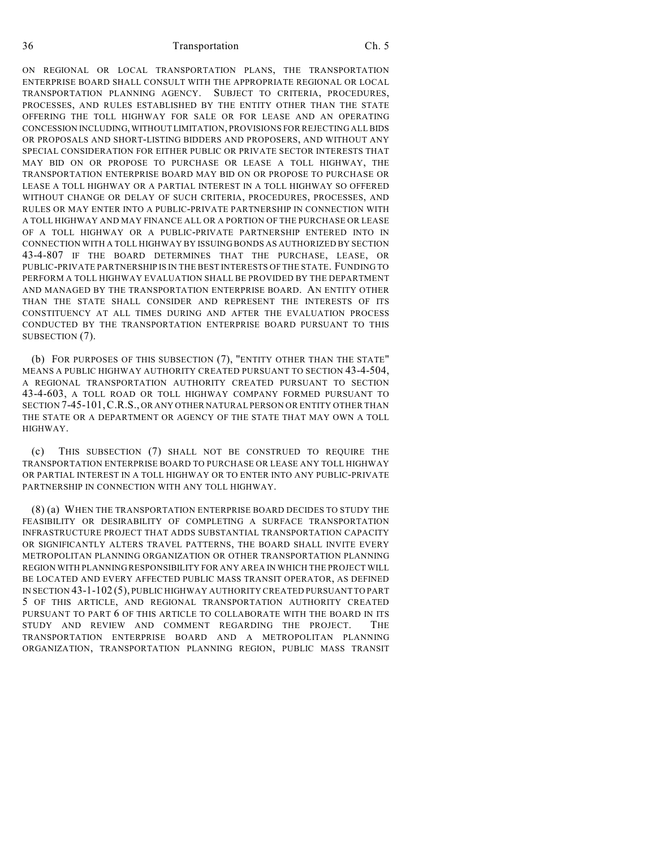ON REGIONAL OR LOCAL TRANSPORTATION PLANS, THE TRANSPORTATION ENTERPRISE BOARD SHALL CONSULT WITH THE APPROPRIATE REGIONAL OR LOCAL TRANSPORTATION PLANNING AGENCY. SUBJECT TO CRITERIA, PROCEDURES, PROCESSES, AND RULES ESTABLISHED BY THE ENTITY OTHER THAN THE STATE OFFERING THE TOLL HIGHWAY FOR SALE OR FOR LEASE AND AN OPERATING CONCESSION INCLUDING, WITHOUT LIMITATION, PROVISIONS FOR REJECTING ALL BIDS OR PROPOSALS AND SHORT-LISTING BIDDERS AND PROPOSERS, AND WITHOUT ANY SPECIAL CONSIDERATION FOR EITHER PUBLIC OR PRIVATE SECTOR INTERESTS THAT MAY BID ON OR PROPOSE TO PURCHASE OR LEASE A TOLL HIGHWAY, THE TRANSPORTATION ENTERPRISE BOARD MAY BID ON OR PROPOSE TO PURCHASE OR LEASE A TOLL HIGHWAY OR A PARTIAL INTEREST IN A TOLL HIGHWAY SO OFFERED WITHOUT CHANGE OR DELAY OF SUCH CRITERIA, PROCEDURES, PROCESSES, AND RULES OR MAY ENTER INTO A PUBLIC-PRIVATE PARTNERSHIP IN CONNECTION WITH A TOLL HIGHWAY AND MAY FINANCE ALL OR A PORTION OF THE PURCHASE OR LEASE OF A TOLL HIGHWAY OR A PUBLIC-PRIVATE PARTNERSHIP ENTERED INTO IN CONNECTION WITH A TOLL HIGHWAY BY ISSUING BONDS AS AUTHORIZED BY SECTION 43-4-807 IF THE BOARD DETERMINES THAT THE PURCHASE, LEASE, OR PUBLIC-PRIVATE PARTNERSHIP IS IN THE BEST INTERESTS OF THE STATE. FUNDING TO PERFORM A TOLL HIGHWAY EVALUATION SHALL BE PROVIDED BY THE DEPARTMENT AND MANAGED BY THE TRANSPORTATION ENTERPRISE BOARD. AN ENTITY OTHER THAN THE STATE SHALL CONSIDER AND REPRESENT THE INTERESTS OF ITS CONSTITUENCY AT ALL TIMES DURING AND AFTER THE EVALUATION PROCESS CONDUCTED BY THE TRANSPORTATION ENTERPRISE BOARD PURSUANT TO THIS SUBSECTION (7).

(b) FOR PURPOSES OF THIS SUBSECTION (7), "ENTITY OTHER THAN THE STATE" MEANS A PUBLIC HIGHWAY AUTHORITY CREATED PURSUANT TO SECTION 43-4-504, A REGIONAL TRANSPORTATION AUTHORITY CREATED PURSUANT TO SECTION 43-4-603, A TOLL ROAD OR TOLL HIGHWAY COMPANY FORMED PURSUANT TO SECTION 7-45-101,C.R.S., OR ANY OTHER NATURAL PERSON OR ENTITY OTHER THAN THE STATE OR A DEPARTMENT OR AGENCY OF THE STATE THAT MAY OWN A TOLL HIGHWAY.

(c) THIS SUBSECTION (7) SHALL NOT BE CONSTRUED TO REQUIRE THE TRANSPORTATION ENTERPRISE BOARD TO PURCHASE OR LEASE ANY TOLL HIGHWAY OR PARTIAL INTEREST IN A TOLL HIGHWAY OR TO ENTER INTO ANY PUBLIC-PRIVATE PARTNERSHIP IN CONNECTION WITH ANY TOLL HIGHWAY.

(8) (a) WHEN THE TRANSPORTATION ENTERPRISE BOARD DECIDES TO STUDY THE FEASIBILITY OR DESIRABILITY OF COMPLETING A SURFACE TRANSPORTATION INFRASTRUCTURE PROJECT THAT ADDS SUBSTANTIAL TRANSPORTATION CAPACITY OR SIGNIFICANTLY ALTERS TRAVEL PATTERNS, THE BOARD SHALL INVITE EVERY METROPOLITAN PLANNING ORGANIZATION OR OTHER TRANSPORTATION PLANNING REGION WITH PLANNING RESPONSIBILITY FOR ANY AREA IN WHICH THE PROJECT WILL BE LOCATED AND EVERY AFFECTED PUBLIC MASS TRANSIT OPERATOR, AS DEFINED IN SECTION 43-1-102 (5), PUBLIC HIGHWAY AUTHORITY CREATED PURSUANT TO PART 5 OF THIS ARTICLE, AND REGIONAL TRANSPORTATION AUTHORITY CREATED PURSUANT TO PART 6 OF THIS ARTICLE TO COLLABORATE WITH THE BOARD IN ITS STUDY AND REVIEW AND COMMENT REGARDING THE PROJECT. THE TRANSPORTATION ENTERPRISE BOARD AND A METROPOLITAN PLANNING ORGANIZATION, TRANSPORTATION PLANNING REGION, PUBLIC MASS TRANSIT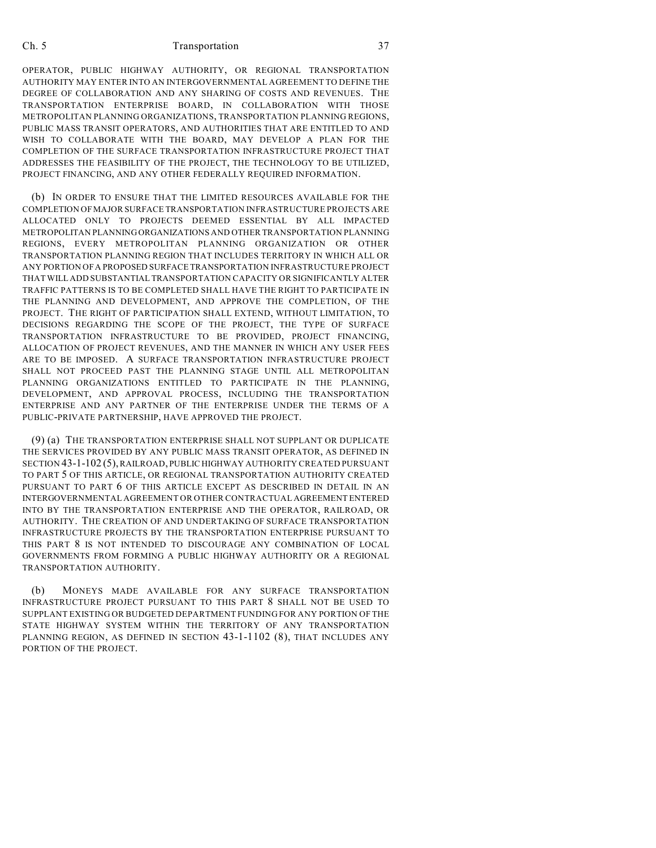OPERATOR, PUBLIC HIGHWAY AUTHORITY, OR REGIONAL TRANSPORTATION AUTHORITY MAY ENTER INTO AN INTERGOVERNMENTAL AGREEMENT TO DEFINE THE DEGREE OF COLLABORATION AND ANY SHARING OF COSTS AND REVENUES. THE TRANSPORTATION ENTERPRISE BOARD, IN COLLABORATION WITH THOSE METROPOLITAN PLANNING ORGANIZATIONS, TRANSPORTATION PLANNING REGIONS, PUBLIC MASS TRANSIT OPERATORS, AND AUTHORITIES THAT ARE ENTITLED TO AND WISH TO COLLABORATE WITH THE BOARD, MAY DEVELOP A PLAN FOR THE COMPLETION OF THE SURFACE TRANSPORTATION INFRASTRUCTURE PROJECT THAT ADDRESSES THE FEASIBILITY OF THE PROJECT, THE TECHNOLOGY TO BE UTILIZED, PROJECT FINANCING, AND ANY OTHER FEDERALLY REQUIRED INFORMATION.

(b) IN ORDER TO ENSURE THAT THE LIMITED RESOURCES AVAILABLE FOR THE COMPLETION OF MAJOR SURFACE TRANSPORTATION INFRASTRUCTURE PROJECTS ARE ALLOCATED ONLY TO PROJECTS DEEMED ESSENTIAL BY ALL IMPACTED METROPOLITAN PLANNING ORGANIZATIONS AND OTHER TRANSPORTATION PLANNING REGIONS, EVERY METROPOLITAN PLANNING ORGANIZATION OR OTHER TRANSPORTATION PLANNING REGION THAT INCLUDES TERRITORY IN WHICH ALL OR ANY PORTION OF A PROPOSED SURFACE TRANSPORTATION INFRASTRUCTURE PROJECT THAT WILL ADD SUBSTANTIAL TRANSPORTATION CAPACITY OR SIGNIFICANTLY ALTER TRAFFIC PATTERNS IS TO BE COMPLETED SHALL HAVE THE RIGHT TO PARTICIPATE IN THE PLANNING AND DEVELOPMENT, AND APPROVE THE COMPLETION, OF THE PROJECT. THE RIGHT OF PARTICIPATION SHALL EXTEND, WITHOUT LIMITATION, TO DECISIONS REGARDING THE SCOPE OF THE PROJECT, THE TYPE OF SURFACE TRANSPORTATION INFRASTRUCTURE TO BE PROVIDED, PROJECT FINANCING, ALLOCATION OF PROJECT REVENUES, AND THE MANNER IN WHICH ANY USER FEES ARE TO BE IMPOSED. A SURFACE TRANSPORTATION INFRASTRUCTURE PROJECT SHALL NOT PROCEED PAST THE PLANNING STAGE UNTIL ALL METROPOLITAN PLANNING ORGANIZATIONS ENTITLED TO PARTICIPATE IN THE PLANNING, DEVELOPMENT, AND APPROVAL PROCESS, INCLUDING THE TRANSPORTATION ENTERPRISE AND ANY PARTNER OF THE ENTERPRISE UNDER THE TERMS OF A PUBLIC-PRIVATE PARTNERSHIP, HAVE APPROVED THE PROJECT.

(9) (a) THE TRANSPORTATION ENTERPRISE SHALL NOT SUPPLANT OR DUPLICATE THE SERVICES PROVIDED BY ANY PUBLIC MASS TRANSIT OPERATOR, AS DEFINED IN SECTION 43-1-102 (5), RAILROAD, PUBLIC HIGHWAY AUTHORITY CREATED PURSUANT TO PART 5 OF THIS ARTICLE, OR REGIONAL TRANSPORTATION AUTHORITY CREATED PURSUANT TO PART 6 OF THIS ARTICLE EXCEPT AS DESCRIBED IN DETAIL IN AN INTERGOVERNMENTAL AGREEMENT OR OTHER CONTRACTUAL AGREEMENT ENTERED INTO BY THE TRANSPORTATION ENTERPRISE AND THE OPERATOR, RAILROAD, OR AUTHORITY. THE CREATION OF AND UNDERTAKING OF SURFACE TRANSPORTATION INFRASTRUCTURE PROJECTS BY THE TRANSPORTATION ENTERPRISE PURSUANT TO THIS PART 8 IS NOT INTENDED TO DISCOURAGE ANY COMBINATION OF LOCAL GOVERNMENTS FROM FORMING A PUBLIC HIGHWAY AUTHORITY OR A REGIONAL TRANSPORTATION AUTHORITY.

(b) MONEYS MADE AVAILABLE FOR ANY SURFACE TRANSPORTATION INFRASTRUCTURE PROJECT PURSUANT TO THIS PART 8 SHALL NOT BE USED TO SUPPLANT EXISTING OR BUDGETED DEPARTMENT FUNDING FOR ANY PORTION OF THE STATE HIGHWAY SYSTEM WITHIN THE TERRITORY OF ANY TRANSPORTATION PLANNING REGION, AS DEFINED IN SECTION 43-1-1102 (8), THAT INCLUDES ANY PORTION OF THE PROJECT.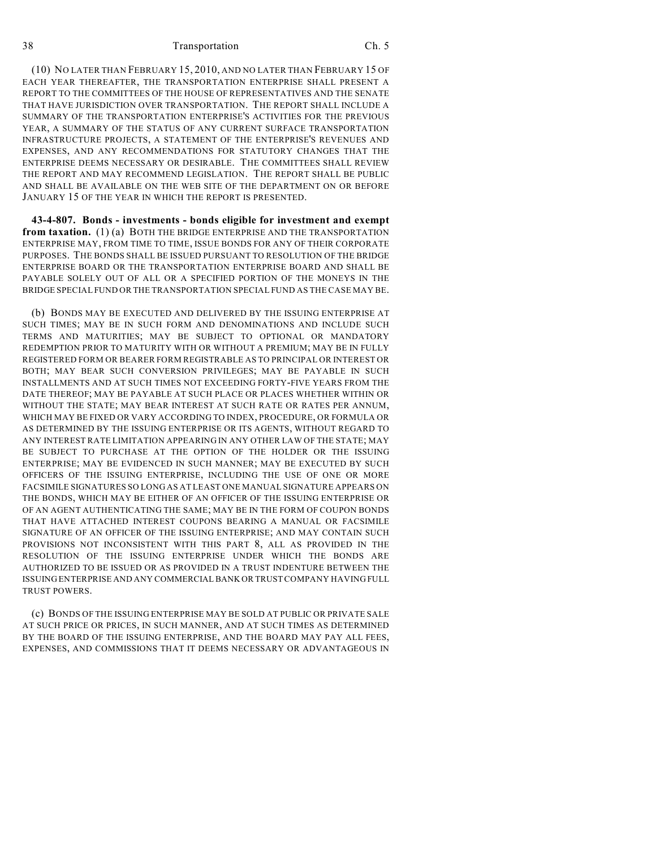(10) NO LATER THAN FEBRUARY 15, 2010, AND NO LATER THAN FEBRUARY 15 OF EACH YEAR THEREAFTER, THE TRANSPORTATION ENTERPRISE SHALL PRESENT A REPORT TO THE COMMITTEES OF THE HOUSE OF REPRESENTATIVES AND THE SENATE THAT HAVE JURISDICTION OVER TRANSPORTATION. THE REPORT SHALL INCLUDE A SUMMARY OF THE TRANSPORTATION ENTERPRISE'S ACTIVITIES FOR THE PREVIOUS YEAR, A SUMMARY OF THE STATUS OF ANY CURRENT SURFACE TRANSPORTATION INFRASTRUCTURE PROJECTS, A STATEMENT OF THE ENTERPRISE'S REVENUES AND EXPENSES, AND ANY RECOMMENDATIONS FOR STATUTORY CHANGES THAT THE ENTERPRISE DEEMS NECESSARY OR DESIRABLE. THE COMMITTEES SHALL REVIEW THE REPORT AND MAY RECOMMEND LEGISLATION. THE REPORT SHALL BE PUBLIC AND SHALL BE AVAILABLE ON THE WEB SITE OF THE DEPARTMENT ON OR BEFORE JANUARY 15 OF THE YEAR IN WHICH THE REPORT IS PRESENTED.

**43-4-807. Bonds - investments - bonds eligible for investment and exempt from taxation.** (1) (a) BOTH THE BRIDGE ENTERPRISE AND THE TRANSPORTATION ENTERPRISE MAY, FROM TIME TO TIME, ISSUE BONDS FOR ANY OF THEIR CORPORATE PURPOSES. THE BONDS SHALL BE ISSUED PURSUANT TO RESOLUTION OF THE BRIDGE ENTERPRISE BOARD OR THE TRANSPORTATION ENTERPRISE BOARD AND SHALL BE PAYABLE SOLELY OUT OF ALL OR A SPECIFIED PORTION OF THE MONEYS IN THE BRIDGE SPECIAL FUND OR THE TRANSPORTATION SPECIAL FUND AS THE CASE MAY BE.

(b) BONDS MAY BE EXECUTED AND DELIVERED BY THE ISSUING ENTERPRISE AT SUCH TIMES; MAY BE IN SUCH FORM AND DENOMINATIONS AND INCLUDE SUCH TERMS AND MATURITIES; MAY BE SUBJECT TO OPTIONAL OR MANDATORY REDEMPTION PRIOR TO MATURITY WITH OR WITHOUT A PREMIUM; MAY BE IN FULLY REGISTERED FORM OR BEARER FORM REGISTRABLE AS TO PRINCIPAL OR INTEREST OR BOTH; MAY BEAR SUCH CONVERSION PRIVILEGES; MAY BE PAYABLE IN SUCH INSTALLMENTS AND AT SUCH TIMES NOT EXCEEDING FORTY-FIVE YEARS FROM THE DATE THEREOF; MAY BE PAYABLE AT SUCH PLACE OR PLACES WHETHER WITHIN OR WITHOUT THE STATE; MAY BEAR INTEREST AT SUCH RATE OR RATES PER ANNUM, WHICH MAY BE FIXED OR VARY ACCORDING TO INDEX, PROCEDURE, OR FORMULA OR AS DETERMINED BY THE ISSUING ENTERPRISE OR ITS AGENTS, WITHOUT REGARD TO ANY INTEREST RATE LIMITATION APPEARING IN ANY OTHER LAW OF THE STATE; MAY BE SUBJECT TO PURCHASE AT THE OPTION OF THE HOLDER OR THE ISSUING ENTERPRISE; MAY BE EVIDENCED IN SUCH MANNER; MAY BE EXECUTED BY SUCH OFFICERS OF THE ISSUING ENTERPRISE, INCLUDING THE USE OF ONE OR MORE FACSIMILE SIGNATURES SO LONG AS AT LEAST ONE MANUAL SIGNATURE APPEARS ON THE BONDS, WHICH MAY BE EITHER OF AN OFFICER OF THE ISSUING ENTERPRISE OR OF AN AGENT AUTHENTICATING THE SAME; MAY BE IN THE FORM OF COUPON BONDS THAT HAVE ATTACHED INTEREST COUPONS BEARING A MANUAL OR FACSIMILE SIGNATURE OF AN OFFICER OF THE ISSUING ENTERPRISE; AND MAY CONTAIN SUCH PROVISIONS NOT INCONSISTENT WITH THIS PART 8, ALL AS PROVIDED IN THE RESOLUTION OF THE ISSUING ENTERPRISE UNDER WHICH THE BONDS ARE AUTHORIZED TO BE ISSUED OR AS PROVIDED IN A TRUST INDENTURE BETWEEN THE ISSUING ENTERPRISE AND ANY COMMERCIAL BANK OR TRUST COMPANY HAVING FULL TRUST POWERS.

(c) BONDS OF THE ISSUING ENTERPRISE MAY BE SOLD AT PUBLIC OR PRIVATE SALE AT SUCH PRICE OR PRICES, IN SUCH MANNER, AND AT SUCH TIMES AS DETERMINED BY THE BOARD OF THE ISSUING ENTERPRISE, AND THE BOARD MAY PAY ALL FEES, EXPENSES, AND COMMISSIONS THAT IT DEEMS NECESSARY OR ADVANTAGEOUS IN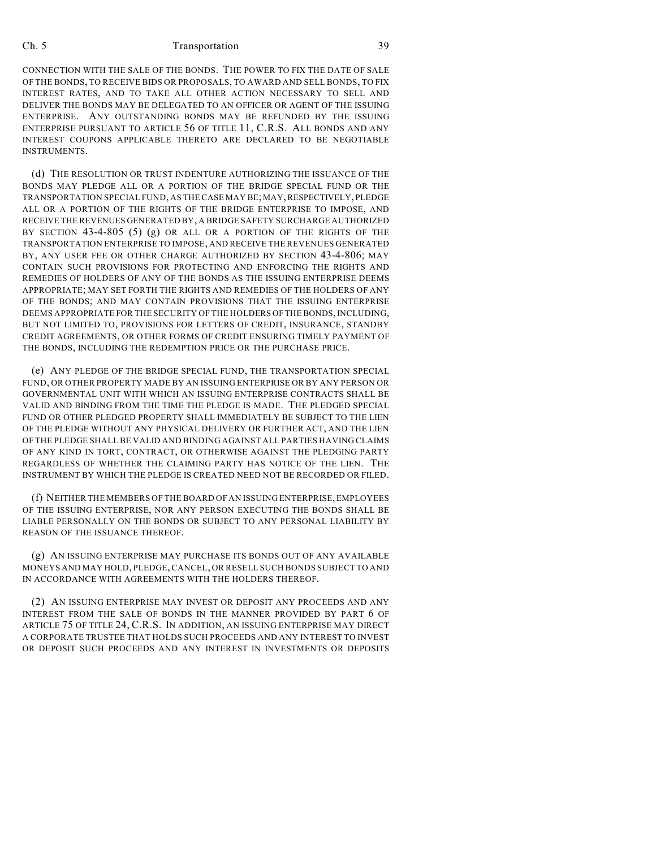CONNECTION WITH THE SALE OF THE BONDS. THE POWER TO FIX THE DATE OF SALE OF THE BONDS, TO RECEIVE BIDS OR PROPOSALS, TO AWARD AND SELL BONDS, TO FIX INTEREST RATES, AND TO TAKE ALL OTHER ACTION NECESSARY TO SELL AND DELIVER THE BONDS MAY BE DELEGATED TO AN OFFICER OR AGENT OF THE ISSUING ENTERPRISE. ANY OUTSTANDING BONDS MAY BE REFUNDED BY THE ISSUING ENTERPRISE PURSUANT TO ARTICLE 56 OF TITLE 11, C.R.S. ALL BONDS AND ANY INTEREST COUPONS APPLICABLE THERETO ARE DECLARED TO BE NEGOTIABLE **INSTRUMENTS** 

(d) THE RESOLUTION OR TRUST INDENTURE AUTHORIZING THE ISSUANCE OF THE BONDS MAY PLEDGE ALL OR A PORTION OF THE BRIDGE SPECIAL FUND OR THE TRANSPORTATION SPECIAL FUND, AS THE CASE MAY BE; MAY, RESPECTIVELY, PLEDGE ALL OR A PORTION OF THE RIGHTS OF THE BRIDGE ENTERPRISE TO IMPOSE, AND RECEIVE THE REVENUES GENERATED BY, A BRIDGE SAFETY SURCHARGE AUTHORIZED BY SECTION 43-4-805 (5) (g) OR ALL OR A PORTION OF THE RIGHTS OF THE TRANSPORTATION ENTERPRISE TO IMPOSE, AND RECEIVE THE REVENUES GENERATED BY, ANY USER FEE OR OTHER CHARGE AUTHORIZED BY SECTION 43-4-806; MAY CONTAIN SUCH PROVISIONS FOR PROTECTING AND ENFORCING THE RIGHTS AND REMEDIES OF HOLDERS OF ANY OF THE BONDS AS THE ISSUING ENTERPRISE DEEMS APPROPRIATE; MAY SET FORTH THE RIGHTS AND REMEDIES OF THE HOLDERS OF ANY OF THE BONDS; AND MAY CONTAIN PROVISIONS THAT THE ISSUING ENTERPRISE DEEMS APPROPRIATE FOR THE SECURITY OF THE HOLDERS OF THE BONDS, INCLUDING, BUT NOT LIMITED TO, PROVISIONS FOR LETTERS OF CREDIT, INSURANCE, STANDBY CREDIT AGREEMENTS, OR OTHER FORMS OF CREDIT ENSURING TIMELY PAYMENT OF THE BONDS, INCLUDING THE REDEMPTION PRICE OR THE PURCHASE PRICE.

(e) ANY PLEDGE OF THE BRIDGE SPECIAL FUND, THE TRANSPORTATION SPECIAL FUND, OR OTHER PROPERTY MADE BY AN ISSUING ENTERPRISE OR BY ANY PERSON OR GOVERNMENTAL UNIT WITH WHICH AN ISSUING ENTERPRISE CONTRACTS SHALL BE VALID AND BINDING FROM THE TIME THE PLEDGE IS MADE. THE PLEDGED SPECIAL FUND OR OTHER PLEDGED PROPERTY SHALL IMMEDIATELY BE SUBJECT TO THE LIEN OF THE PLEDGE WITHOUT ANY PHYSICAL DELIVERY OR FURTHER ACT, AND THE LIEN OF THE PLEDGE SHALL BE VALID AND BINDING AGAINST ALL PARTIES HAVING CLAIMS OF ANY KIND IN TORT, CONTRACT, OR OTHERWISE AGAINST THE PLEDGING PARTY REGARDLESS OF WHETHER THE CLAIMING PARTY HAS NOTICE OF THE LIEN. THE INSTRUMENT BY WHICH THE PLEDGE IS CREATED NEED NOT BE RECORDED OR FILED.

(f) NEITHER THE MEMBERS OF THE BOARD OF AN ISSUING ENTERPRISE, EMPLOYEES OF THE ISSUING ENTERPRISE, NOR ANY PERSON EXECUTING THE BONDS SHALL BE LIABLE PERSONALLY ON THE BONDS OR SUBJECT TO ANY PERSONAL LIABILITY BY REASON OF THE ISSUANCE THEREOF.

(g) AN ISSUING ENTERPRISE MAY PURCHASE ITS BONDS OUT OF ANY AVAILABLE MONEYS AND MAY HOLD, PLEDGE, CANCEL, OR RESELL SUCH BONDS SUBJECT TO AND IN ACCORDANCE WITH AGREEMENTS WITH THE HOLDERS THEREOF.

(2) AN ISSUING ENTERPRISE MAY INVEST OR DEPOSIT ANY PROCEEDS AND ANY INTEREST FROM THE SALE OF BONDS IN THE MANNER PROVIDED BY PART 6 OF ARTICLE 75 OF TITLE 24, C.R.S. IN ADDITION, AN ISSUING ENTERPRISE MAY DIRECT A CORPORATE TRUSTEE THAT HOLDS SUCH PROCEEDS AND ANY INTEREST TO INVEST OR DEPOSIT SUCH PROCEEDS AND ANY INTEREST IN INVESTMENTS OR DEPOSITS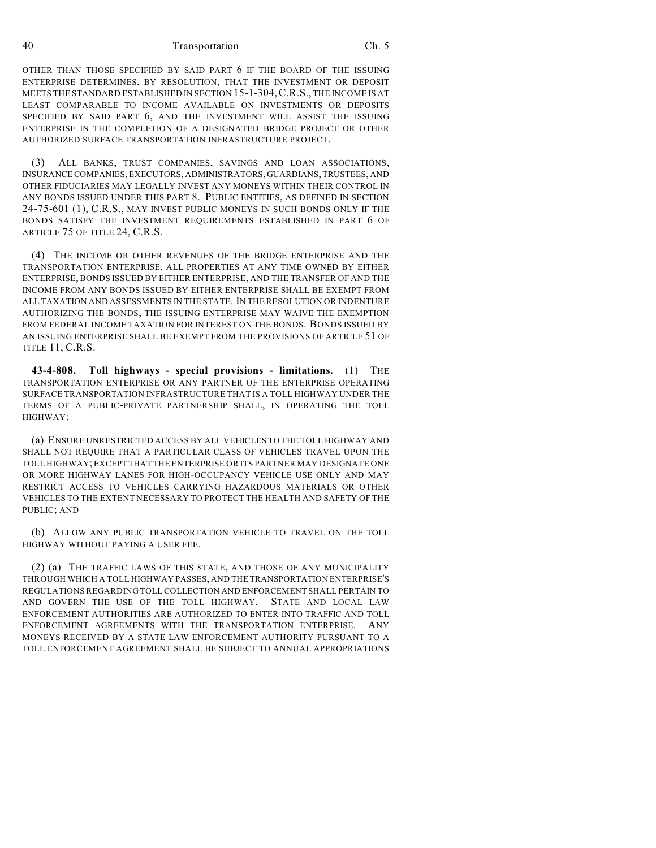OTHER THAN THOSE SPECIFIED BY SAID PART 6 IF THE BOARD OF THE ISSUING ENTERPRISE DETERMINES, BY RESOLUTION, THAT THE INVESTMENT OR DEPOSIT MEETS THE STANDARD ESTABLISHED IN SECTION 15-1-304,C.R.S., THE INCOME IS AT LEAST COMPARABLE TO INCOME AVAILABLE ON INVESTMENTS OR DEPOSITS SPECIFIED BY SAID PART 6, AND THE INVESTMENT WILL ASSIST THE ISSUING ENTERPRISE IN THE COMPLETION OF A DESIGNATED BRIDGE PROJECT OR OTHER AUTHORIZED SURFACE TRANSPORTATION INFRASTRUCTURE PROJECT.

(3) ALL BANKS, TRUST COMPANIES, SAVINGS AND LOAN ASSOCIATIONS, INSURANCE COMPANIES, EXECUTORS, ADMINISTRATORS, GUARDIANS, TRUSTEES, AND OTHER FIDUCIARIES MAY LEGALLY INVEST ANY MONEYS WITHIN THEIR CONTROL IN ANY BONDS ISSUED UNDER THIS PART 8. PUBLIC ENTITIES, AS DEFINED IN SECTION 24-75-601 (1), C.R.S., MAY INVEST PUBLIC MONEYS IN SUCH BONDS ONLY IF THE BONDS SATISFY THE INVESTMENT REQUIREMENTS ESTABLISHED IN PART 6 OF ARTICLE 75 OF TITLE 24, C.R.S.

(4) THE INCOME OR OTHER REVENUES OF THE BRIDGE ENTERPRISE AND THE TRANSPORTATION ENTERPRISE, ALL PROPERTIES AT ANY TIME OWNED BY EITHER ENTERPRISE, BONDS ISSUED BY EITHER ENTERPRISE, AND THE TRANSFER OF AND THE INCOME FROM ANY BONDS ISSUED BY EITHER ENTERPRISE SHALL BE EXEMPT FROM ALL TAXATION AND ASSESSMENTS IN THE STATE. IN THE RESOLUTION OR INDENTURE AUTHORIZING THE BONDS, THE ISSUING ENTERPRISE MAY WAIVE THE EXEMPTION FROM FEDERAL INCOME TAXATION FOR INTEREST ON THE BONDS. BONDS ISSUED BY AN ISSUING ENTERPRISE SHALL BE EXEMPT FROM THE PROVISIONS OF ARTICLE 51 OF TITLE 11, C.R.S.

**43-4-808. Toll highways - special provisions - limitations.** (1) THE TRANSPORTATION ENTERPRISE OR ANY PARTNER OF THE ENTERPRISE OPERATING SURFACE TRANSPORTATION INFRASTRUCTURE THAT IS A TOLL HIGHWAY UNDER THE TERMS OF A PUBLIC-PRIVATE PARTNERSHIP SHALL, IN OPERATING THE TOLL HIGHWAY:

(a) ENSURE UNRESTRICTED ACCESS BY ALL VEHICLES TO THE TOLL HIGHWAY AND SHALL NOT REQUIRE THAT A PARTICULAR CLASS OF VEHICLES TRAVEL UPON THE TOLL HIGHWAY; EXCEPT THAT THE ENTERPRISE OR ITS PARTNER MAY DESIGNATE ONE OR MORE HIGHWAY LANES FOR HIGH-OCCUPANCY VEHICLE USE ONLY AND MAY RESTRICT ACCESS TO VEHICLES CARRYING HAZARDOUS MATERIALS OR OTHER VEHICLES TO THE EXTENT NECESSARY TO PROTECT THE HEALTH AND SAFETY OF THE PUBLIC; AND

(b) ALLOW ANY PUBLIC TRANSPORTATION VEHICLE TO TRAVEL ON THE TOLL HIGHWAY WITHOUT PAYING A USER FEE.

(2) (a) THE TRAFFIC LAWS OF THIS STATE, AND THOSE OF ANY MUNICIPALITY THROUGH WHICH A TOLL HIGHWAY PASSES, AND THE TRANSPORTATION ENTERPRISE'S REGULATIONS REGARDING TOLL COLLECTION AND ENFORCEMENT SHALL PERTAIN TO AND GOVERN THE USE OF THE TOLL HIGHWAY. STATE AND LOCAL LAW ENFORCEMENT AUTHORITIES ARE AUTHORIZED TO ENTER INTO TRAFFIC AND TOLL ENFORCEMENT AGREEMENTS WITH THE TRANSPORTATION ENTERPRISE. ANY MONEYS RECEIVED BY A STATE LAW ENFORCEMENT AUTHORITY PURSUANT TO A TOLL ENFORCEMENT AGREEMENT SHALL BE SUBJECT TO ANNUAL APPROPRIATIONS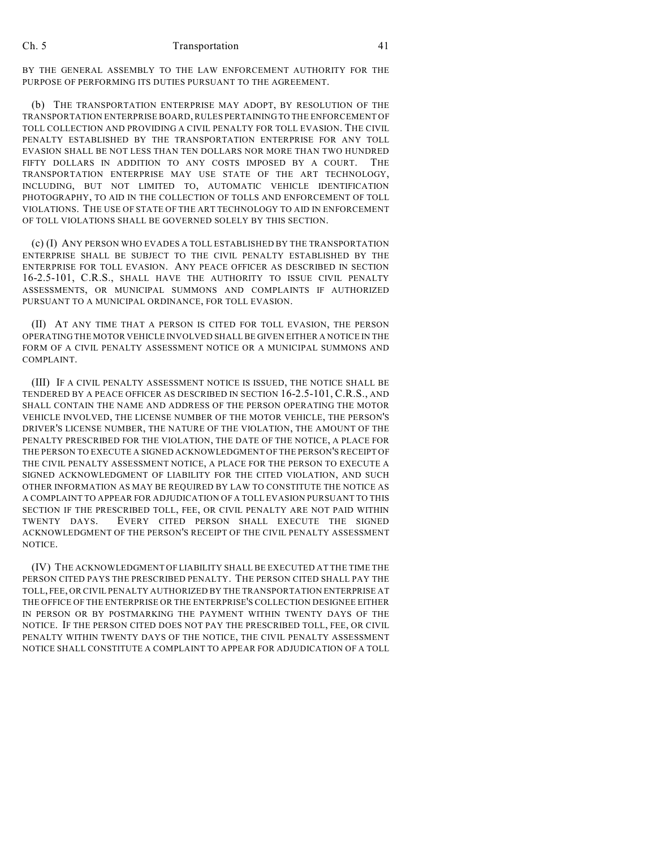BY THE GENERAL ASSEMBLY TO THE LAW ENFORCEMENT AUTHORITY FOR THE PURPOSE OF PERFORMING ITS DUTIES PURSUANT TO THE AGREEMENT.

(b) THE TRANSPORTATION ENTERPRISE MAY ADOPT, BY RESOLUTION OF THE TRANSPORTATION ENTERPRISE BOARD, RULES PERTAINING TO THE ENFORCEMENT OF TOLL COLLECTION AND PROVIDING A CIVIL PENALTY FOR TOLL EVASION. THE CIVIL PENALTY ESTABLISHED BY THE TRANSPORTATION ENTERPRISE FOR ANY TOLL EVASION SHALL BE NOT LESS THAN TEN DOLLARS NOR MORE THAN TWO HUNDRED FIFTY DOLLARS IN ADDITION TO ANY COSTS IMPOSED BY A COURT. THE TRANSPORTATION ENTERPRISE MAY USE STATE OF THE ART TECHNOLOGY, INCLUDING, BUT NOT LIMITED TO, AUTOMATIC VEHICLE IDENTIFICATION PHOTOGRAPHY, TO AID IN THE COLLECTION OF TOLLS AND ENFORCEMENT OF TOLL VIOLATIONS. THE USE OF STATE OF THE ART TECHNOLOGY TO AID IN ENFORCEMENT OF TOLL VIOLATIONS SHALL BE GOVERNED SOLELY BY THIS SECTION.

(c) (I) ANY PERSON WHO EVADES A TOLL ESTABLISHED BY THE TRANSPORTATION ENTERPRISE SHALL BE SUBJECT TO THE CIVIL PENALTY ESTABLISHED BY THE ENTERPRISE FOR TOLL EVASION. ANY PEACE OFFICER AS DESCRIBED IN SECTION 16-2.5-101, C.R.S., SHALL HAVE THE AUTHORITY TO ISSUE CIVIL PENALTY ASSESSMENTS, OR MUNICIPAL SUMMONS AND COMPLAINTS IF AUTHORIZED PURSUANT TO A MUNICIPAL ORDINANCE, FOR TOLL EVASION.

(II) AT ANY TIME THAT A PERSON IS CITED FOR TOLL EVASION, THE PERSON OPERATING THE MOTOR VEHICLE INVOLVED SHALL BE GIVEN EITHER A NOTICE IN THE FORM OF A CIVIL PENALTY ASSESSMENT NOTICE OR A MUNICIPAL SUMMONS AND COMPLAINT.

(III) IF A CIVIL PENALTY ASSESSMENT NOTICE IS ISSUED, THE NOTICE SHALL BE TENDERED BY A PEACE OFFICER AS DESCRIBED IN SECTION 16-2.5-101, C.R.S., AND SHALL CONTAIN THE NAME AND ADDRESS OF THE PERSON OPERATING THE MOTOR VEHICLE INVOLVED, THE LICENSE NUMBER OF THE MOTOR VEHICLE, THE PERSON'S DRIVER'S LICENSE NUMBER, THE NATURE OF THE VIOLATION, THE AMOUNT OF THE PENALTY PRESCRIBED FOR THE VIOLATION, THE DATE OF THE NOTICE, A PLACE FOR THE PERSON TO EXECUTE A SIGNED ACKNOWLEDGMENT OF THE PERSON'S RECEIPT OF THE CIVIL PENALTY ASSESSMENT NOTICE, A PLACE FOR THE PERSON TO EXECUTE A SIGNED ACKNOWLEDGMENT OF LIABILITY FOR THE CITED VIOLATION, AND SUCH OTHER INFORMATION AS MAY BE REQUIRED BY LAW TO CONSTITUTE THE NOTICE AS A COMPLAINT TO APPEAR FOR ADJUDICATION OF A TOLL EVASION PURSUANT TO THIS SECTION IF THE PRESCRIBED TOLL, FEE, OR CIVIL PENALTY ARE NOT PAID WITHIN TWENTY DAYS. EVERY CITED PERSON SHALL EXECUTE THE SIGNED ACKNOWLEDGMENT OF THE PERSON'S RECEIPT OF THE CIVIL PENALTY ASSESSMENT NOTICE.

(IV) THE ACKNOWLEDGMENT OF LIABILITY SHALL BE EXECUTED AT THE TIME THE PERSON CITED PAYS THE PRESCRIBED PENALTY. THE PERSON CITED SHALL PAY THE TOLL, FEE, OR CIVIL PENALTY AUTHORIZED BY THE TRANSPORTATION ENTERPRISE AT THE OFFICE OF THE ENTERPRISE OR THE ENTERPRISE'S COLLECTION DESIGNEE EITHER IN PERSON OR BY POSTMARKING THE PAYMENT WITHIN TWENTY DAYS OF THE NOTICE. IF THE PERSON CITED DOES NOT PAY THE PRESCRIBED TOLL, FEE, OR CIVIL PENALTY WITHIN TWENTY DAYS OF THE NOTICE, THE CIVIL PENALTY ASSESSMENT NOTICE SHALL CONSTITUTE A COMPLAINT TO APPEAR FOR ADJUDICATION OF A TOLL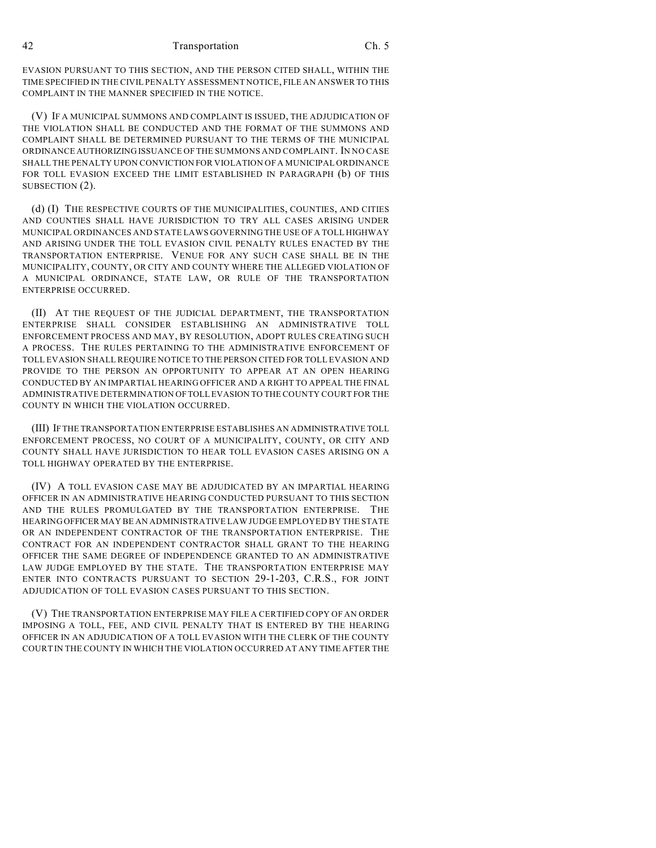EVASION PURSUANT TO THIS SECTION, AND THE PERSON CITED SHALL, WITHIN THE TIME SPECIFIED IN THE CIVIL PENALTY ASSESSMENT NOTICE, FILE AN ANSWER TO THIS COMPLAINT IN THE MANNER SPECIFIED IN THE NOTICE.

(V) IF A MUNICIPAL SUMMONS AND COMPLAINT IS ISSUED, THE ADJUDICATION OF THE VIOLATION SHALL BE CONDUCTED AND THE FORMAT OF THE SUMMONS AND COMPLAINT SHALL BE DETERMINED PURSUANT TO THE TERMS OF THE MUNICIPAL ORDINANCE AUTHORIZING ISSUANCE OF THE SUMMONS AND COMPLAINT. IN NO CASE SHALL THE PENALTY UPON CONVICTION FOR VIOLATION OF A MUNICIPAL ORDINANCE FOR TOLL EVASION EXCEED THE LIMIT ESTABLISHED IN PARAGRAPH (b) OF THIS SUBSECTION (2).

(d) (I) THE RESPECTIVE COURTS OF THE MUNICIPALITIES, COUNTIES, AND CITIES AND COUNTIES SHALL HAVE JURISDICTION TO TRY ALL CASES ARISING UNDER MUNICIPAL ORDINANCES AND STATE LAWS GOVERNING THE USE OF A TOLL HIGHWAY AND ARISING UNDER THE TOLL EVASION CIVIL PENALTY RULES ENACTED BY THE TRANSPORTATION ENTERPRISE. VENUE FOR ANY SUCH CASE SHALL BE IN THE MUNICIPALITY, COUNTY, OR CITY AND COUNTY WHERE THE ALLEGED VIOLATION OF A MUNICIPAL ORDINANCE, STATE LAW, OR RULE OF THE TRANSPORTATION ENTERPRISE OCCURRED.

(II) AT THE REQUEST OF THE JUDICIAL DEPARTMENT, THE TRANSPORTATION ENTERPRISE SHALL CONSIDER ESTABLISHING AN ADMINISTRATIVE TOLL ENFORCEMENT PROCESS AND MAY, BY RESOLUTION, ADOPT RULES CREATING SUCH A PROCESS. THE RULES PERTAINING TO THE ADMINISTRATIVE ENFORCEMENT OF TOLL EVASION SHALL REQUIRE NOTICE TO THE PERSON CITED FOR TOLL EVASION AND PROVIDE TO THE PERSON AN OPPORTUNITY TO APPEAR AT AN OPEN HEARING CONDUCTED BY AN IMPARTIAL HEARING OFFICER AND A RIGHT TO APPEAL THE FINAL ADMINISTRATIVE DETERMINATION OF TOLL EVASION TO THE COUNTY COURT FOR THE COUNTY IN WHICH THE VIOLATION OCCURRED.

(III) IF THE TRANSPORTATION ENTERPRISE ESTABLISHES AN ADMINISTRATIVE TOLL ENFORCEMENT PROCESS, NO COURT OF A MUNICIPALITY, COUNTY, OR CITY AND COUNTY SHALL HAVE JURISDICTION TO HEAR TOLL EVASION CASES ARISING ON A TOLL HIGHWAY OPERATED BY THE ENTERPRISE.

(IV) A TOLL EVASION CASE MAY BE ADJUDICATED BY AN IMPARTIAL HEARING OFFICER IN AN ADMINISTRATIVE HEARING CONDUCTED PURSUANT TO THIS SECTION AND THE RULES PROMULGATED BY THE TRANSPORTATION ENTERPRISE. THE HEARING OFFICER MAY BE AN ADMINISTRATIVE LAW JUDGE EMPLOYED BY THE STATE OR AN INDEPENDENT CONTRACTOR OF THE TRANSPORTATION ENTERPRISE. THE CONTRACT FOR AN INDEPENDENT CONTRACTOR SHALL GRANT TO THE HEARING OFFICER THE SAME DEGREE OF INDEPENDENCE GRANTED TO AN ADMINISTRATIVE LAW JUDGE EMPLOYED BY THE STATE. THE TRANSPORTATION ENTERPRISE MAY ENTER INTO CONTRACTS PURSUANT TO SECTION 29-1-203, C.R.S., FOR JOINT ADJUDICATION OF TOLL EVASION CASES PURSUANT TO THIS SECTION.

(V) THE TRANSPORTATION ENTERPRISE MAY FILE A CERTIFIED COPY OF AN ORDER IMPOSING A TOLL, FEE, AND CIVIL PENALTY THAT IS ENTERED BY THE HEARING OFFICER IN AN ADJUDICATION OF A TOLL EVASION WITH THE CLERK OF THE COUNTY COURT IN THE COUNTY IN WHICH THE VIOLATION OCCURRED AT ANY TIME AFTER THE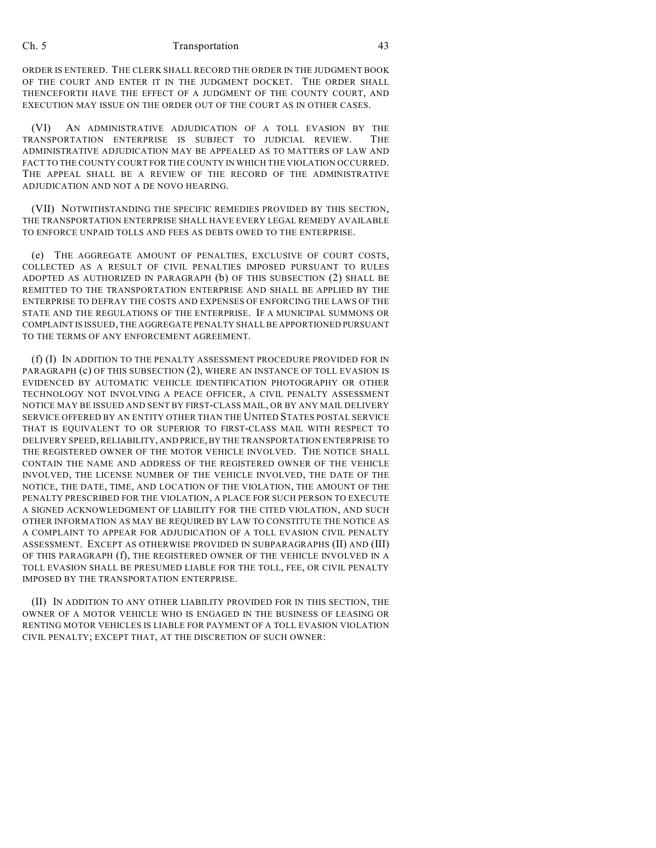ORDER IS ENTERED. THE CLERK SHALL RECORD THE ORDER IN THE JUDGMENT BOOK OF THE COURT AND ENTER IT IN THE JUDGMENT DOCKET. THE ORDER SHALL THENCEFORTH HAVE THE EFFECT OF A JUDGMENT OF THE COUNTY COURT, AND EXECUTION MAY ISSUE ON THE ORDER OUT OF THE COURT AS IN OTHER CASES.

(VI) AN ADMINISTRATIVE ADJUDICATION OF A TOLL EVASION BY THE TRANSPORTATION ENTERPRISE IS SUBJECT TO JUDICIAL REVIEW. THE ADMINISTRATIVE ADJUDICATION MAY BE APPEALED AS TO MATTERS OF LAW AND FACT TO THE COUNTY COURT FOR THE COUNTY IN WHICH THE VIOLATION OCCURRED. THE APPEAL SHALL BE A REVIEW OF THE RECORD OF THE ADMINISTRATIVE ADJUDICATION AND NOT A DE NOVO HEARING.

(VII) NOTWITHSTANDING THE SPECIFIC REMEDIES PROVIDED BY THIS SECTION, THE TRANSPORTATION ENTERPRISE SHALL HAVE EVERY LEGAL REMEDY AVAILABLE TO ENFORCE UNPAID TOLLS AND FEES AS DEBTS OWED TO THE ENTERPRISE.

(e) THE AGGREGATE AMOUNT OF PENALTIES, EXCLUSIVE OF COURT COSTS, COLLECTED AS A RESULT OF CIVIL PENALTIES IMPOSED PURSUANT TO RULES ADOPTED AS AUTHORIZED IN PARAGRAPH (b) OF THIS SUBSECTION (2) SHALL BE REMITTED TO THE TRANSPORTATION ENTERPRISE AND SHALL BE APPLIED BY THE ENTERPRISE TO DEFRAY THE COSTS AND EXPENSES OF ENFORCING THE LAWS OF THE STATE AND THE REGULATIONS OF THE ENTERPRISE. IF A MUNICIPAL SUMMONS OR COMPLAINT IS ISSUED, THE AGGREGATE PENALTY SHALL BE APPORTIONED PURSUANT TO THE TERMS OF ANY ENFORCEMENT AGREEMENT.

(f) (I) IN ADDITION TO THE PENALTY ASSESSMENT PROCEDURE PROVIDED FOR IN PARAGRAPH (c) OF THIS SUBSECTION (2), WHERE AN INSTANCE OF TOLL EVASION IS EVIDENCED BY AUTOMATIC VEHICLE IDENTIFICATION PHOTOGRAPHY OR OTHER TECHNOLOGY NOT INVOLVING A PEACE OFFICER, A CIVIL PENALTY ASSESSMENT NOTICE MAY BE ISSUED AND SENT BY FIRST-CLASS MAIL, OR BY ANY MAIL DELIVERY SERVICE OFFERED BY AN ENTITY OTHER THAN THE UNITED STATES POSTAL SERVICE THAT IS EQUIVALENT TO OR SUPERIOR TO FIRST-CLASS MAIL WITH RESPECT TO DELIVERY SPEED, RELIABILITY, AND PRICE, BY THE TRANSPORTATION ENTERPRISE TO THE REGISTERED OWNER OF THE MOTOR VEHICLE INVOLVED. THE NOTICE SHALL CONTAIN THE NAME AND ADDRESS OF THE REGISTERED OWNER OF THE VEHICLE INVOLVED, THE LICENSE NUMBER OF THE VEHICLE INVOLVED, THE DATE OF THE NOTICE, THE DATE, TIME, AND LOCATION OF THE VIOLATION, THE AMOUNT OF THE PENALTY PRESCRIBED FOR THE VIOLATION, A PLACE FOR SUCH PERSON TO EXECUTE A SIGNED ACKNOWLEDGMENT OF LIABILITY FOR THE CITED VIOLATION, AND SUCH OTHER INFORMATION AS MAY BE REQUIRED BY LAW TO CONSTITUTE THE NOTICE AS A COMPLAINT TO APPEAR FOR ADJUDICATION OF A TOLL EVASION CIVIL PENALTY ASSESSMENT. EXCEPT AS OTHERWISE PROVIDED IN SUBPARAGRAPHS (II) AND (III) OF THIS PARAGRAPH (f), THE REGISTERED OWNER OF THE VEHICLE INVOLVED IN A TOLL EVASION SHALL BE PRESUMED LIABLE FOR THE TOLL, FEE, OR CIVIL PENALTY IMPOSED BY THE TRANSPORTATION ENTERPRISE.

(II) IN ADDITION TO ANY OTHER LIABILITY PROVIDED FOR IN THIS SECTION, THE OWNER OF A MOTOR VEHICLE WHO IS ENGAGED IN THE BUSINESS OF LEASING OR RENTING MOTOR VEHICLES IS LIABLE FOR PAYMENT OF A TOLL EVASION VIOLATION CIVIL PENALTY; EXCEPT THAT, AT THE DISCRETION OF SUCH OWNER: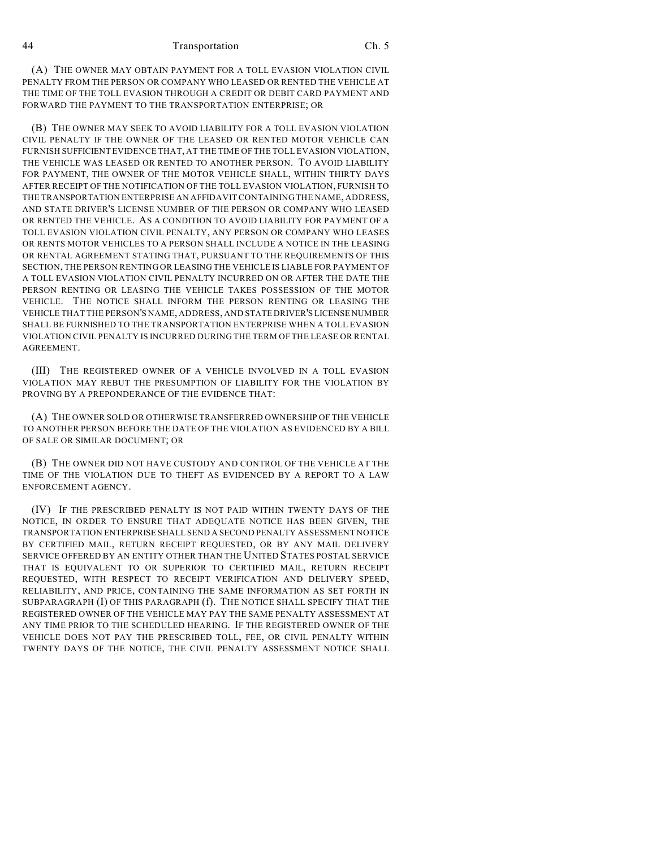(A) THE OWNER MAY OBTAIN PAYMENT FOR A TOLL EVASION VIOLATION CIVIL PENALTY FROM THE PERSON OR COMPANY WHO LEASED OR RENTED THE VEHICLE AT THE TIME OF THE TOLL EVASION THROUGH A CREDIT OR DEBIT CARD PAYMENT AND FORWARD THE PAYMENT TO THE TRANSPORTATION ENTERPRISE; OR

(B) THE OWNER MAY SEEK TO AVOID LIABILITY FOR A TOLL EVASION VIOLATION CIVIL PENALTY IF THE OWNER OF THE LEASED OR RENTED MOTOR VEHICLE CAN FURNISH SUFFICIENT EVIDENCE THAT, AT THE TIME OF THE TOLL EVASION VIOLATION, THE VEHICLE WAS LEASED OR RENTED TO ANOTHER PERSON. TO AVOID LIABILITY FOR PAYMENT, THE OWNER OF THE MOTOR VEHICLE SHALL, WITHIN THIRTY DAYS AFTER RECEIPT OF THE NOTIFICATION OF THE TOLL EVASION VIOLATION, FURNISH TO THE TRANSPORTATION ENTERPRISE AN AFFIDAVIT CONTAINING THE NAME, ADDRESS, AND STATE DRIVER'S LICENSE NUMBER OF THE PERSON OR COMPANY WHO LEASED OR RENTED THE VEHICLE. AS A CONDITION TO AVOID LIABILITY FOR PAYMENT OF A TOLL EVASION VIOLATION CIVIL PENALTY, ANY PERSON OR COMPANY WHO LEASES OR RENTS MOTOR VEHICLES TO A PERSON SHALL INCLUDE A NOTICE IN THE LEASING OR RENTAL AGREEMENT STATING THAT, PURSUANT TO THE REQUIREMENTS OF THIS SECTION, THE PERSON RENTING OR LEASING THE VEHICLE IS LIABLE FOR PAYMENT OF A TOLL EVASION VIOLATION CIVIL PENALTY INCURRED ON OR AFTER THE DATE THE PERSON RENTING OR LEASING THE VEHICLE TAKES POSSESSION OF THE MOTOR VEHICLE. THE NOTICE SHALL INFORM THE PERSON RENTING OR LEASING THE VEHICLE THAT THE PERSON'S NAME, ADDRESS, AND STATE DRIVER'S LICENSE NUMBER SHALL BE FURNISHED TO THE TRANSPORTATION ENTERPRISE WHEN A TOLL EVASION VIOLATION CIVIL PENALTY IS INCURRED DURING THE TERM OF THE LEASE OR RENTAL AGREEMENT.

(III) THE REGISTERED OWNER OF A VEHICLE INVOLVED IN A TOLL EVASION VIOLATION MAY REBUT THE PRESUMPTION OF LIABILITY FOR THE VIOLATION BY PROVING BY A PREPONDERANCE OF THE EVIDENCE THAT:

(A) THE OWNER SOLD OR OTHERWISE TRANSFERRED OWNERSHIP OF THE VEHICLE TO ANOTHER PERSON BEFORE THE DATE OF THE VIOLATION AS EVIDENCED BY A BILL OF SALE OR SIMILAR DOCUMENT; OR

(B) THE OWNER DID NOT HAVE CUSTODY AND CONTROL OF THE VEHICLE AT THE TIME OF THE VIOLATION DUE TO THEFT AS EVIDENCED BY A REPORT TO A LAW ENFORCEMENT AGENCY.

(IV) IF THE PRESCRIBED PENALTY IS NOT PAID WITHIN TWENTY DAYS OF THE NOTICE, IN ORDER TO ENSURE THAT ADEQUATE NOTICE HAS BEEN GIVEN, THE TRANSPORTATION ENTERPRISE SHALL SEND A SECOND PENALTY ASSESSMENT NOTICE BY CERTIFIED MAIL, RETURN RECEIPT REQUESTED, OR BY ANY MAIL DELIVERY SERVICE OFFERED BY AN ENTITY OTHER THAN THE UNITED STATES POSTAL SERVICE THAT IS EQUIVALENT TO OR SUPERIOR TO CERTIFIED MAIL, RETURN RECEIPT REQUESTED, WITH RESPECT TO RECEIPT VERIFICATION AND DELIVERY SPEED, RELIABILITY, AND PRICE, CONTAINING THE SAME INFORMATION AS SET FORTH IN SUBPARAGRAPH (I) OF THIS PARAGRAPH (f). THE NOTICE SHALL SPECIFY THAT THE REGISTERED OWNER OF THE VEHICLE MAY PAY THE SAME PENALTY ASSESSMENT AT ANY TIME PRIOR TO THE SCHEDULED HEARING. IF THE REGISTERED OWNER OF THE VEHICLE DOES NOT PAY THE PRESCRIBED TOLL, FEE, OR CIVIL PENALTY WITHIN TWENTY DAYS OF THE NOTICE, THE CIVIL PENALTY ASSESSMENT NOTICE SHALL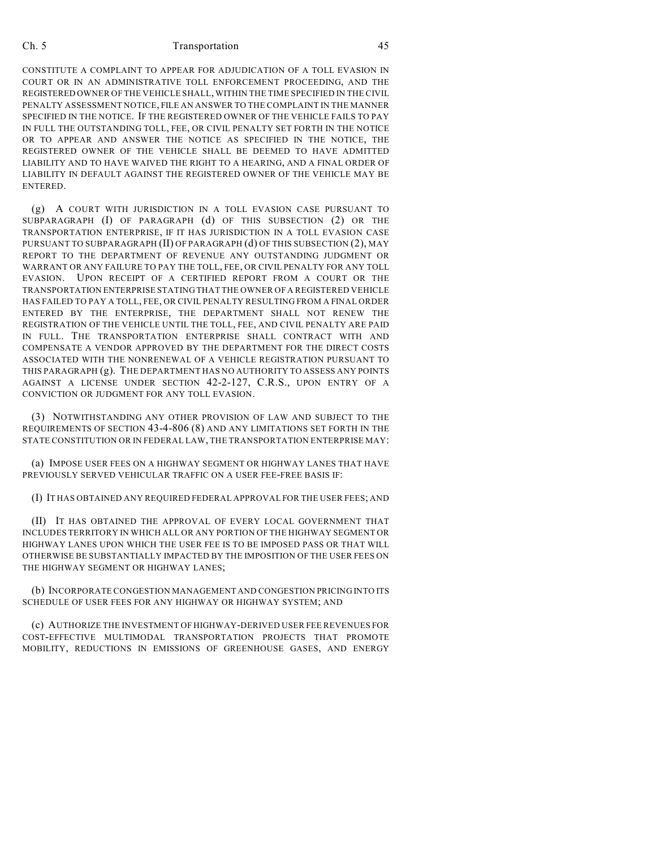CONSTITUTE A COMPLAINT TO APPEAR FOR ADJUDICATION OF A TOLL EVASION IN COURT OR IN AN ADMINISTRATIVE TOLL ENFORCEMENT PROCEEDING, AND THE REGISTERED OWNER OF THE VEHICLE SHALL, WITHIN THE TIME SPECIFIED IN THE CIVIL PENALTY ASSESSMENT NOTICE, FILE AN ANSWER TO THE COMPLAINT IN THE MANNER SPECIFIED IN THE NOTICE. IF THE REGISTERED OWNER OF THE VEHICLE FAILS TO PAY IN FULL THE OUTSTANDING TOLL, FEE, OR CIVIL PENALTY SET FORTH IN THE NOTICE OR TO APPEAR AND ANSWER THE NOTICE AS SPECIFIED IN THE NOTICE, THE REGISTERED OWNER OF THE VEHICLE SHALL BE DEEMED TO HAVE ADMITTED LIABILITY AND TO HAVE WAIVED THE RIGHT TO A HEARING, AND A FINAL ORDER OF LIABILITY IN DEFAULT AGAINST THE REGISTERED OWNER OF THE VEHICLE MAY BE ENTERED.

(g) A COURT WITH JURISDICTION IN A TOLL EVASION CASE PURSUANT TO SUBPARAGRAPH (I) OF PARAGRAPH (d) OF THIS SUBSECTION (2) OR THE TRANSPORTATION ENTERPRISE, IF IT HAS JURISDICTION IN A TOLL EVASION CASE PURSUANT TO SUBPARAGRAPH (II) OF PARAGRAPH (d) OF THIS SUBSECTION (2), MAY REPORT TO THE DEPARTMENT OF REVENUE ANY OUTSTANDING JUDGMENT OR WARRANT OR ANY FAILURE TO PAY THE TOLL, FEE, OR CIVIL PENALTY FOR ANY TOLL EVASION. UPON RECEIPT OF A CERTIFIED REPORT FROM A COURT OR THE TRANSPORTATION ENTERPRISE STATING THAT THE OWNER OF A REGISTERED VEHICLE HAS FAILED TO PAY A TOLL, FEE, OR CIVIL PENALTY RESULTING FROM A FINAL ORDER ENTERED BY THE ENTERPRISE, THE DEPARTMENT SHALL NOT RENEW THE REGISTRATION OF THE VEHICLE UNTIL THE TOLL, FEE, AND CIVIL PENALTY ARE PAID IN FULL. THE TRANSPORTATION ENTERPRISE SHALL CONTRACT WITH AND COMPENSATE A VENDOR APPROVED BY THE DEPARTMENT FOR THE DIRECT COSTS ASSOCIATED WITH THE NONRENEWAL OF A VEHICLE REGISTRATION PURSUANT TO THIS PARAGRAPH (g). THE DEPARTMENT HAS NO AUTHORITY TO ASSESS ANY POINTS AGAINST A LICENSE UNDER SECTION 42-2-127, C.R.S., UPON ENTRY OF A CONVICTION OR JUDGMENT FOR ANY TOLL EVASION.

(3) NOTWITHSTANDING ANY OTHER PROVISION OF LAW AND SUBJECT TO THE REQUIREMENTS OF SECTION 43-4-806 (8) AND ANY LIMITATIONS SET FORTH IN THE STATE CONSTITUTION OR IN FEDERAL LAW, THE TRANSPORTATION ENTERPRISE MAY:

(a) IMPOSE USER FEES ON A HIGHWAY SEGMENT OR HIGHWAY LANES THAT HAVE PREVIOUSLY SERVED VEHICULAR TRAFFIC ON A USER FEE-FREE BASIS IF:

(I) IT HAS OBTAINED ANY REQUIRED FEDERAL APPROVAL FOR THE USER FEES; AND

(II) IT HAS OBTAINED THE APPROVAL OF EVERY LOCAL GOVERNMENT THAT INCLUDES TERRITORY IN WHICH ALL OR ANY PORTION OF THE HIGHWAY SEGMENT OR HIGHWAY LANES UPON WHICH THE USER FEE IS TO BE IMPOSED PASS OR THAT WILL OTHERWISE BE SUBSTANTIALLY IMPACTED BY THE IMPOSITION OF THE USER FEES ON THE HIGHWAY SEGMENT OR HIGHWAY LANES;

(b) INCORPORATE CONGESTION MANAGEMENT AND CONGESTION PRICING INTO ITS SCHEDULE OF USER FEES FOR ANY HIGHWAY OR HIGHWAY SYSTEM; AND

(c) AUTHORIZE THE INVESTMENT OF HIGHWAY-DERIVED USER FEE REVENUES FOR COST-EFFECTIVE MULTIMODAL TRANSPORTATION PROJECTS THAT PROMOTE MOBILITY, REDUCTIONS IN EMISSIONS OF GREENHOUSE GASES, AND ENERGY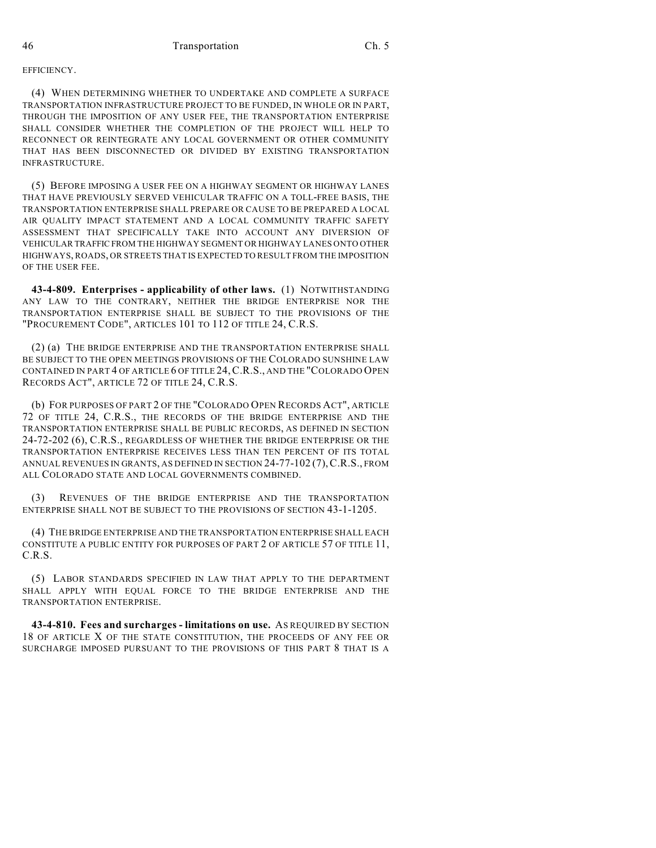## **EFFICIENCY**

(4) WHEN DETERMINING WHETHER TO UNDERTAKE AND COMPLETE A SURFACE TRANSPORTATION INFRASTRUCTURE PROJECT TO BE FUNDED, IN WHOLE OR IN PART, THROUGH THE IMPOSITION OF ANY USER FEE, THE TRANSPORTATION ENTERPRISE SHALL CONSIDER WHETHER THE COMPLETION OF THE PROJECT WILL HELP TO RECONNECT OR REINTEGRATE ANY LOCAL GOVERNMENT OR OTHER COMMUNITY THAT HAS BEEN DISCONNECTED OR DIVIDED BY EXISTING TRANSPORTATION INFRASTRUCTURE.

(5) BEFORE IMPOSING A USER FEE ON A HIGHWAY SEGMENT OR HIGHWAY LANES THAT HAVE PREVIOUSLY SERVED VEHICULAR TRAFFIC ON A TOLL-FREE BASIS, THE TRANSPORTATION ENTERPRISE SHALL PREPARE OR CAUSE TO BE PREPARED A LOCAL AIR QUALITY IMPACT STATEMENT AND A LOCAL COMMUNITY TRAFFIC SAFETY ASSESSMENT THAT SPECIFICALLY TAKE INTO ACCOUNT ANY DIVERSION OF VEHICULAR TRAFFIC FROM THE HIGHWAY SEGMENT OR HIGHWAY LANES ONTO OTHER HIGHWAYS, ROADS, OR STREETS THAT IS EXPECTED TO RESULT FROM THE IMPOSITION OF THE USER FEE.

**43-4-809. Enterprises - applicability of other laws.** (1) NOTWITHSTANDING ANY LAW TO THE CONTRARY, NEITHER THE BRIDGE ENTERPRISE NOR THE TRANSPORTATION ENTERPRISE SHALL BE SUBJECT TO THE PROVISIONS OF THE "PROCUREMENT CODE", ARTICLES 101 TO 112 OF TITLE 24, C.R.S.

(2) (a) THE BRIDGE ENTERPRISE AND THE TRANSPORTATION ENTERPRISE SHALL BE SUBJECT TO THE OPEN MEETINGS PROVISIONS OF THE COLORADO SUNSHINE LAW CONTAINED IN PART 4 OF ARTICLE 6 OF TITLE 24,C.R.S., AND THE "COLORADO OPEN RECORDS ACT", ARTICLE 72 OF TITLE 24, C.R.S.

(b) FOR PURPOSES OF PART 2 OF THE "COLORADO OPEN RECORDS ACT", ARTICLE 72 OF TITLE 24, C.R.S., THE RECORDS OF THE BRIDGE ENTERPRISE AND THE TRANSPORTATION ENTERPRISE SHALL BE PUBLIC RECORDS, AS DEFINED IN SECTION 24-72-202 (6), C.R.S., REGARDLESS OF WHETHER THE BRIDGE ENTERPRISE OR THE TRANSPORTATION ENTERPRISE RECEIVES LESS THAN TEN PERCENT OF ITS TOTAL ANNUAL REVENUES IN GRANTS, AS DEFINED IN SECTION 24-77-102 (7),C.R.S., FROM ALL COLORADO STATE AND LOCAL GOVERNMENTS COMBINED.

(3) REVENUES OF THE BRIDGE ENTERPRISE AND THE TRANSPORTATION ENTERPRISE SHALL NOT BE SUBJECT TO THE PROVISIONS OF SECTION 43-1-1205.

(4) THE BRIDGE ENTERPRISE AND THE TRANSPORTATION ENTERPRISE SHALL EACH CONSTITUTE A PUBLIC ENTITY FOR PURPOSES OF PART 2 OF ARTICLE 57 OF TITLE 11, C.R.S.

(5) LABOR STANDARDS SPECIFIED IN LAW THAT APPLY TO THE DEPARTMENT SHALL APPLY WITH EQUAL FORCE TO THE BRIDGE ENTERPRISE AND THE TRANSPORTATION ENTERPRISE.

**43-4-810. Fees and surcharges - limitations on use.** AS REQUIRED BY SECTION 18 OF ARTICLE X OF THE STATE CONSTITUTION, THE PROCEEDS OF ANY FEE OR SURCHARGE IMPOSED PURSUANT TO THE PROVISIONS OF THIS PART 8 THAT IS A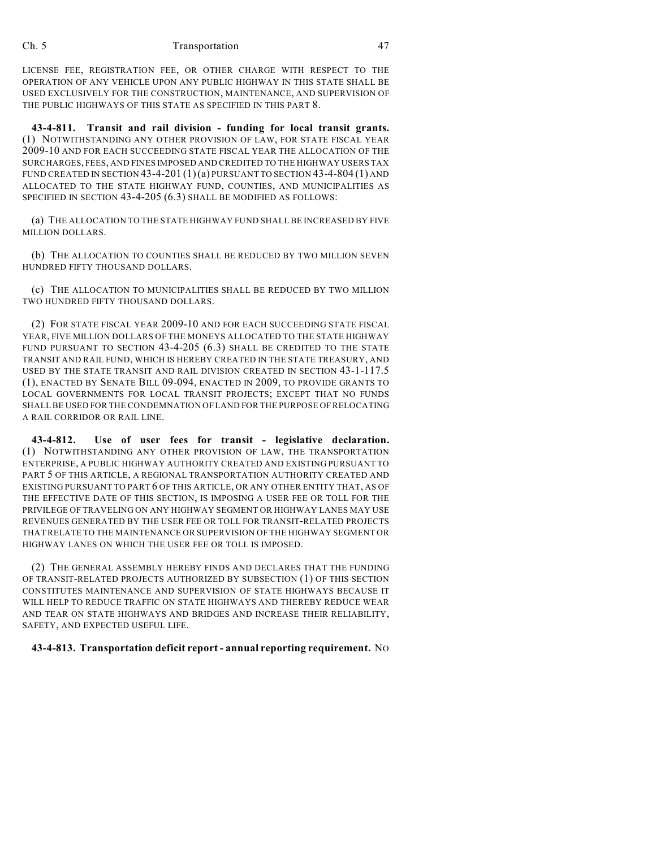LICENSE FEE, REGISTRATION FEE, OR OTHER CHARGE WITH RESPECT TO THE OPERATION OF ANY VEHICLE UPON ANY PUBLIC HIGHWAY IN THIS STATE SHALL BE USED EXCLUSIVELY FOR THE CONSTRUCTION, MAINTENANCE, AND SUPERVISION OF THE PUBLIC HIGHWAYS OF THIS STATE AS SPECIFIED IN THIS PART 8.

**43-4-811. Transit and rail division - funding for local transit grants.** (1) NOTWITHSTANDING ANY OTHER PROVISION OF LAW, FOR STATE FISCAL YEAR 2009-10 AND FOR EACH SUCCEEDING STATE FISCAL YEAR THE ALLOCATION OF THE SURCHARGES, FEES, AND FINES IMPOSED AND CREDITED TO THE HIGHWAY USERS TAX FUND CREATED IN SECTION  $43-4-201(1)(a)$  pursuant to section  $43-4-804(1)$  and ALLOCATED TO THE STATE HIGHWAY FUND, COUNTIES, AND MUNICIPALITIES AS SPECIFIED IN SECTION 43-4-205 (6.3) SHALL BE MODIFIED AS FOLLOWS:

(a) THE ALLOCATION TO THE STATE HIGHWAY FUND SHALL BE INCREASED BY FIVE MILLION DOLLARS.

(b) THE ALLOCATION TO COUNTIES SHALL BE REDUCED BY TWO MILLION SEVEN HUNDRED FIFTY THOUSAND DOLLARS.

(c) THE ALLOCATION TO MUNICIPALITIES SHALL BE REDUCED BY TWO MILLION TWO HUNDRED FIFTY THOUSAND DOLLARS.

(2) FOR STATE FISCAL YEAR 2009-10 AND FOR EACH SUCCEEDING STATE FISCAL YEAR, FIVE MILLION DOLLARS OF THE MONEYS ALLOCATED TO THE STATE HIGHWAY FUND PURSUANT TO SECTION 43-4-205 (6.3) SHALL BE CREDITED TO THE STATE TRANSIT AND RAIL FUND, WHICH IS HEREBY CREATED IN THE STATE TREASURY, AND USED BY THE STATE TRANSIT AND RAIL DIVISION CREATED IN SECTION 43-1-117.5 (1), ENACTED BY SENATE BILL 09-094, ENACTED IN 2009, TO PROVIDE GRANTS TO LOCAL GOVERNMENTS FOR LOCAL TRANSIT PROJECTS; EXCEPT THAT NO FUNDS SHALL BE USED FOR THE CONDEMNATION OF LAND FOR THE PURPOSE OF RELOCATING A RAIL CORRIDOR OR RAIL LINE.

**43-4-812. Use of user fees for transit - legislative declaration.** (1) NOTWITHSTANDING ANY OTHER PROVISION OF LAW, THE TRANSPORTATION ENTERPRISE, A PUBLIC HIGHWAY AUTHORITY CREATED AND EXISTING PURSUANT TO PART 5 OF THIS ARTICLE, A REGIONAL TRANSPORTATION AUTHORITY CREATED AND EXISTING PURSUANT TO PART 6 OF THIS ARTICLE, OR ANY OTHER ENTITY THAT, AS OF THE EFFECTIVE DATE OF THIS SECTION, IS IMPOSING A USER FEE OR TOLL FOR THE PRIVILEGE OF TRAVELING ON ANY HIGHWAY SEGMENT OR HIGHWAY LANES MAY USE REVENUES GENERATED BY THE USER FEE OR TOLL FOR TRANSIT-RELATED PROJECTS THAT RELATE TO THE MAINTENANCE OR SUPERVISION OF THE HIGHWAY SEGMENT OR HIGHWAY LANES ON WHICH THE USER FEE OR TOLL IS IMPOSED.

(2) THE GENERAL ASSEMBLY HEREBY FINDS AND DECLARES THAT THE FUNDING OF TRANSIT-RELATED PROJECTS AUTHORIZED BY SUBSECTION (1) OF THIS SECTION CONSTITUTES MAINTENANCE AND SUPERVISION OF STATE HIGHWAYS BECAUSE IT WILL HELP TO REDUCE TRAFFIC ON STATE HIGHWAYS AND THEREBY REDUCE WEAR AND TEAR ON STATE HIGHWAYS AND BRIDGES AND INCREASE THEIR RELIABILITY, SAFETY, AND EXPECTED USEFUL LIFE.

## **43-4-813. Transportation deficit report - annual reporting requirement.** NO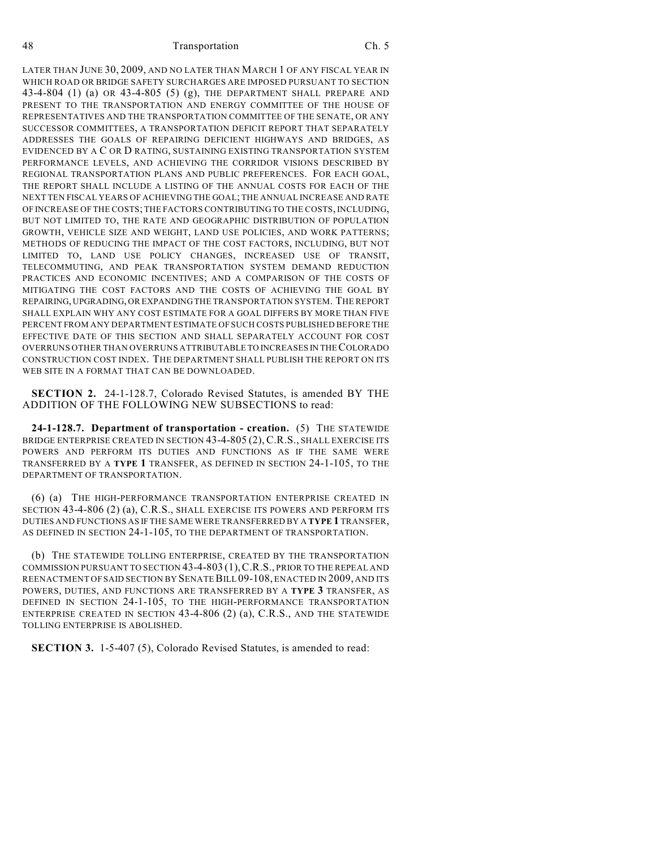LATER THAN JUNE 30, 2009, AND NO LATER THAN MARCH 1 OF ANY FISCAL YEAR IN WHICH ROAD OR BRIDGE SAFETY SURCHARGES ARE IMPOSED PURSUANT TO SECTION 43-4-804 (1) (a) OR 43-4-805 (5) (g), THE DEPARTMENT SHALL PREPARE AND PRESENT TO THE TRANSPORTATION AND ENERGY COMMITTEE OF THE HOUSE OF REPRESENTATIVES AND THE TRANSPORTATION COMMITTEE OF THE SENATE, OR ANY SUCCESSOR COMMITTEES, A TRANSPORTATION DEFICIT REPORT THAT SEPARATELY ADDRESSES THE GOALS OF REPAIRING DEFICIENT HIGHWAYS AND BRIDGES, AS EVIDENCED BY A C OR D RATING, SUSTAINING EXISTING TRANSPORTATION SYSTEM PERFORMANCE LEVELS, AND ACHIEVING THE CORRIDOR VISIONS DESCRIBED BY REGIONAL TRANSPORTATION PLANS AND PUBLIC PREFERENCES. FOR EACH GOAL, THE REPORT SHALL INCLUDE A LISTING OF THE ANNUAL COSTS FOR EACH OF THE NEXT TEN FISCAL YEARS OF ACHIEVING THE GOAL; THE ANNUAL INCREASE AND RATE OF INCREASE OF THE COSTS; THE FACTORS CONTRIBUTING TO THE COSTS, INCLUDING, BUT NOT LIMITED TO, THE RATE AND GEOGRAPHIC DISTRIBUTION OF POPULATION GROWTH, VEHICLE SIZE AND WEIGHT, LAND USE POLICIES, AND WORK PATTERNS; METHODS OF REDUCING THE IMPACT OF THE COST FACTORS, INCLUDING, BUT NOT LIMITED TO, LAND USE POLICY CHANGES, INCREASED USE OF TRANSIT, TELECOMMUTING, AND PEAK TRANSPORTATION SYSTEM DEMAND REDUCTION PRACTICES AND ECONOMIC INCENTIVES; AND A COMPARISON OF THE COSTS OF MITIGATING THE COST FACTORS AND THE COSTS OF ACHIEVING THE GOAL BY REPAIRING, UPGRADING, OR EXPANDING THE TRANSPORTATION SYSTEM. THE REPORT SHALL EXPLAIN WHY ANY COST ESTIMATE FOR A GOAL DIFFERS BY MORE THAN FIVE PERCENT FROM ANY DEPARTMENT ESTIMATE OF SUCH COSTS PUBLISHED BEFORE THE EFFECTIVE DATE OF THIS SECTION AND SHALL SEPARATELY ACCOUNT FOR COST OVERRUNS OTHER THAN OVERRUNS ATTRIBUTABLE TO INCREASES IN THE COLORADO CONSTRUCTION COST INDEX. THE DEPARTMENT SHALL PUBLISH THE REPORT ON ITS WEB SITE IN A FORMAT THAT CAN BE DOWNLOADED.

**SECTION 2.** 24-1-128.7, Colorado Revised Statutes, is amended BY THE ADDITION OF THE FOLLOWING NEW SUBSECTIONS to read:

**24-1-128.7. Department of transportation - creation.** (5) THE STATEWIDE BRIDGE ENTERPRISE CREATED IN SECTION 43-4-805 (2), C.R.S., SHALL EXERCISE ITS POWERS AND PERFORM ITS DUTIES AND FUNCTIONS AS IF THE SAME WERE TRANSFERRED BY A **TYPE 1** TRANSFER, AS DEFINED IN SECTION 24-1-105, TO THE DEPARTMENT OF TRANSPORTATION.

(6) (a) THE HIGH-PERFORMANCE TRANSPORTATION ENTERPRISE CREATED IN SECTION 43-4-806 (2) (a), C.R.S., SHALL EXERCISE ITS POWERS AND PERFORM ITS DUTIES AND FUNCTIONS AS IF THE SAME WERE TRANSFERRED BY A **TYPE 1** TRANSFER, AS DEFINED IN SECTION 24-1-105, TO THE DEPARTMENT OF TRANSPORTATION.

(b) THE STATEWIDE TOLLING ENTERPRISE, CREATED BY THE TRANSPORTATION COMMISSION PURSUANT TO SECTION 43-4-803 (1),C.R.S., PRIOR TO THE REPEAL AND REENACTMENT OF SAID SECTION BY SENATE BILL 09-108, ENACTED IN 2009, AND ITS POWERS, DUTIES, AND FUNCTIONS ARE TRANSFERRED BY A **TYPE 3** TRANSFER, AS DEFINED IN SECTION 24-1-105, TO THE HIGH-PERFORMANCE TRANSPORTATION ENTERPRISE CREATED IN SECTION 43-4-806 (2) (a), C.R.S., AND THE STATEWIDE TOLLING ENTERPRISE IS ABOLISHED.

**SECTION 3.** 1-5-407 (5), Colorado Revised Statutes, is amended to read: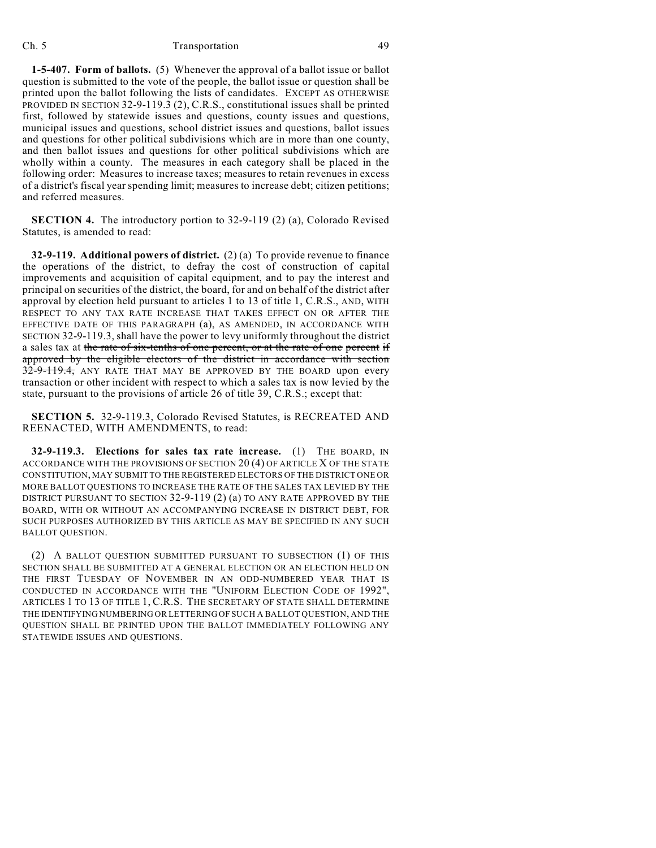**1-5-407. Form of ballots.** (5) Whenever the approval of a ballot issue or ballot question is submitted to the vote of the people, the ballot issue or question shall be printed upon the ballot following the lists of candidates. EXCEPT AS OTHERWISE PROVIDED IN SECTION 32-9-119.3 (2), C.R.S., constitutional issues shall be printed first, followed by statewide issues and questions, county issues and questions, municipal issues and questions, school district issues and questions, ballot issues and questions for other political subdivisions which are in more than one county, and then ballot issues and questions for other political subdivisions which are wholly within a county. The measures in each category shall be placed in the following order: Measures to increase taxes; measures to retain revenues in excess of a district's fiscal year spending limit; measures to increase debt; citizen petitions; and referred measures.

**SECTION 4.** The introductory portion to 32-9-119 (2) (a), Colorado Revised Statutes, is amended to read:

**32-9-119. Additional powers of district.** (2) (a) To provide revenue to finance the operations of the district, to defray the cost of construction of capital improvements and acquisition of capital equipment, and to pay the interest and principal on securities of the district, the board, for and on behalf of the district after approval by election held pursuant to articles 1 to 13 of title 1, C.R.S., AND, WITH RESPECT TO ANY TAX RATE INCREASE THAT TAKES EFFECT ON OR AFTER THE EFFECTIVE DATE OF THIS PARAGRAPH (a), AS AMENDED, IN ACCORDANCE WITH SECTION 32-9-119.3, shall have the power to levy uniformly throughout the district a sales tax at the rate of six-tenths of one percent, or at the rate of one percent if approved by the eligible electors of the district in accordance with section 32-9-119.4, ANY RATE THAT MAY BE APPROVED BY THE BOARD upon every transaction or other incident with respect to which a sales tax is now levied by the state, pursuant to the provisions of article 26 of title 39, C.R.S.; except that:

**SECTION 5.** 32-9-119.3, Colorado Revised Statutes, is RECREATED AND REENACTED, WITH AMENDMENTS, to read:

**32-9-119.3. Elections for sales tax rate increase.** (1) THE BOARD, IN ACCORDANCE WITH THE PROVISIONS OF SECTION 20 (4) OF ARTICLE X OF THE STATE CONSTITUTION, MAY SUBMIT TO THE REGISTERED ELECTORS OF THE DISTRICT ONE OR MORE BALLOT QUESTIONS TO INCREASE THE RATE OF THE SALES TAX LEVIED BY THE DISTRICT PURSUANT TO SECTION 32-9-119 (2) (a) TO ANY RATE APPROVED BY THE BOARD, WITH OR WITHOUT AN ACCOMPANYING INCREASE IN DISTRICT DEBT, FOR SUCH PURPOSES AUTHORIZED BY THIS ARTICLE AS MAY BE SPECIFIED IN ANY SUCH BALLOT QUESTION.

(2) A BALLOT QUESTION SUBMITTED PURSUANT TO SUBSECTION (1) OF THIS SECTION SHALL BE SUBMITTED AT A GENERAL ELECTION OR AN ELECTION HELD ON THE FIRST TUESDAY OF NOVEMBER IN AN ODD-NUMBERED YEAR THAT IS CONDUCTED IN ACCORDANCE WITH THE "UNIFORM ELECTION CODE OF 1992", ARTICLES 1 TO 13 OF TITLE 1, C.R.S. THE SECRETARY OF STATE SHALL DETERMINE THE IDENTIFYING NUMBERING OR LETTERING OF SUCH A BALLOT QUESTION, AND THE QUESTION SHALL BE PRINTED UPON THE BALLOT IMMEDIATELY FOLLOWING ANY STATEWIDE ISSUES AND QUESTIONS.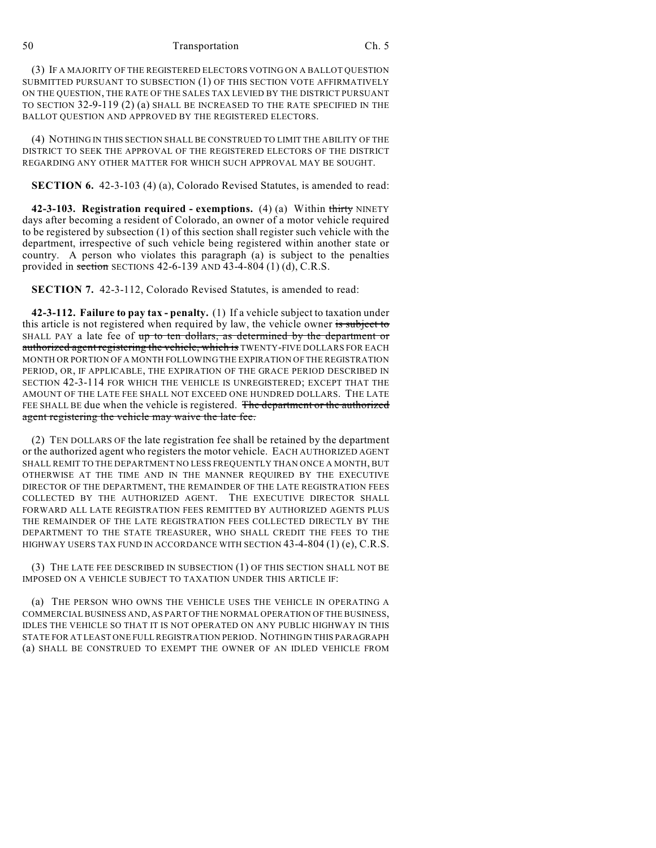(3) IF A MAJORITY OF THE REGISTERED ELECTORS VOTING ON A BALLOT QUESTION SUBMITTED PURSUANT TO SUBSECTION (1) OF THIS SECTION VOTE AFFIRMATIVELY ON THE QUESTION, THE RATE OF THE SALES TAX LEVIED BY THE DISTRICT PURSUANT TO SECTION 32-9-119 (2) (a) SHALL BE INCREASED TO THE RATE SPECIFIED IN THE BALLOT QUESTION AND APPROVED BY THE REGISTERED ELECTORS.

(4) NOTHING IN THIS SECTION SHALL BE CONSTRUED TO LIMIT THE ABILITY OF THE DISTRICT TO SEEK THE APPROVAL OF THE REGISTERED ELECTORS OF THE DISTRICT REGARDING ANY OTHER MATTER FOR WHICH SUCH APPROVAL MAY BE SOUGHT.

**SECTION 6.** 42-3-103 (4) (a), Colorado Revised Statutes, is amended to read:

**42-3-103. Registration required - exemptions.** (4) (a) Within thirty NINETY days after becoming a resident of Colorado, an owner of a motor vehicle required to be registered by subsection (1) of this section shall register such vehicle with the department, irrespective of such vehicle being registered within another state or country. A person who violates this paragraph (a) is subject to the penalties provided in section SECTIONS 42-6-139 AND 43-4-804  $(1)$   $(d)$ , C.R.S.

**SECTION 7.** 42-3-112, Colorado Revised Statutes, is amended to read:

**42-3-112. Failure to pay tax - penalty.** (1) If a vehicle subject to taxation under this article is not registered when required by law, the vehicle owner is subject to SHALL PAY a late fee of up to ten dollars, as determined by the department or authorized agent registering the vehicle, which is TWENTY-FIVE DOLLARS FOR EACH MONTH OR PORTION OF A MONTH FOLLOWING THE EXPIRATION OF THE REGISTRATION PERIOD, OR, IF APPLICABLE, THE EXPIRATION OF THE GRACE PERIOD DESCRIBED IN SECTION 42-3-114 FOR WHICH THE VEHICLE IS UNREGISTERED; EXCEPT THAT THE AMOUNT OF THE LATE FEE SHALL NOT EXCEED ONE HUNDRED DOLLARS. THE LATE FEE SHALL BE due when the vehicle is registered. The department or the authorized agent registering the vehicle may waive the late fee.

(2) TEN DOLLARS OF the late registration fee shall be retained by the department or the authorized agent who registers the motor vehicle. EACH AUTHORIZED AGENT SHALL REMIT TO THE DEPARTMENT NO LESS FREQUENTLY THAN ONCE A MONTH, BUT OTHERWISE AT THE TIME AND IN THE MANNER REQUIRED BY THE EXECUTIVE DIRECTOR OF THE DEPARTMENT, THE REMAINDER OF THE LATE REGISTRATION FEES COLLECTED BY THE AUTHORIZED AGENT. THE EXECUTIVE DIRECTOR SHALL FORWARD ALL LATE REGISTRATION FEES REMITTED BY AUTHORIZED AGENTS PLUS THE REMAINDER OF THE LATE REGISTRATION FEES COLLECTED DIRECTLY BY THE DEPARTMENT TO THE STATE TREASURER, WHO SHALL CREDIT THE FEES TO THE HIGHWAY USERS TAX FUND IN ACCORDANCE WITH SECTION 43-4-804 (1) (e), C.R.S.

(3) THE LATE FEE DESCRIBED IN SUBSECTION (1) OF THIS SECTION SHALL NOT BE IMPOSED ON A VEHICLE SUBJECT TO TAXATION UNDER THIS ARTICLE IF:

(a) THE PERSON WHO OWNS THE VEHICLE USES THE VEHICLE IN OPERATING A COMMERCIAL BUSINESS AND, AS PART OF THE NORMAL OPERATION OF THE BUSINESS, IDLES THE VEHICLE SO THAT IT IS NOT OPERATED ON ANY PUBLIC HIGHWAY IN THIS STATE FOR AT LEAST ONE FULL REGISTRATION PERIOD. NOTHING IN THIS PARAGRAPH (a) SHALL BE CONSTRUED TO EXEMPT THE OWNER OF AN IDLED VEHICLE FROM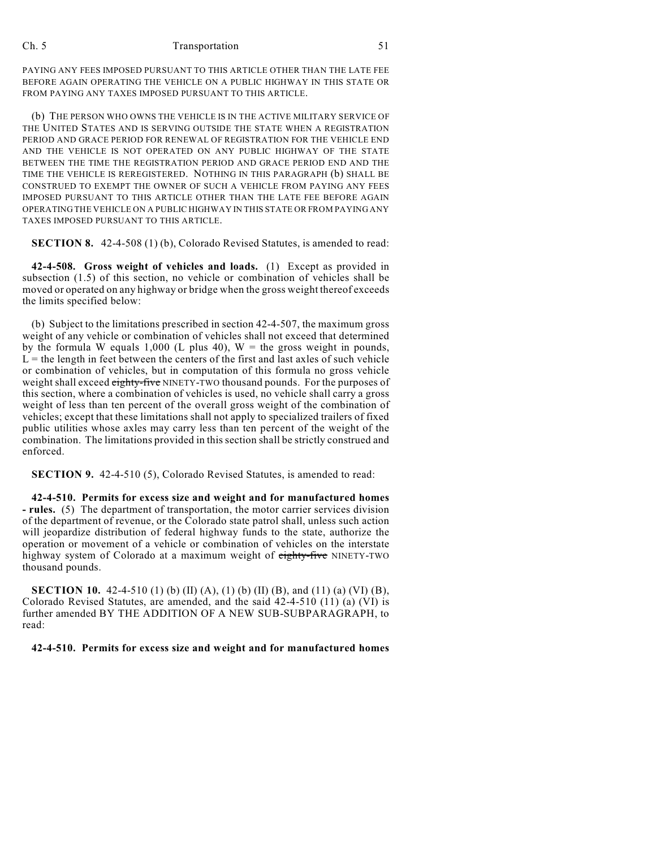PAYING ANY FEES IMPOSED PURSUANT TO THIS ARTICLE OTHER THAN THE LATE FEE BEFORE AGAIN OPERATING THE VEHICLE ON A PUBLIC HIGHWAY IN THIS STATE OR FROM PAYING ANY TAXES IMPOSED PURSUANT TO THIS ARTICLE.

(b) THE PERSON WHO OWNS THE VEHICLE IS IN THE ACTIVE MILITARY SERVICE OF THE UNITED STATES AND IS SERVING OUTSIDE THE STATE WHEN A REGISTRATION PERIOD AND GRACE PERIOD FOR RENEWAL OF REGISTRATION FOR THE VEHICLE END AND THE VEHICLE IS NOT OPERATED ON ANY PUBLIC HIGHWAY OF THE STATE BETWEEN THE TIME THE REGISTRATION PERIOD AND GRACE PERIOD END AND THE TIME THE VEHICLE IS REREGISTERED. NOTHING IN THIS PARAGRAPH (b) SHALL BE CONSTRUED TO EXEMPT THE OWNER OF SUCH A VEHICLE FROM PAYING ANY FEES IMPOSED PURSUANT TO THIS ARTICLE OTHER THAN THE LATE FEE BEFORE AGAIN OPERATING THE VEHICLE ON A PUBLIC HIGHWAY IN THIS STATE OR FROM PAYING ANY TAXES IMPOSED PURSUANT TO THIS ARTICLE.

**SECTION 8.** 42-4-508 (1) (b), Colorado Revised Statutes, is amended to read:

**42-4-508. Gross weight of vehicles and loads.** (1) Except as provided in subsection (1.5) of this section, no vehicle or combination of vehicles shall be moved or operated on any highway or bridge when the gross weight thereof exceeds the limits specified below:

(b) Subject to the limitations prescribed in section 42-4-507, the maximum gross weight of any vehicle or combination of vehicles shall not exceed that determined by the formula W equals 1,000 (L plus 40),  $W =$  the gross weight in pounds,  $L =$  the length in feet between the centers of the first and last axles of such vehicle or combination of vehicles, but in computation of this formula no gross vehicle weight shall exceed eighty-five NINETY-TWO thousand pounds. For the purposes of this section, where a combination of vehicles is used, no vehicle shall carry a gross weight of less than ten percent of the overall gross weight of the combination of vehicles; except that these limitations shall not apply to specialized trailers of fixed public utilities whose axles may carry less than ten percent of the weight of the combination. The limitations provided in this section shall be strictly construed and enforced.

**SECTION 9.** 42-4-510 (5), Colorado Revised Statutes, is amended to read:

**42-4-510. Permits for excess size and weight and for manufactured homes - rules.** (5) The department of transportation, the motor carrier services division of the department of revenue, or the Colorado state patrol shall, unless such action will jeopardize distribution of federal highway funds to the state, authorize the operation or movement of a vehicle or combination of vehicles on the interstate highway system of Colorado at a maximum weight of eighty-five NINETY-TWO thousand pounds.

**SECTION 10.** 42-4-510 (1) (b) (II) (A), (1) (b) (II) (B), and (11) (a) (VI) (B), Colorado Revised Statutes, are amended, and the said 42-4-510 (11) (a) (VI) is further amended BY THE ADDITION OF A NEW SUB-SUBPARAGRAPH, to read:

**42-4-510. Permits for excess size and weight and for manufactured homes**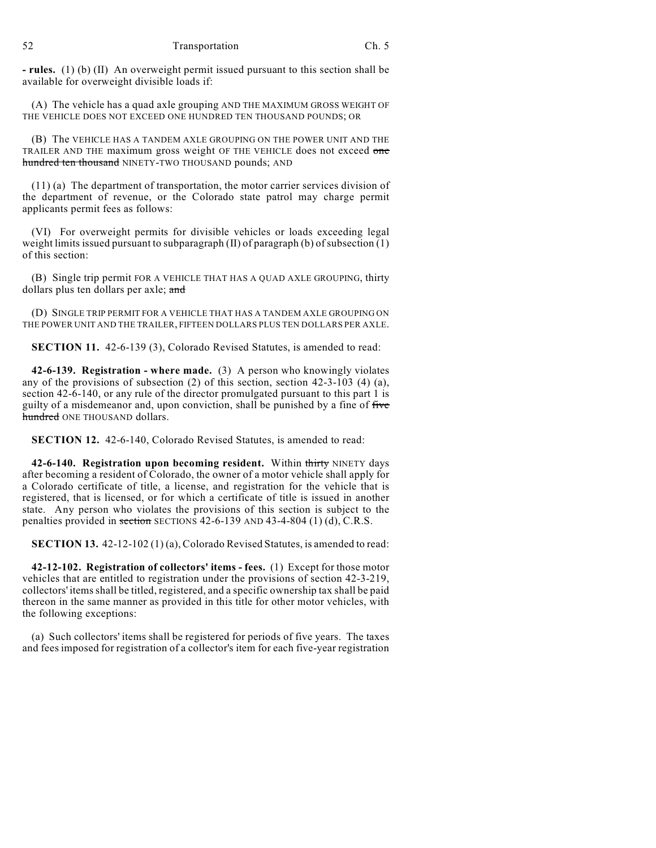**- rules.** (1) (b) (II) An overweight permit issued pursuant to this section shall be available for overweight divisible loads if:

(A) The vehicle has a quad axle grouping AND THE MAXIMUM GROSS WEIGHT OF THE VEHICLE DOES NOT EXCEED ONE HUNDRED TEN THOUSAND POUNDS; OR

(B) The VEHICLE HAS A TANDEM AXLE GROUPING ON THE POWER UNIT AND THE TRAILER AND THE maximum gross weight OF THE VEHICLE does not exceed one hundred ten thousand NINETY-TWO THOUSAND pounds; AND

(11) (a) The department of transportation, the motor carrier services division of the department of revenue, or the Colorado state patrol may charge permit applicants permit fees as follows:

(VI) For overweight permits for divisible vehicles or loads exceeding legal weight limits issued pursuant to subparagraph (II) of paragraph (b) of subsection (1) of this section:

(B) Single trip permit FOR A VEHICLE THAT HAS A QUAD AXLE GROUPING, thirty dollars plus ten dollars per axle; and

(D) SINGLE TRIP PERMIT FOR A VEHICLE THAT HAS A TANDEM AXLE GROUPING ON THE POWER UNIT AND THE TRAILER, FIFTEEN DOLLARS PLUS TEN DOLLARS PER AXLE.

**SECTION 11.** 42-6-139 (3), Colorado Revised Statutes, is amended to read:

**42-6-139. Registration - where made.** (3) A person who knowingly violates any of the provisions of subsection (2) of this section, section 42-3-103 (4) (a), section 42-6-140, or any rule of the director promulgated pursuant to this part 1 is guilty of a misdemeanor and, upon conviction, shall be punished by a fine of five hundred ONE THOUSAND dollars.

**SECTION 12.** 42-6-140, Colorado Revised Statutes, is amended to read:

**42-6-140. Registration upon becoming resident.** Within thirty NINETY days after becoming a resident of Colorado, the owner of a motor vehicle shall apply for a Colorado certificate of title, a license, and registration for the vehicle that is registered, that is licensed, or for which a certificate of title is issued in another state. Any person who violates the provisions of this section is subject to the penalties provided in section SECTIONS 42-6-139 AND 43-4-804 (1) (d), C.R.S.

**SECTION 13.** 42-12-102 (1) (a), Colorado Revised Statutes, is amended to read:

**42-12-102. Registration of collectors' items - fees.** (1) Except for those motor vehicles that are entitled to registration under the provisions of section 42-3-219, collectors' items shall be titled, registered, and a specific ownership tax shall be paid thereon in the same manner as provided in this title for other motor vehicles, with the following exceptions:

(a) Such collectors' items shall be registered for periods of five years. The taxes and fees imposed for registration of a collector's item for each five-year registration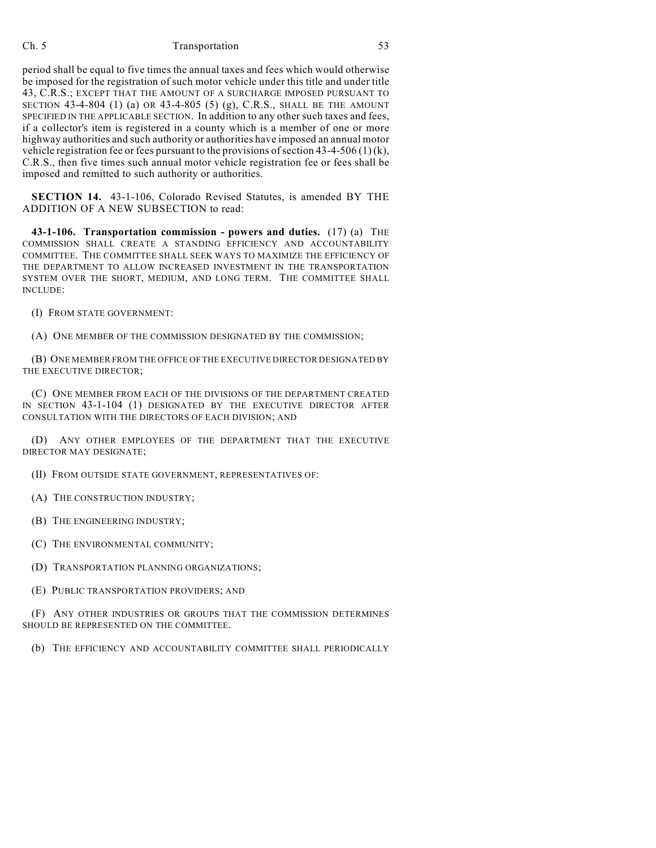period shall be equal to five times the annual taxes and fees which would otherwise be imposed for the registration of such motor vehicle under this title and under title 43, C.R.S.; EXCEPT THAT THE AMOUNT OF A SURCHARGE IMPOSED PURSUANT TO SECTION 43-4-804 (1) (a) OR 43-4-805 (5) (g), C.R.S., SHALL BE THE AMOUNT SPECIFIED IN THE APPLICABLE SECTION. In addition to any other such taxes and fees, if a collector's item is registered in a county which is a member of one or more highway authorities and such authority or authorities have imposed an annual motor vehicle registration fee or fees pursuant to the provisions of section 43-4-506 (1) (k), C.R.S., then five times such annual motor vehicle registration fee or fees shall be imposed and remitted to such authority or authorities.

**SECTION 14.** 43-1-106, Colorado Revised Statutes, is amended BY THE ADDITION OF A NEW SUBSECTION to read:

**43-1-106. Transportation commission - powers and duties.** (17) (a) THE COMMISSION SHALL CREATE A STANDING EFFICIENCY AND ACCOUNTABILITY COMMITTEE. THE COMMITTEE SHALL SEEK WAYS TO MAXIMIZE THE EFFICIENCY OF THE DEPARTMENT TO ALLOW INCREASED INVESTMENT IN THE TRANSPORTATION SYSTEM OVER THE SHORT, MEDIUM, AND LONG TERM. THE COMMITTEE SHALL INCLUDE:

(I) FROM STATE GOVERNMENT:

(A) ONE MEMBER OF THE COMMISSION DESIGNATED BY THE COMMISSION;

(B) ONE MEMBER FROM THE OFFICE OF THE EXECUTIVE DIRECTOR DESIGNATED BY THE EXECUTIVE DIRECTOR;

(C) ONE MEMBER FROM EACH OF THE DIVISIONS OF THE DEPARTMENT CREATED IN SECTION 43-1-104 (1) DESIGNATED BY THE EXECUTIVE DIRECTOR AFTER CONSULTATION WITH THE DIRECTORS OF EACH DIVISION; AND

(D) ANY OTHER EMPLOYEES OF THE DEPARTMENT THAT THE EXECUTIVE DIRECTOR MAY DESIGNATE;

(II) FROM OUTSIDE STATE GOVERNMENT, REPRESENTATIVES OF:

(A) THE CONSTRUCTION INDUSTRY;

(B) THE ENGINEERING INDUSTRY;

(C) THE ENVIRONMENTAL COMMUNITY;

(D) TRANSPORTATION PLANNING ORGANIZATIONS;

(E) PUBLIC TRANSPORTATION PROVIDERS; AND

(F) ANY OTHER INDUSTRIES OR GROUPS THAT THE COMMISSION DETERMINES SHOULD BE REPRESENTED ON THE COMMITTEE.

(b) THE EFFICIENCY AND ACCOUNTABILITY COMMITTEE SHALL PERIODICALLY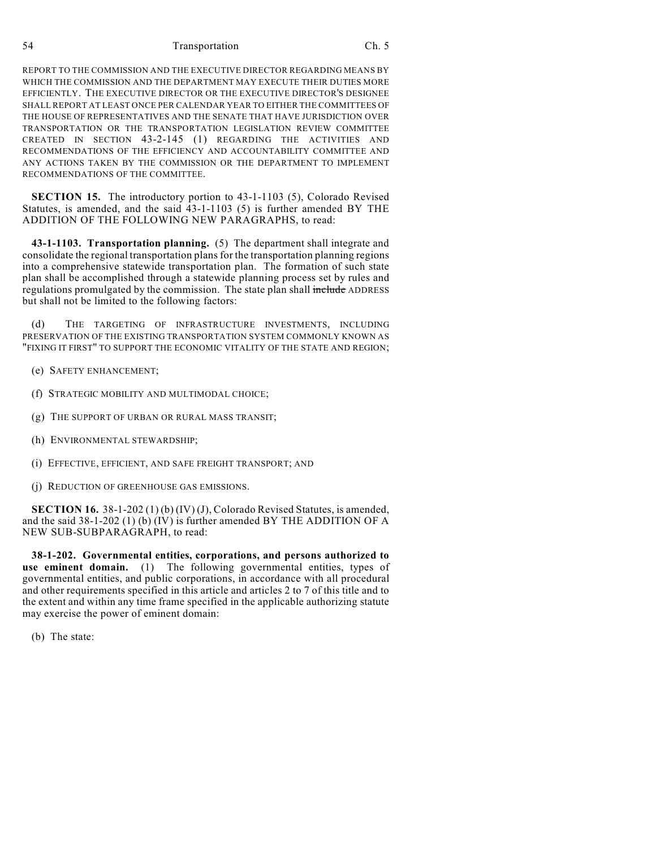REPORT TO THE COMMISSION AND THE EXECUTIVE DIRECTOR REGARDING MEANS BY WHICH THE COMMISSION AND THE DEPARTMENT MAY EXECUTE THEIR DUTIES MORE EFFICIENTLY. THE EXECUTIVE DIRECTOR OR THE EXECUTIVE DIRECTOR'S DESIGNEE SHALL REPORT AT LEAST ONCE PER CALENDAR YEAR TO EITHER THE COMMITTEES OF THE HOUSE OF REPRESENTATIVES AND THE SENATE THAT HAVE JURISDICTION OVER TRANSPORTATION OR THE TRANSPORTATION LEGISLATION REVIEW COMMITTEE CREATED IN SECTION 43-2-145 (1) REGARDING THE ACTIVITIES AND RECOMMENDATIONS OF THE EFFICIENCY AND ACCOUNTABILITY COMMITTEE AND ANY ACTIONS TAKEN BY THE COMMISSION OR THE DEPARTMENT TO IMPLEMENT RECOMMENDATIONS OF THE COMMITTEE.

**SECTION 15.** The introductory portion to 43-1-1103 (5), Colorado Revised Statutes, is amended, and the said 43-1-1103 (5) is further amended BY THE ADDITION OF THE FOLLOWING NEW PARAGRAPHS, to read:

**43-1-1103. Transportation planning.** (5) The department shall integrate and consolidate the regional transportation plans for the transportation planning regions into a comprehensive statewide transportation plan. The formation of such state plan shall be accomplished through a statewide planning process set by rules and regulations promulgated by the commission. The state plan shall include ADDRESS but shall not be limited to the following factors:

(d) THE TARGETING OF INFRASTRUCTURE INVESTMENTS, INCLUDING PRESERVATION OF THE EXISTING TRANSPORTATION SYSTEM COMMONLY KNOWN AS "FIXING IT FIRST" TO SUPPORT THE ECONOMIC VITALITY OF THE STATE AND REGION;

- (e) SAFETY ENHANCEMENT;
- (f) STRATEGIC MOBILITY AND MULTIMODAL CHOICE;
- (g) THE SUPPORT OF URBAN OR RURAL MASS TRANSIT;
- (h) ENVIRONMENTAL STEWARDSHIP;
- (i) EFFECTIVE, EFFICIENT, AND SAFE FREIGHT TRANSPORT; AND
- (j) REDUCTION OF GREENHOUSE GAS EMISSIONS.

**SECTION 16.** 38-1-202 (1) (b) (IV) (J), Colorado Revised Statutes, is amended, and the said 38-1-202 (1) (b) (IV) is further amended BY THE ADDITION OF A NEW SUB-SUBPARAGRAPH, to read:

**38-1-202. Governmental entities, corporations, and persons authorized to use eminent domain.** (1) The following governmental entities, types of governmental entities, and public corporations, in accordance with all procedural and other requirements specified in this article and articles 2 to 7 of this title and to the extent and within any time frame specified in the applicable authorizing statute may exercise the power of eminent domain:

(b) The state: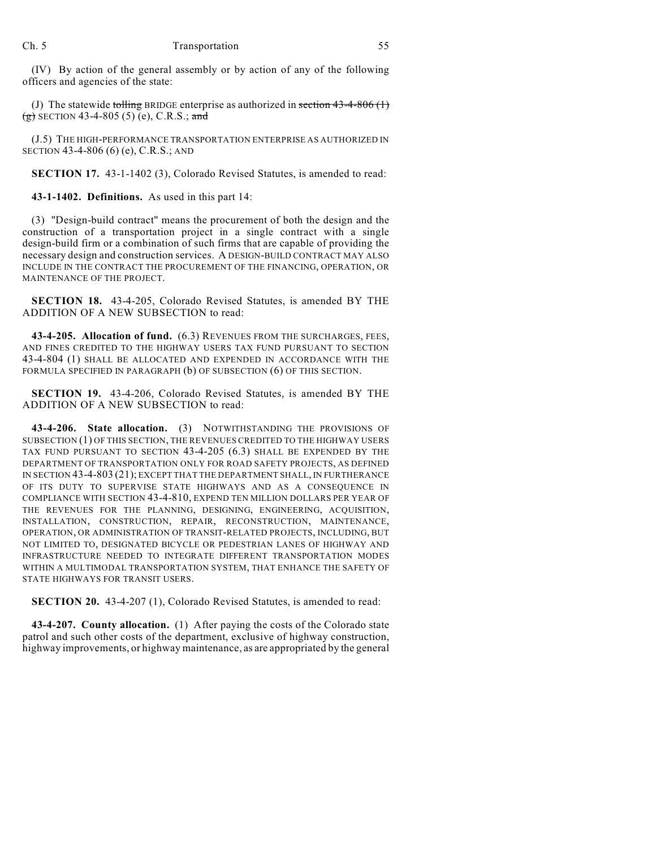(IV) By action of the general assembly or by action of any of the following officers and agencies of the state:

(J) The statewide tolling BRIDGE enterprise as authorized in section  $43-4-806(1)$  $(g)$  SECTION 43-4-805 (5) (e), C.R.S.; and

(J.5) THE HIGH-PERFORMANCE TRANSPORTATION ENTERPRISE AS AUTHORIZED IN SECTION 43-4-806 (6) (e), C.R.S.; AND

**SECTION 17.** 43-1-1402 (3), Colorado Revised Statutes, is amended to read:

**43-1-1402. Definitions.** As used in this part 14:

(3) "Design-build contract" means the procurement of both the design and the construction of a transportation project in a single contract with a single design-build firm or a combination of such firms that are capable of providing the necessary design and construction services. A DESIGN-BUILD CONTRACT MAY ALSO INCLUDE IN THE CONTRACT THE PROCUREMENT OF THE FINANCING, OPERATION, OR MAINTENANCE OF THE PROJECT.

**SECTION 18.** 43-4-205, Colorado Revised Statutes, is amended BY THE ADDITION OF A NEW SUBSECTION to read:

**43-4-205. Allocation of fund.** (6.3) REVENUES FROM THE SURCHARGES, FEES, AND FINES CREDITED TO THE HIGHWAY USERS TAX FUND PURSUANT TO SECTION 43-4-804 (1) SHALL BE ALLOCATED AND EXPENDED IN ACCORDANCE WITH THE FORMULA SPECIFIED IN PARAGRAPH (b) OF SUBSECTION (6) OF THIS SECTION.

**SECTION 19.** 43-4-206, Colorado Revised Statutes, is amended BY THE ADDITION OF A NEW SUBSECTION to read:

**43-4-206. State allocation.** (3) NOTWITHSTANDING THE PROVISIONS OF SUBSECTION (1) OF THIS SECTION, THE REVENUES CREDITED TO THE HIGHWAY USERS TAX FUND PURSUANT TO SECTION 43-4-205 (6.3) SHALL BE EXPENDED BY THE DEPARTMENT OF TRANSPORTATION ONLY FOR ROAD SAFETY PROJECTS, AS DEFINED IN SECTION 43-4-803 (21); EXCEPT THAT THE DEPARTMENT SHALL, IN FURTHERANCE OF ITS DUTY TO SUPERVISE STATE HIGHWAYS AND AS A CONSEQUENCE IN COMPLIANCE WITH SECTION 43-4-810, EXPEND TEN MILLION DOLLARS PER YEAR OF THE REVENUES FOR THE PLANNING, DESIGNING, ENGINEERING, ACQUISITION, INSTALLATION, CONSTRUCTION, REPAIR, RECONSTRUCTION, MAINTENANCE, OPERATION, OR ADMINISTRATION OF TRANSIT-RELATED PROJECTS, INCLUDING, BUT NOT LIMITED TO, DESIGNATED BICYCLE OR PEDESTRIAN LANES OF HIGHWAY AND INFRASTRUCTURE NEEDED TO INTEGRATE DIFFERENT TRANSPORTATION MODES WITHIN A MULTIMODAL TRANSPORTATION SYSTEM, THAT ENHANCE THE SAFETY OF STATE HIGHWAYS FOR TRANSIT USERS.

**SECTION 20.** 43-4-207 (1), Colorado Revised Statutes, is amended to read:

**43-4-207. County allocation.** (1) After paying the costs of the Colorado state patrol and such other costs of the department, exclusive of highway construction, highway improvements, or highway maintenance, as are appropriated by the general